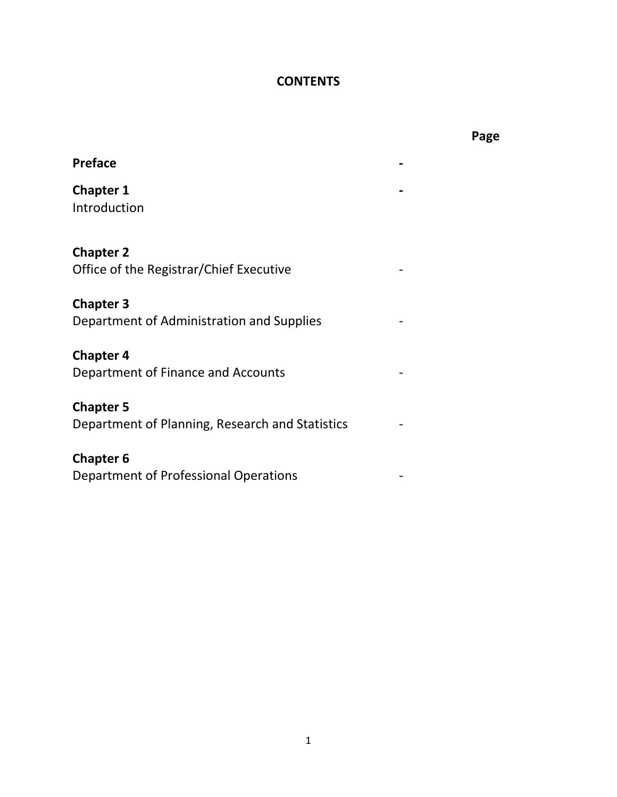# **CONTENTS**

| <b>Preface</b>                                                      |  |
|---------------------------------------------------------------------|--|
| <b>Chapter 1</b><br>Introduction                                    |  |
| <b>Chapter 2</b><br>Office of the Registrar/Chief Executive         |  |
| <b>Chapter 3</b><br>Department of Administration and Supplies       |  |
| <b>Chapter 4</b><br>Department of Finance and Accounts              |  |
| <b>Chapter 5</b><br>Department of Planning, Research and Statistics |  |
| <b>Chapter 6</b>                                                    |  |

Department of Professional Operations -

**Page**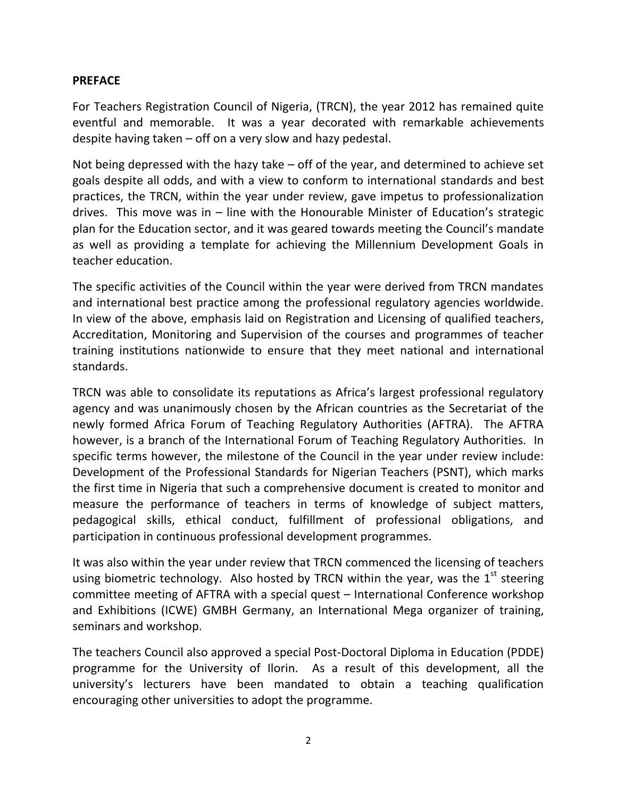#### **PREFACE**

For Teachers Registration Council of Nigeria, (TRCN), the year 2012 has remained quite eventful and memorable. It was a year decorated with remarkable achievements despite having taken – off on a very slow and hazy pedestal.

Not being depressed with the hazy take – off of the year, and determined to achieve set goals despite all odds, and with a view to conform to international standards and best practices, the TRCN, within the year under review, gave impetus to professionalization drives. This move was in – line with the Honourable Minister of Education's strategic plan for the Education sector, and it was geared towards meeting the Council's mandate as well as providing a template for achieving the Millennium Development Goals in teacher education.

The specific activities of the Council within the year were derived from TRCN mandates and international best practice among the professional regulatory agencies worldwide. In view of the above, emphasis laid on Registration and Licensing of qualified teachers, Accreditation, Monitoring and Supervision of the courses and programmes of teacher training institutions nationwide to ensure that they meet national and international standards.

TRCN was able to consolidate its reputations as Africa's largest professional regulatory agency and was unanimously chosen by the African countries as the Secretariat of the newly formed Africa Forum of Teaching Regulatory Authorities (AFTRA). The AFTRA however, is a branch of the International Forum of Teaching Regulatory Authorities. In specific terms however, the milestone of the Council in the year under review include: Development of the Professional Standards for Nigerian Teachers (PSNT), which marks the first time in Nigeria that such a comprehensive document is created to monitor and measure the performance of teachers in terms of knowledge of subject matters, pedagogical skills, ethical conduct, fulfillment of professional obligations, and participation in continuous professional development programmes.

It was also within the year under review that TRCN commenced the licensing of teachers using biometric technology. Also hosted by TRCN within the year, was the  $1<sup>st</sup>$  steering committee meeting of AFTRA with a special quest – International Conference workshop and Exhibitions (ICWE) GMBH Germany, an International Mega organizer of training, seminars and workshop.

The teachers Council also approved a special Post-Doctoral Diploma in Education (PDDE) programme for the University of Ilorin. As a result of this development, all the university's lecturers have been mandated to obtain a teaching qualification encouraging other universities to adopt the programme.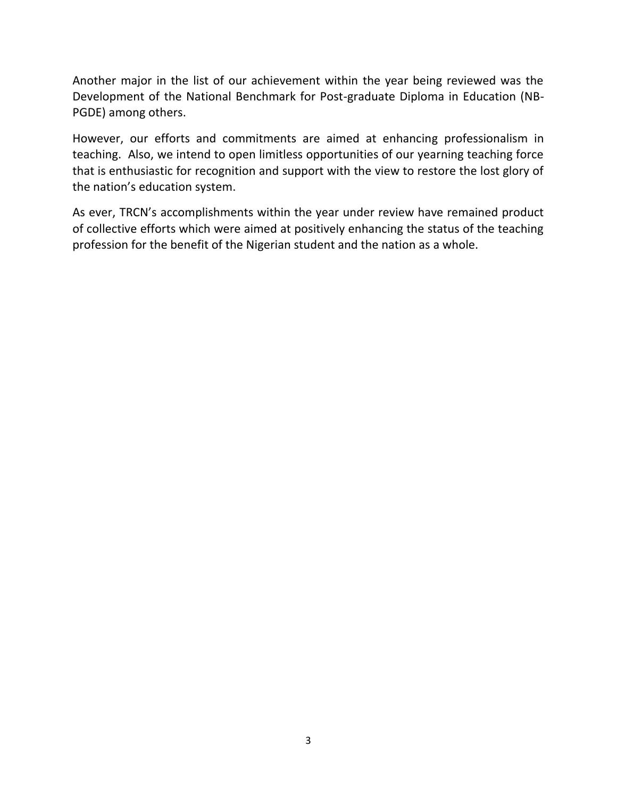Another major in the list of our achievement within the year being reviewed was the Development of the National Benchmark for Post-graduate Diploma in Education (NB-PGDE) among others.

However, our efforts and commitments are aimed at enhancing professionalism in teaching. Also, we intend to open limitless opportunities of our yearning teaching force that is enthusiastic for recognition and support with the view to restore the lost glory of the nation's education system.

As ever, TRCN's accomplishments within the year under review have remained product of collective efforts which were aimed at positively enhancing the status of the teaching profession for the benefit of the Nigerian student and the nation as a whole.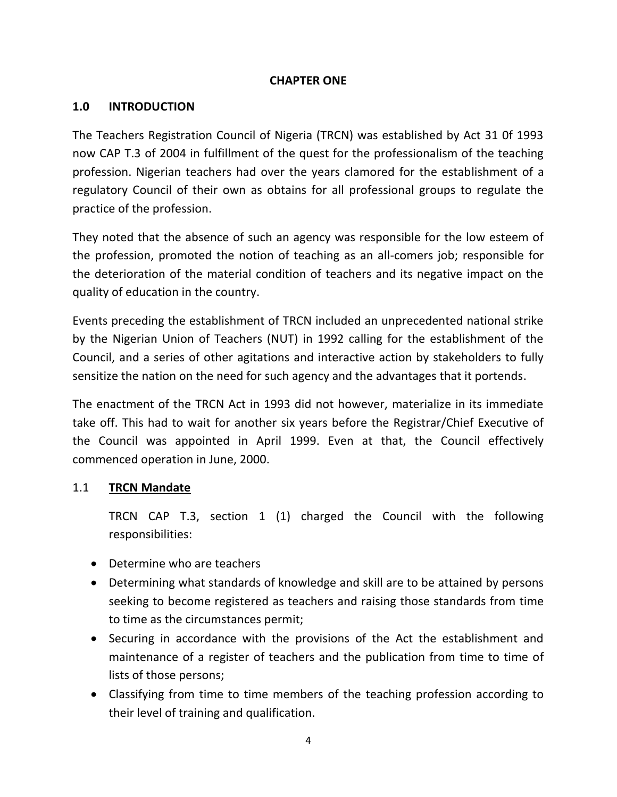#### **CHAPTER ONE**

### **1.0 INTRODUCTION**

The Teachers Registration Council of Nigeria (TRCN) was established by Act 31 0f 1993 now CAP T.3 of 2004 in fulfillment of the quest for the professionalism of the teaching profession. Nigerian teachers had over the years clamored for the establishment of a regulatory Council of their own as obtains for all professional groups to regulate the practice of the profession.

They noted that the absence of such an agency was responsible for the low esteem of the profession, promoted the notion of teaching as an all-comers job; responsible for the deterioration of the material condition of teachers and its negative impact on the quality of education in the country.

Events preceding the establishment of TRCN included an unprecedented national strike by the Nigerian Union of Teachers (NUT) in 1992 calling for the establishment of the Council, and a series of other agitations and interactive action by stakeholders to fully sensitize the nation on the need for such agency and the advantages that it portends.

The enactment of the TRCN Act in 1993 did not however, materialize in its immediate take off. This had to wait for another six years before the Registrar/Chief Executive of the Council was appointed in April 1999. Even at that, the Council effectively commenced operation in June, 2000.

## 1.1 **TRCN Mandate**

TRCN CAP T.3, section 1 (1) charged the Council with the following responsibilities:

- Determine who are teachers
- Determining what standards of knowledge and skill are to be attained by persons seeking to become registered as teachers and raising those standards from time to time as the circumstances permit;
- Securing in accordance with the provisions of the Act the establishment and maintenance of a register of teachers and the publication from time to time of lists of those persons;
- Classifying from time to time members of the teaching profession according to their level of training and qualification.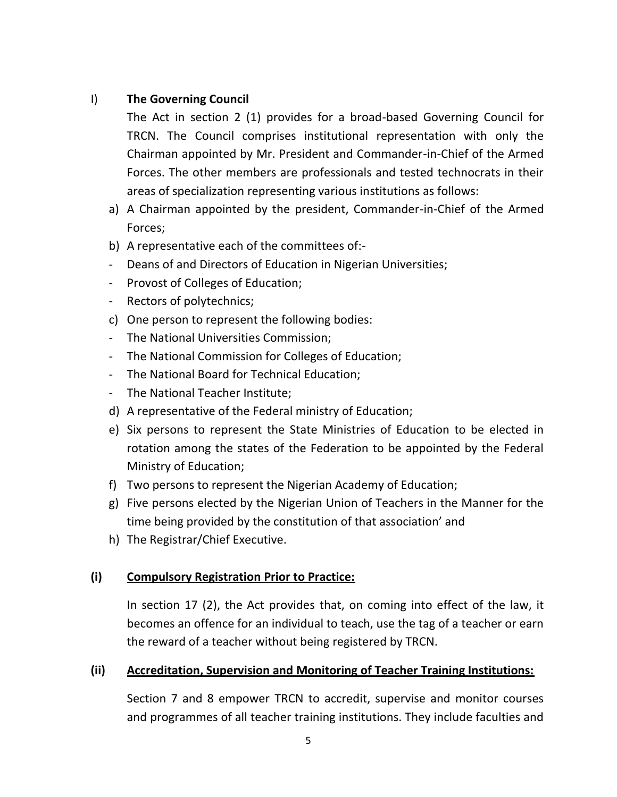## I) **The Governing Council**

The Act in section 2 (1) provides for a broad-based Governing Council for TRCN. The Council comprises institutional representation with only the Chairman appointed by Mr. President and Commander-in-Chief of the Armed Forces. The other members are professionals and tested technocrats in their areas of specialization representing various institutions as follows:

- a) A Chairman appointed by the president, Commander-in-Chief of the Armed Forces;
- b) A representative each of the committees of:-
- Deans of and Directors of Education in Nigerian Universities;
- Provost of Colleges of Education;
- Rectors of polytechnics;
- c) One person to represent the following bodies:
- The National Universities Commission;
- The National Commission for Colleges of Education;
- The National Board for Technical Education;
- The National Teacher Institute;
- d) A representative of the Federal ministry of Education;
- e) Six persons to represent the State Ministries of Education to be elected in rotation among the states of the Federation to be appointed by the Federal Ministry of Education;
- f) Two persons to represent the Nigerian Academy of Education;
- g) Five persons elected by the Nigerian Union of Teachers in the Manner for the time being provided by the constitution of that association' and
- h) The Registrar/Chief Executive.

## **(i) Compulsory Registration Prior to Practice:**

In section 17 (2), the Act provides that, on coming into effect of the law, it becomes an offence for an individual to teach, use the tag of a teacher or earn the reward of a teacher without being registered by TRCN.

## **(ii) Accreditation, Supervision and Monitoring of Teacher Training Institutions:**

Section 7 and 8 empower TRCN to accredit, supervise and monitor courses and programmes of all teacher training institutions. They include faculties and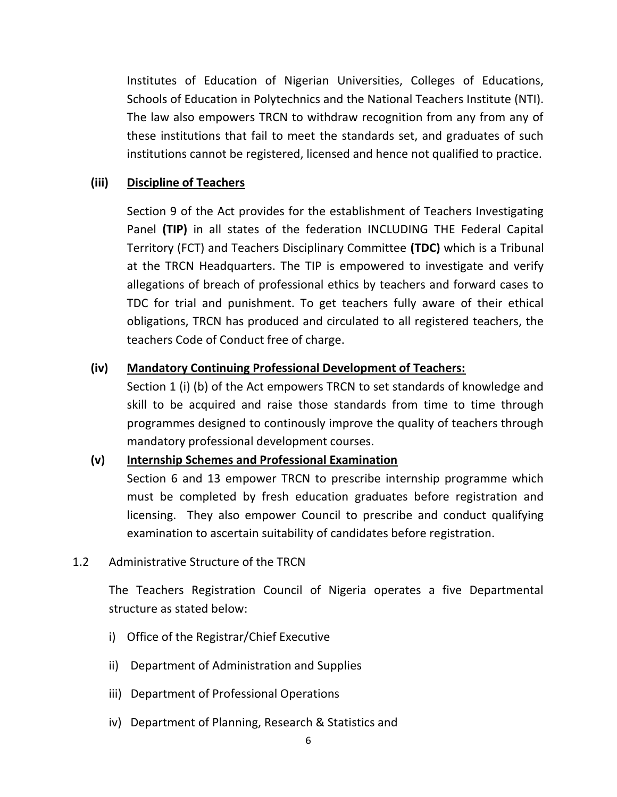Institutes of Education of Nigerian Universities, Colleges of Educations, Schools of Education in Polytechnics and the National Teachers Institute (NTI). The law also empowers TRCN to withdraw recognition from any from any of these institutions that fail to meet the standards set, and graduates of such institutions cannot be registered, licensed and hence not qualified to practice.

#### **(iii) Discipline of Teachers**

Section 9 of the Act provides for the establishment of Teachers Investigating Panel **(TIP)** in all states of the federation INCLUDING THE Federal Capital Territory (FCT) and Teachers Disciplinary Committee **(TDC)** which is a Tribunal at the TRCN Headquarters. The TIP is empowered to investigate and verify allegations of breach of professional ethics by teachers and forward cases to TDC for trial and punishment. To get teachers fully aware of their ethical obligations, TRCN has produced and circulated to all registered teachers, the teachers Code of Conduct free of charge.

### **(iv) Mandatory Continuing Professional Development of Teachers:**

Section 1 (i) (b) of the Act empowers TRCN to set standards of knowledge and skill to be acquired and raise those standards from time to time through programmes designed to continously improve the quality of teachers through mandatory professional development courses.

#### **(v) Internship Schemes and Professional Examination**

Section 6 and 13 empower TRCN to prescribe internship programme which must be completed by fresh education graduates before registration and licensing. They also empower Council to prescribe and conduct qualifying examination to ascertain suitability of candidates before registration.

#### 1.2 Administrative Structure of the TRCN

The Teachers Registration Council of Nigeria operates a five Departmental structure as stated below:

- i) Office of the Registrar/Chief Executive
- ii) Department of Administration and Supplies
- iii) Department of Professional Operations
- iv) Department of Planning, Research & Statistics and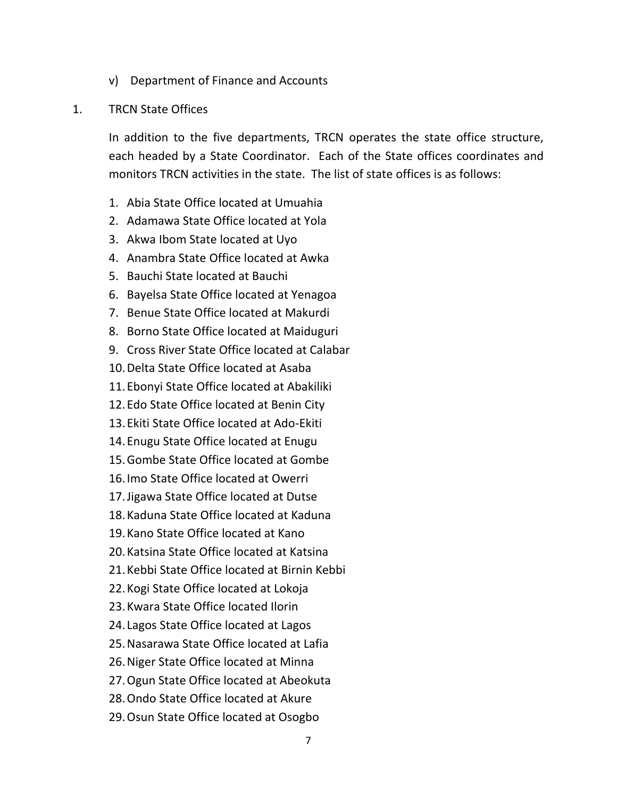- v) Department of Finance and Accounts
- 1. TRCN State Offices

In addition to the five departments, TRCN operates the state office structure, each headed by a State Coordinator. Each of the State offices coordinates and monitors TRCN activities in the state. The list of state offices is as follows:

- 1. Abia State Office located at Umuahia
- 2. Adamawa State Office located at Yola
- 3. Akwa Ibom State located at Uyo
- 4. Anambra State Office located at Awka
- 5. Bauchi State located at Bauchi
- 6. Bayelsa State Office located at Yenagoa
- 7. Benue State Office located at Makurdi
- 8. Borno State Office located at Maiduguri
- 9. Cross River State Office located at Calabar
- 10.Delta State Office located at Asaba
- 11.Ebonyi State Office located at Abakiliki
- 12.Edo State Office located at Benin City
- 13.Ekiti State Office located at Ado-Ekiti
- 14.Enugu State Office located at Enugu
- 15.Gombe State Office located at Gombe
- 16.Imo State Office located at Owerri
- 17.Jigawa State Office located at Dutse
- 18.Kaduna State Office located at Kaduna
- 19.Kano State Office located at Kano
- 20.Katsina State Office located at Katsina
- 21.Kebbi State Office located at Birnin Kebbi
- 22.Kogi State Office located at Lokoja
- 23.Kwara State Office located Ilorin
- 24. Lagos State Office located at Lagos
- 25.Nasarawa State Office located at Lafia
- 26.Niger State Office located at Minna
- 27.Ogun State Office located at Abeokuta
- 28.Ondo State Office located at Akure
- 29.Osun State Office located at Osogbo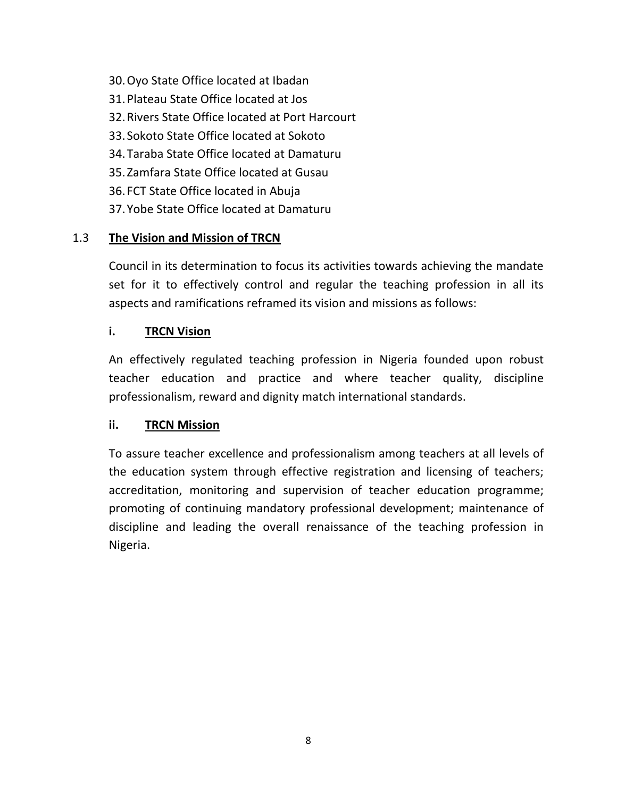- 30.Oyo State Office located at Ibadan
- 31.Plateau State Office located at Jos
- 32.Rivers State Office located at Port Harcourt
- 33. Sokoto State Office located at Sokoto
- 34.Taraba State Office located at Damaturu
- 35. Zamfara State Office located at Gusau
- 36. FCT State Office located in Abuja
- 37.Yobe State Office located at Damaturu

## 1.3 **The Vision and Mission of TRCN**

Council in its determination to focus its activities towards achieving the mandate set for it to effectively control and regular the teaching profession in all its aspects and ramifications reframed its vision and missions as follows:

## **i. TRCN Vision**

An effectively regulated teaching profession in Nigeria founded upon robust teacher education and practice and where teacher quality, discipline professionalism, reward and dignity match international standards.

## **ii. TRCN Mission**

To assure teacher excellence and professionalism among teachers at all levels of the education system through effective registration and licensing of teachers; accreditation, monitoring and supervision of teacher education programme; promoting of continuing mandatory professional development; maintenance of discipline and leading the overall renaissance of the teaching profession in Nigeria.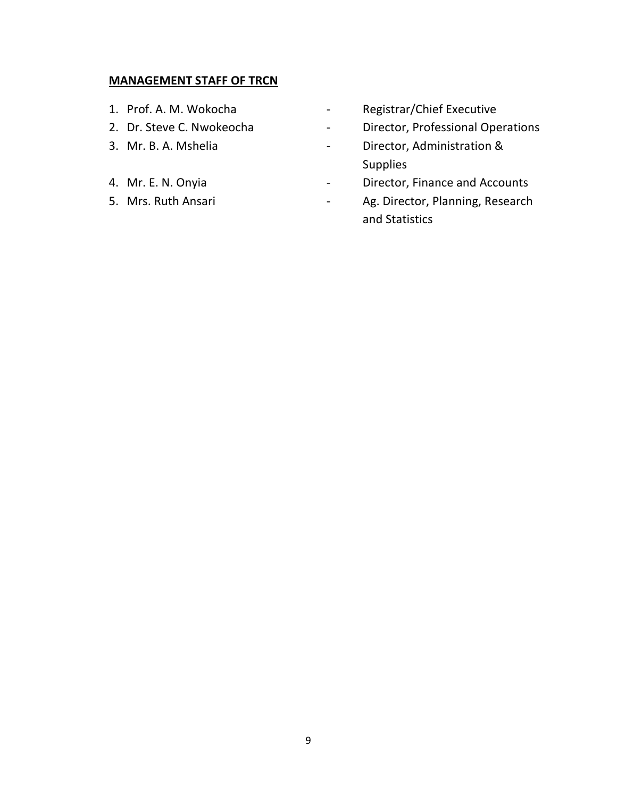#### **MANAGEMENT STAFF OF TRCN**

- 
- 
- 
- 
- 
- 1. Prof. A. M. Wokocha  **Registrar/Chief Executive**
- 2. Dr. Steve C. Nwokeocha Professional Operations
- 3. Mr. B. A. Mshelia **Canadia** Director, Administration & Supplies
- 4. Mr. E. N. Onyia **Accounts 1 Contains Linear Contains Line Contains Points Director, Finance and Accounts**
- 5. Mrs. Ruth Ansari **1988** Letter 2008 Letter Ag. Director, Planning, Research and Statistics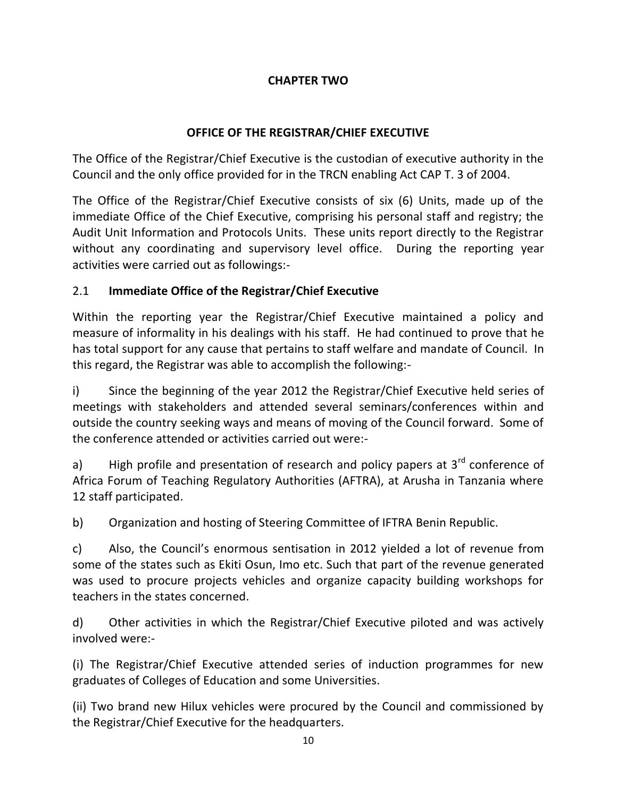## **CHAPTER TWO**

## **OFFICE OF THE REGISTRAR/CHIEF EXECUTIVE**

The Office of the Registrar/Chief Executive is the custodian of executive authority in the Council and the only office provided for in the TRCN enabling Act CAP T. 3 of 2004.

The Office of the Registrar/Chief Executive consists of six (6) Units, made up of the immediate Office of the Chief Executive, comprising his personal staff and registry; the Audit Unit Information and Protocols Units. These units report directly to the Registrar without any coordinating and supervisory level office. During the reporting year activities were carried out as followings:-

## 2.1 **Immediate Office of the Registrar/Chief Executive**

Within the reporting year the Registrar/Chief Executive maintained a policy and measure of informality in his dealings with his staff. He had continued to prove that he has total support for any cause that pertains to staff welfare and mandate of Council. In this regard, the Registrar was able to accomplish the following:-

i) Since the beginning of the year 2012 the Registrar/Chief Executive held series of meetings with stakeholders and attended several seminars/conferences within and outside the country seeking ways and means of moving of the Council forward. Some of the conference attended or activities carried out were:-

a) High profile and presentation of research and policy papers at  $3^{rd}$  conference of Africa Forum of Teaching Regulatory Authorities (AFTRA), at Arusha in Tanzania where 12 staff participated.

b) Organization and hosting of Steering Committee of IFTRA Benin Republic.

c) Also, the Council's enormous sentisation in 2012 yielded a lot of revenue from some of the states such as Ekiti Osun, Imo etc. Such that part of the revenue generated was used to procure projects vehicles and organize capacity building workshops for teachers in the states concerned.

d) Other activities in which the Registrar/Chief Executive piloted and was actively involved were:-

(i) The Registrar/Chief Executive attended series of induction programmes for new graduates of Colleges of Education and some Universities.

(ii) Two brand new Hilux vehicles were procured by the Council and commissioned by the Registrar/Chief Executive for the headquarters.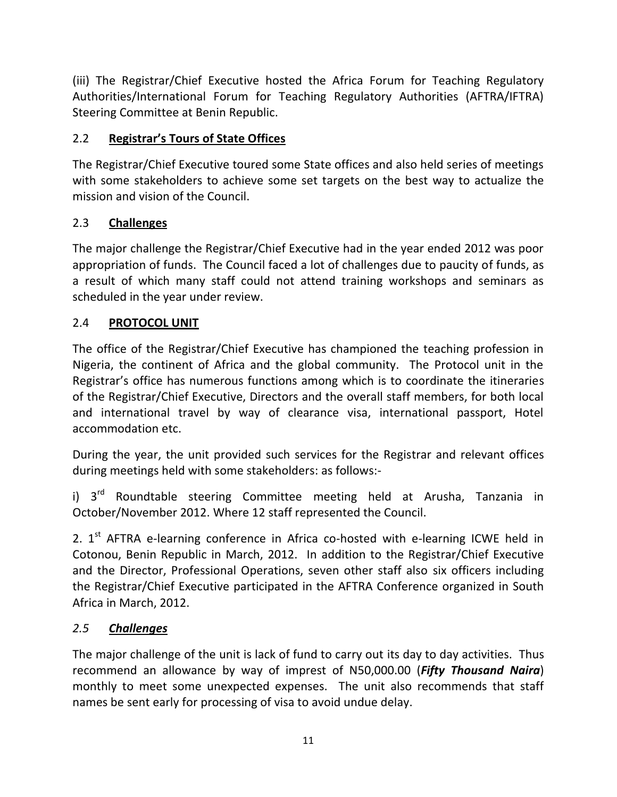(iii) The Registrar/Chief Executive hosted the Africa Forum for Teaching Regulatory Authorities/International Forum for Teaching Regulatory Authorities (AFTRA/IFTRA) Steering Committee at Benin Republic.

# 2.2 **Registrar's Tours of State Offices**

The Registrar/Chief Executive toured some State offices and also held series of meetings with some stakeholders to achieve some set targets on the best way to actualize the mission and vision of the Council.

# 2.3 **Challenges**

The major challenge the Registrar/Chief Executive had in the year ended 2012 was poor appropriation of funds. The Council faced a lot of challenges due to paucity of funds, as a result of which many staff could not attend training workshops and seminars as scheduled in the year under review.

# 2.4 **PROTOCOL UNIT**

The office of the Registrar/Chief Executive has championed the teaching profession in Nigeria, the continent of Africa and the global community. The Protocol unit in the Registrar's office has numerous functions among which is to coordinate the itineraries of the Registrar/Chief Executive, Directors and the overall staff members, for both local and international travel by way of clearance visa, international passport, Hotel accommodation etc.

During the year, the unit provided such services for the Registrar and relevant offices during meetings held with some stakeholders: as follows:-

i) 3<sup>rd</sup> Roundtable steering Committee meeting held at Arusha, Tanzania in October/November 2012. Where 12 staff represented the Council.

2. 1<sup>st</sup> AFTRA e-learning conference in Africa co-hosted with e-learning ICWE held in Cotonou, Benin Republic in March, 2012. In addition to the Registrar/Chief Executive and the Director, Professional Operations, seven other staff also six officers including the Registrar/Chief Executive participated in the AFTRA Conference organized in South Africa in March, 2012.

# *2.5 Challenges*

The major challenge of the unit is lack of fund to carry out its day to day activities. Thus recommend an allowance by way of imprest of N50,000.00 (*Fifty Thousand Naira*) monthly to meet some unexpected expenses. The unit also recommends that staff names be sent early for processing of visa to avoid undue delay.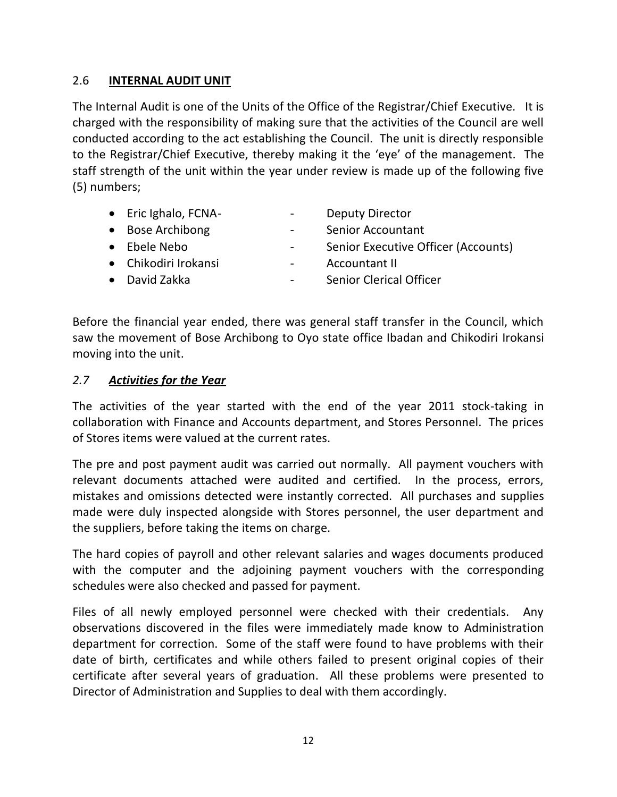## 2.6 **INTERNAL AUDIT UNIT**

The Internal Audit is one of the Units of the Office of the Registrar/Chief Executive. It is charged with the responsibility of making sure that the activities of the Council are well conducted according to the act establishing the Council. The unit is directly responsible to the Registrar/Chief Executive, thereby making it the 'eye' of the management. The staff strength of the unit within the year under review is made up of the following five (5) numbers;

- Eric Ighalo, FCNA-<br>
and the Computy Director
- Bose Archibong The Contract Contract Senior Accountant
- Ebele Nebo Senior Executive Officer (Accounts)
- -
- Chikodiri Irokansi Accountant II
- David Zakka Senior Clerical Officer

Before the financial year ended, there was general staff transfer in the Council, which saw the movement of Bose Archibong to Oyo state office Ibadan and Chikodiri Irokansi moving into the unit.

### *2.7 Activities for the Year*

The activities of the year started with the end of the year 2011 stock-taking in collaboration with Finance and Accounts department, and Stores Personnel. The prices of Stores items were valued at the current rates.

The pre and post payment audit was carried out normally. All payment vouchers with relevant documents attached were audited and certified. In the process, errors, mistakes and omissions detected were instantly corrected. All purchases and supplies made were duly inspected alongside with Stores personnel, the user department and the suppliers, before taking the items on charge.

The hard copies of payroll and other relevant salaries and wages documents produced with the computer and the adjoining payment vouchers with the corresponding schedules were also checked and passed for payment.

Files of all newly employed personnel were checked with their credentials. Any observations discovered in the files were immediately made know to Administration department for correction. Some of the staff were found to have problems with their date of birth, certificates and while others failed to present original copies of their certificate after several years of graduation. All these problems were presented to Director of Administration and Supplies to deal with them accordingly.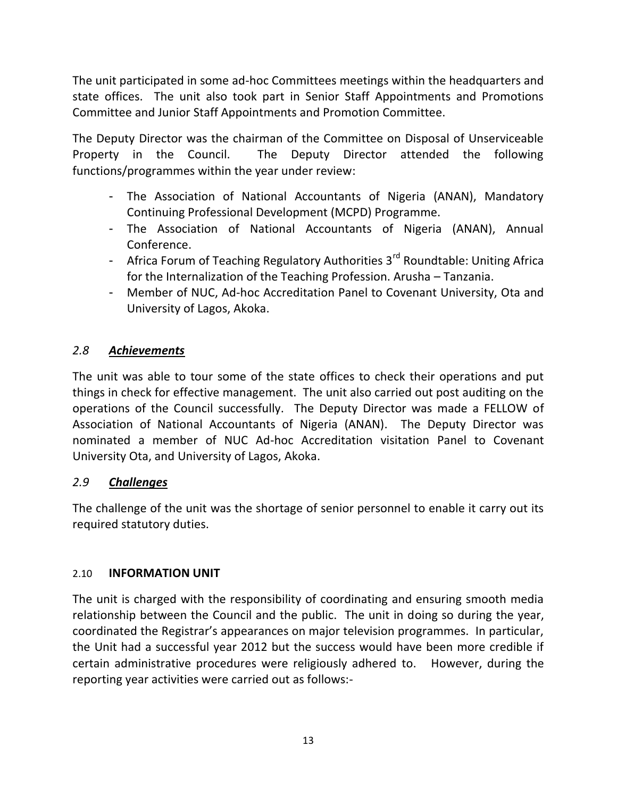The unit participated in some ad-hoc Committees meetings within the headquarters and state offices. The unit also took part in Senior Staff Appointments and Promotions Committee and Junior Staff Appointments and Promotion Committee.

The Deputy Director was the chairman of the Committee on Disposal of Unserviceable Property in the Council. The Deputy Director attended the following functions/programmes within the year under review:

- The Association of National Accountants of Nigeria (ANAN), Mandatory Continuing Professional Development (MCPD) Programme.
- The Association of National Accountants of Nigeria (ANAN), Annual Conference.
- Africa Forum of Teaching Regulatory Authorities 3<sup>rd</sup> Roundtable: Uniting Africa for the Internalization of the Teaching Profession. Arusha – Tanzania.
- Member of NUC, Ad-hoc Accreditation Panel to Covenant University, Ota and University of Lagos, Akoka.

## *2.8 Achievements*

The unit was able to tour some of the state offices to check their operations and put things in check for effective management. The unit also carried out post auditing on the operations of the Council successfully. The Deputy Director was made a FELLOW of Association of National Accountants of Nigeria (ANAN). The Deputy Director was nominated a member of NUC Ad-hoc Accreditation visitation Panel to Covenant University Ota, and University of Lagos, Akoka.

## *2.9 Challenges*

The challenge of the unit was the shortage of senior personnel to enable it carry out its required statutory duties.

## 2.10 **INFORMATION UNIT**

The unit is charged with the responsibility of coordinating and ensuring smooth media relationship between the Council and the public. The unit in doing so during the year, coordinated the Registrar's appearances on major television programmes. In particular, the Unit had a successful year 2012 but the success would have been more credible if certain administrative procedures were religiously adhered to. However, during the reporting year activities were carried out as follows:-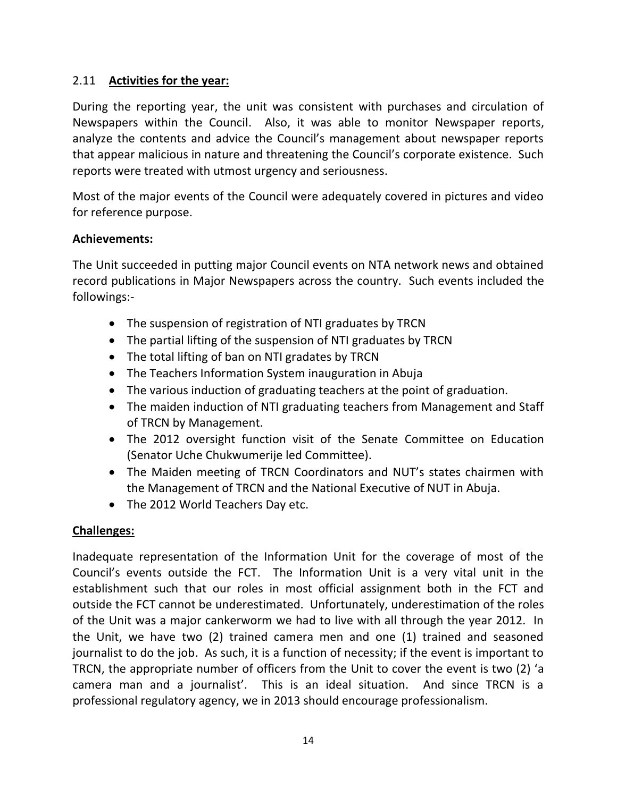## 2.11 **Activities for the year:**

During the reporting year, the unit was consistent with purchases and circulation of Newspapers within the Council. Also, it was able to monitor Newspaper reports, analyze the contents and advice the Council's management about newspaper reports that appear malicious in nature and threatening the Council's corporate existence. Such reports were treated with utmost urgency and seriousness.

Most of the major events of the Council were adequately covered in pictures and video for reference purpose.

### **Achievements:**

The Unit succeeded in putting major Council events on NTA network news and obtained record publications in Major Newspapers across the country. Such events included the followings:-

- The suspension of registration of NTI graduates by TRCN
- The partial lifting of the suspension of NTI graduates by TRCN
- The total lifting of ban on NTI gradates by TRCN
- The Teachers Information System inauguration in Abuja
- The various induction of graduating teachers at the point of graduation.
- The maiden induction of NTI graduating teachers from Management and Staff of TRCN by Management.
- The 2012 oversight function visit of the Senate Committee on Education (Senator Uche Chukwumerije led Committee).
- The Maiden meeting of TRCN Coordinators and NUT's states chairmen with the Management of TRCN and the National Executive of NUT in Abuja.
- The 2012 World Teachers Day etc.

## **Challenges:**

Inadequate representation of the Information Unit for the coverage of most of the Council's events outside the FCT. The Information Unit is a very vital unit in the establishment such that our roles in most official assignment both in the FCT and outside the FCT cannot be underestimated. Unfortunately, underestimation of the roles of the Unit was a major cankerworm we had to live with all through the year 2012. In the Unit, we have two (2) trained camera men and one (1) trained and seasoned journalist to do the job. As such, it is a function of necessity; if the event is important to TRCN, the appropriate number of officers from the Unit to cover the event is two (2) 'a camera man and a journalist'. This is an ideal situation. And since TRCN is a professional regulatory agency, we in 2013 should encourage professionalism.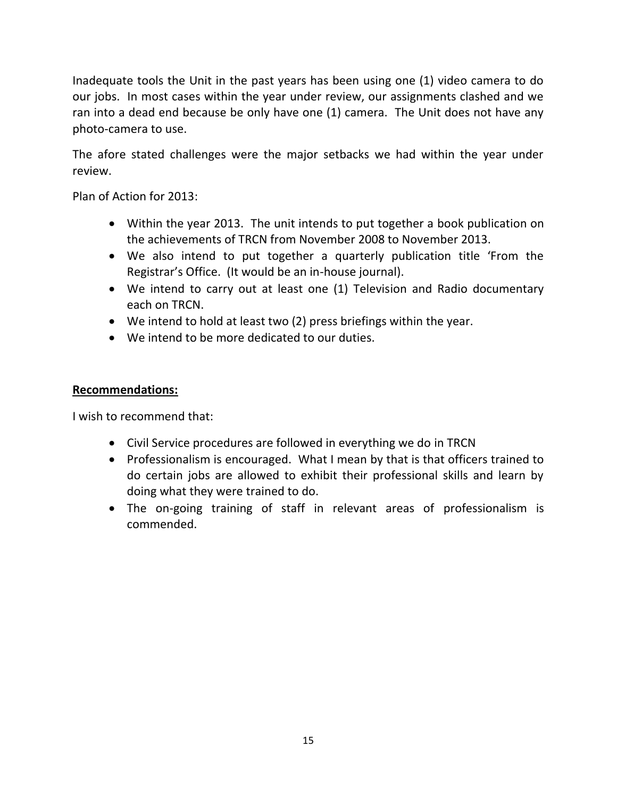Inadequate tools the Unit in the past years has been using one (1) video camera to do our jobs. In most cases within the year under review, our assignments clashed and we ran into a dead end because be only have one (1) camera. The Unit does not have any photo-camera to use.

The afore stated challenges were the major setbacks we had within the year under review.

Plan of Action for 2013:

- Within the year 2013. The unit intends to put together a book publication on the achievements of TRCN from November 2008 to November 2013.
- We also intend to put together a quarterly publication title 'From the Registrar's Office. (It would be an in-house journal).
- We intend to carry out at least one (1) Television and Radio documentary each on TRCN.
- We intend to hold at least two (2) press briefings within the year.
- We intend to be more dedicated to our duties.

### **Recommendations:**

I wish to recommend that:

- Civil Service procedures are followed in everything we do in TRCN
- Professionalism is encouraged. What I mean by that is that officers trained to do certain jobs are allowed to exhibit their professional skills and learn by doing what they were trained to do.
- The on-going training of staff in relevant areas of professionalism is commended.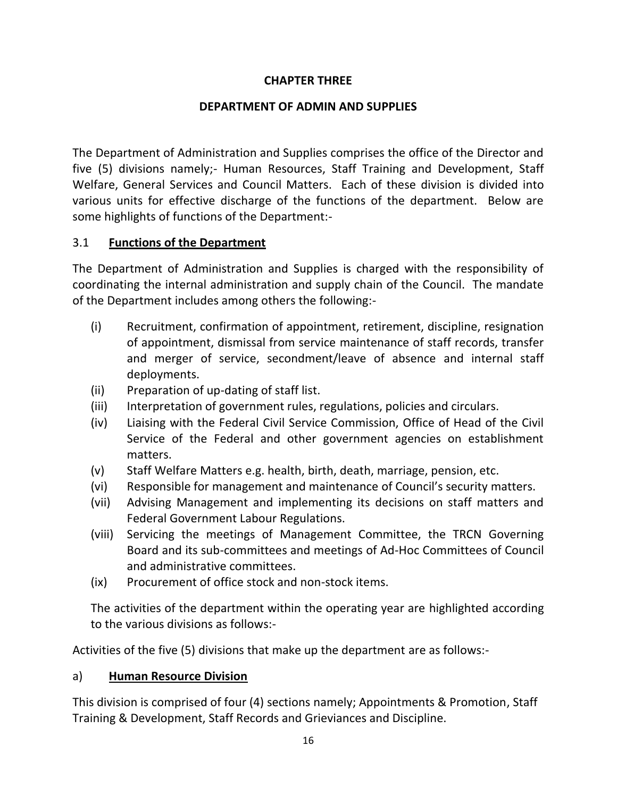## **CHAPTER THREE**

## **DEPARTMENT OF ADMIN AND SUPPLIES**

The Department of Administration and Supplies comprises the office of the Director and five (5) divisions namely;- Human Resources, Staff Training and Development, Staff Welfare, General Services and Council Matters. Each of these division is divided into various units for effective discharge of the functions of the department. Below are some highlights of functions of the Department:-

## 3.1 **Functions of the Department**

The Department of Administration and Supplies is charged with the responsibility of coordinating the internal administration and supply chain of the Council. The mandate of the Department includes among others the following:-

- (i) Recruitment, confirmation of appointment, retirement, discipline, resignation of appointment, dismissal from service maintenance of staff records, transfer and merger of service, secondment/leave of absence and internal staff deployments.
- (ii) Preparation of up-dating of staff list.
- (iii) Interpretation of government rules, regulations, policies and circulars.
- (iv) Liaising with the Federal Civil Service Commission, Office of Head of the Civil Service of the Federal and other government agencies on establishment matters.
- (v) Staff Welfare Matters e.g. health, birth, death, marriage, pension, etc.
- (vi) Responsible for management and maintenance of Council's security matters.
- (vii) Advising Management and implementing its decisions on staff matters and Federal Government Labour Regulations.
- (viii) Servicing the meetings of Management Committee, the TRCN Governing Board and its sub-committees and meetings of Ad-Hoc Committees of Council and administrative committees.
- (ix) Procurement of office stock and non-stock items.

The activities of the department within the operating year are highlighted according to the various divisions as follows:-

Activities of the five (5) divisions that make up the department are as follows:-

## a) **Human Resource Division**

This division is comprised of four (4) sections namely; Appointments & Promotion, Staff Training & Development, Staff Records and Grieviances and Discipline.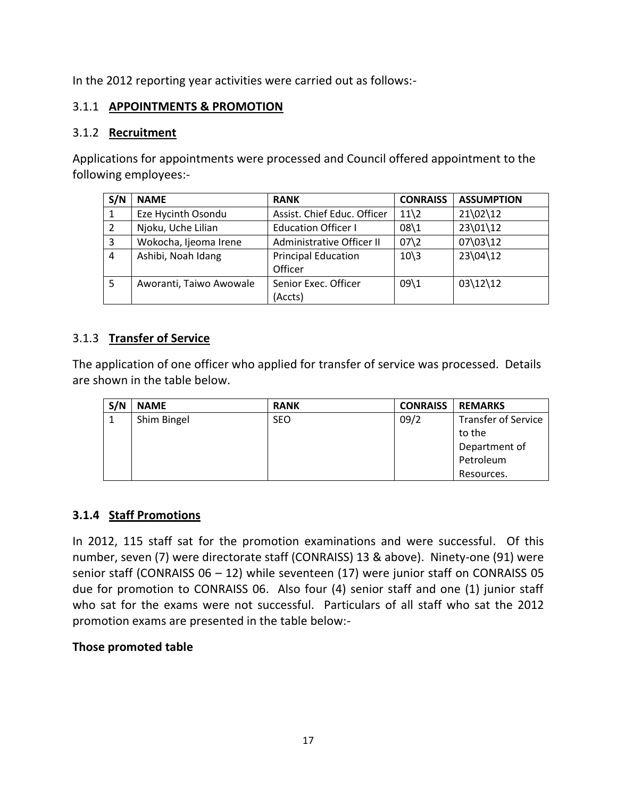In the 2012 reporting year activities were carried out as follows:-

## 3.1.1 **APPOINTMENTS & PROMOTION**

#### 3.1.2 **Recruitment**

Applications for appointments were processed and Council offered appointment to the following employees:-

| S/N            | <b>NAME</b>             | <b>RANK</b>                 | <b>CONRAISS</b>               | <b>ASSUMPTION</b> |
|----------------|-------------------------|-----------------------------|-------------------------------|-------------------|
|                | Eze Hycinth Osondu      | Assist. Chief Educ. Officer | $11\overline{\smash)2}$       | $21\,02\12$       |
| 2              | Njoku, Uche Lilian      | <b>Education Officer I</b>  | $08\backslash1$               | 23\01\12          |
| $\overline{3}$ | Wokocha, Ijeoma Irene   | Administrative Officer II   | $07\frac{2}{2}$               | 07\03\12          |
| $\overline{4}$ | Ashibi, Noah Idang      | <b>Principal Education</b>  | $10\overline{\smash{\big)}3}$ | 23\04\12          |
|                |                         | Officer                     |                               |                   |
| -5             | Aworanti, Taiwo Awowale | Senior Exec. Officer        | $09\backslash1$               | $03\12\12$        |
|                |                         | (Accts)                     |                               |                   |

## 3.1.3 **Transfer of Service**

The application of one officer who applied for transfer of service was processed. Details are shown in the table below.

| S/N | <b>NAME</b> | <b>RANK</b> | <b>CONRAISS</b> | <b>REMARKS</b>             |
|-----|-------------|-------------|-----------------|----------------------------|
|     | Shim Bingel | <b>SEO</b>  | 09/2            | <b>Transfer of Service</b> |
|     |             |             |                 | to the                     |
|     |             |             |                 | Department of              |
|     |             |             |                 | Petroleum                  |
|     |             |             |                 | Resources.                 |

#### **3.1.4 Staff Promotions**

In 2012, 115 staff sat for the promotion examinations and were successful. Of this number, seven (7) were directorate staff (CONRAISS) 13 & above). Ninety-one (91) were senior staff (CONRAISS 06 – 12) while seventeen (17) were junior staff on CONRAISS 05 due for promotion to CONRAISS 06. Also four (4) senior staff and one (1) junior staff who sat for the exams were not successful. Particulars of all staff who sat the 2012 promotion exams are presented in the table below:-

#### **Those promoted table**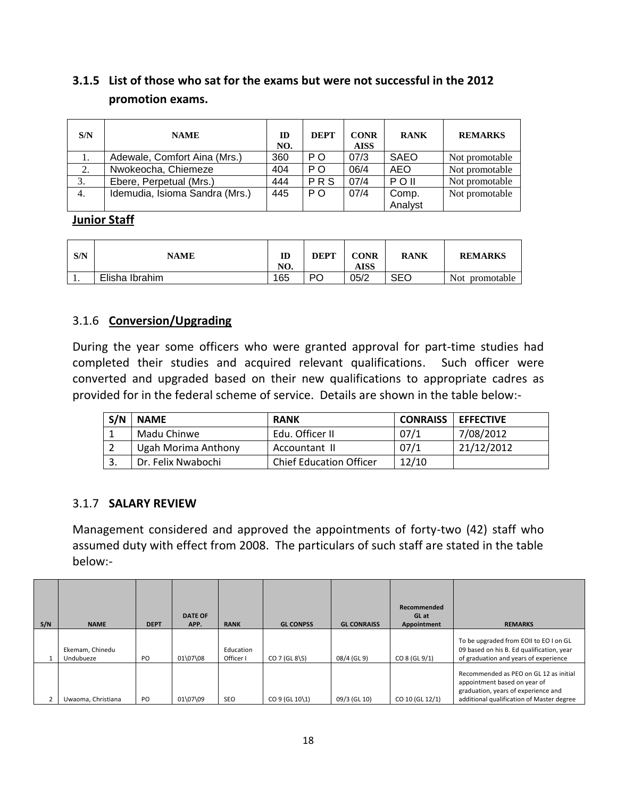# **3.1.5 List of those who sat for the exams but were not successful in the 2012 promotion exams.**

| S/N | <b>NAME</b>                    | ID<br>NO. | <b>DEPT</b>    | <b>CONR</b><br><b>AISS</b> | <b>RANK</b> | <b>REMARKS</b> |
|-----|--------------------------------|-----------|----------------|----------------------------|-------------|----------------|
|     | Adewale, Comfort Aina (Mrs.)   | 360       | P <sub>O</sub> | 07/3                       | SAEO        | Not promotable |
| 2.  | Nwokeocha, Chiemeze            | 404       | P <sub>O</sub> | 06/4                       | AEO         | Not promotable |
| 3.  | Ebere, Perpetual (Mrs.)        | 444       | PRS            | 07/4                       | $P$ O II    | Not promotable |
| 4.  | Idemudia, Isioma Sandra (Mrs.) | 445       | P <sub>O</sub> | 07/4                       | Comp.       | Not promotable |
|     |                                |           |                |                            | Analyst     |                |

#### **Junior Staff**

| S/N | <b>NAME</b>    | ID<br>NO. | <b>DEPT</b> | CONR<br><b>AISS</b> | <b>RANK</b> | <b>REMARKS</b>           |
|-----|----------------|-----------|-------------|---------------------|-------------|--------------------------|
| . . | Elisha Ibrahim | 165       | РC          | 05/2                | <b>SEO</b>  | <b>Not</b><br>promotable |

## 3.1.6 **Conversion/Upgrading**

During the year some officers who were granted approval for part-time studies had completed their studies and acquired relevant qualifications. Such officer were converted and upgraded based on their new qualifications to appropriate cadres as provided for in the federal scheme of service. Details are shown in the table below:-

| S/N | <b>NAME</b>         | <b>RANK</b>                    | <b>CONRAISS</b> | <b>I EFFECTIVE</b> |
|-----|---------------------|--------------------------------|-----------------|--------------------|
|     | Madu Chinwe         | Edu. Officer II                | 07/1            | 7/08/2012          |
|     | Ugah Morima Anthony | Accountant II                  | 07/1            | 21/12/2012         |
|     | Dr. Felix Nwabochi  | <b>Chief Education Officer</b> | 12/10           |                    |

## 3.1.7 **SALARY REVIEW**

Management considered and approved the appointments of forty-two (42) staff who assumed duty with effect from 2008. The particulars of such staff are stated in the table below:-

| S/N | <b>NAME</b>                  | <b>DEPT</b> | <b>DATE OF</b><br>APP. | <b>RANK</b>            | <b>GL CONPSS</b> | <b>GL CONRAISS</b> | Recommended<br>GL at<br>Appointment | <b>REMARKS</b>                                                                                                                                             |
|-----|------------------------------|-------------|------------------------|------------------------|------------------|--------------------|-------------------------------------|------------------------------------------------------------------------------------------------------------------------------------------------------------|
|     | Ekemam, Chinedu<br>Undubueze | PO          | 01\07\08               | Education<br>Officer I | $CO$ 7 (GL 8\5)  | 08/4 (GL 9)        | $CO 8$ (GL $9/1$ )                  | To be upgraded from EOII to EO I on GL<br>09 based on his B. Ed qualification, year<br>of graduation and years of experience                               |
|     | Uwaoma, Christiana           | <b>PO</b>   | 01\07\09               | <b>SEO</b>             | CO 9 (GL 10\1)   | 09/3 (GL 10)       | CO 10 (GL 12/1)                     | Recommended as PEO on GL 12 as initial<br>appointment based on year of<br>graduation, years of experience and<br>additional qualification of Master degree |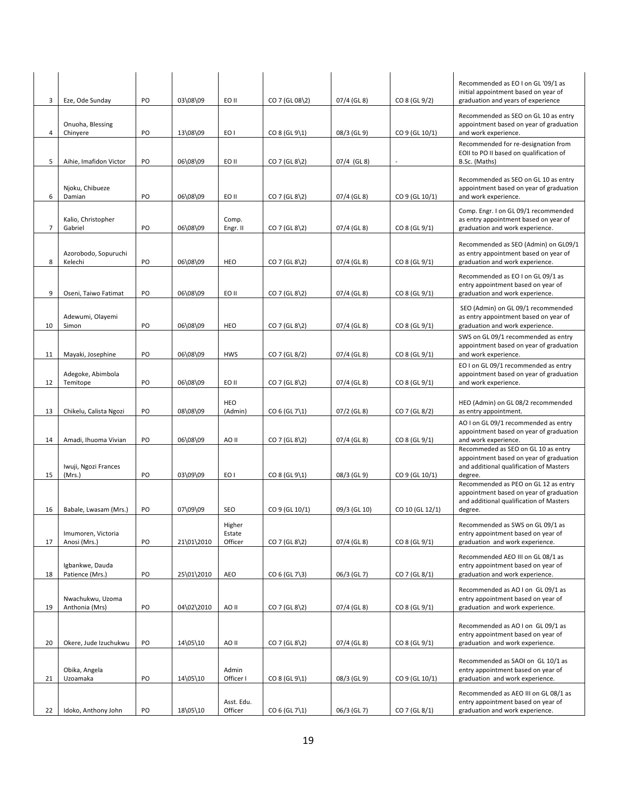| 3  | Eze, Ode Sunday                    | PO | 03\08\09   | EO II                       | CO 7 (GL 08\2)        | 07/4 (GL 8)   | CO 8 (GL 9/2)            | Recommended as EO I on GL '09/1 as<br>initial appointment based on year of<br>graduation and years of experience                     |
|----|------------------------------------|----|------------|-----------------------------|-----------------------|---------------|--------------------------|--------------------------------------------------------------------------------------------------------------------------------------|
| 4  | Onuoha, Blessing<br>Chinyere       | PO | 13\08\09   | EO I                        | $CO 8$ (GL $9\{1\}$ ) | 08/3 (GL 9)   | CO 9 (GL 10/1)           | Recommended as SEO on GL 10 as entry<br>appointment based on year of graduation<br>and work experience.                              |
|    |                                    |    |            |                             |                       |               |                          | Recommended for re-designation from<br>EOII to PO II based on qualification of                                                       |
| 5  | Aihie, Imafidon Victor             | PO | 06\08\09   | EO II                       | $CO$ 7 (GL 8\2)       | 07/4 (GL8)    | $\overline{\phantom{a}}$ | B.Sc. (Maths)                                                                                                                        |
| 6  | Njoku, Chibueze<br>Damian          | PO | 06\08\09   | EO II                       | $CO$ 7 (GL 8\2)       | 07/4 (GL 8)   | CO 9 (GL 10/1)           | Recommended as SEO on GL 10 as entry<br>appointment based on year of graduation<br>and work experience.                              |
| 7  | Kalio, Christopher<br>Gabriel      | PO | 06\08\09   | Comp.<br>Engr. II           | $CO$ 7 (GL 8\2)       | 07/4 (GL 8)   | CO 8 (GL 9/1)            | Comp. Engr. I on GL 09/1 recommended<br>as entry appointment based on year of<br>graduation and work experience.                     |
| 8  | Azorobodo, Sopuruchi<br>Kelechi    | PO | 06\08\09   | HEO                         | $CO$ 7 (GL 8\2)       | 07/4 (GL 8)   | CO 8 (GL 9/1)            | Recommended as SEO (Admin) on GL09/1<br>as entry appointment based on year of<br>graduation and work experience.                     |
| 9  | Oseni, Taiwo Fatimat               | PO | 06\08\09   | EO II                       | $CO$ 7 (GL 8\2)       | 07/4 (GL 8)   | CO 8 (GL 9/1)            | Recommended as EO I on GL 09/1 as<br>entry appointment based on year of<br>graduation and work experience.                           |
|    |                                    |    |            |                             |                       |               |                          | SEO (Admin) on GL 09/1 recommended                                                                                                   |
| 10 | Adewumi, Olayemi<br>Simon          | PO | 06\08\09   | HEO                         | $CO$ 7 (GL 8\2)       | 07/4 (GL 8)   | CO 8 (GL 9/1)            | as entry appointment based on year of<br>graduation and work experience.                                                             |
| 11 | Mayaki, Josephine                  | PO | 06\08\09   | <b>HWS</b>                  | CO 7 (GL 8/2)         | $07/4$ (GL 8) | CO 8 (GL 9/1)            | SWS on GL 09/1 recommended as entry<br>appointment based on year of graduation<br>and work experience.                               |
| 12 | Adegoke, Abimbola<br>Temitope      | PO | 06\08\09   | EO II                       | $CO$ 7 (GL 8\2)       | 07/4 (GL 8)   | CO 8 (GL 9/1)            | EO I on GL 09/1 recommended as entry<br>appointment based on year of graduation<br>and work experience.                              |
|    |                                    |    |            | HEO                         |                       |               |                          | HEO (Admin) on GL 08/2 recommended                                                                                                   |
| 13 | Chikelu, Calista Ngozi             | PO | 08\08\09   | (Admin)                     | $CO 6$ (GL 7\1)       | 07/2 (GL 8)   | CO 7 (GL 8/2)            | as entry appointment.<br>AO I on GL 09/1 recommended as entry                                                                        |
| 14 | Amadi, Ihuoma Vivian               | PO | 06\08\09   | AO II                       | $CO$ 7 (GL 8\2)       | 07/4 (GL 8)   | CO 8 (GL 9/1)            | appointment based on year of graduation<br>and work experience.                                                                      |
| 15 | Iwuji, Ngozi Frances<br>(Mrs.)     | PO | 03\09\09   | EO I                        | CO 8 (GL 91)          | 08/3 (GL 9)   | CO 9 (GL 10/1)           | Recommeded as SEO on GL 10 as entry<br>appointment based on year of graduation<br>and additional qualification of Masters<br>degree. |
|    |                                    |    |            |                             |                       |               |                          | Recommended as PEO on GL 12 as entry<br>appointment based on year of graduation<br>and additional qualification of Masters           |
| 16 | Babale, Lwasam (Mrs.)              | PO | 07\09\09   | SEO                         | CO 9 (GL 10/1)        | 09/3 (GL 10)  | CO 10 (GL 12/1)          | degree.                                                                                                                              |
| 17 | Imumoren, Victoria<br>Anosi (Mrs.) | PO | 21\01\2010 | Higher<br>Estate<br>Officer | $CO$ 7 (GL 8\2)       | 07/4 (GL 8)   | CO 8 (GL 9/1)            | Recommended as SWS on GL 09/1 as<br>entry appointment based on year of<br>graduation and work experience.                            |
| 18 | Igbankwe, Dauda<br>Patience (Mrs.) | PO | 25\01\2010 | <b>AEO</b>                  | $CO 6 (GL 7 \3)$      | 06/3 (GL 7)   | CO 7 (GL 8/1)            | Recommended AEO III on GL 08/1 as<br>entry appointment based on year of<br>graduation and work experience.                           |
|    |                                    |    |            |                             |                       |               |                          | Recommended as AO I on GL 09/1 as                                                                                                    |
| 19 | Nwachukwu, Uzoma<br>Anthonia (Mrs) | PO | 04\02\2010 | AO II                       | $CO$ 7 (GL 8\2)       | 07/4 (GL 8)   | CO 8 (GL 9/1)            | entry appointment based on year of<br>graduation and work experience.                                                                |
| 20 | Okere, Jude Izuchukwu              | PO | 14\05\10   | AO II                       | $CO$ 7 (GL 8\2)       | 07/4 (GL 8)   | CO 8 (GL 9/1)            | Recommended as AO I on GL 09/1 as<br>entry appointment based on year of<br>graduation and work experience.                           |
|    |                                    |    |            |                             |                       |               |                          |                                                                                                                                      |
| 21 | Obika, Angela<br>Uzoamaka          | PO | 14\05\10   | Admin<br>Officer I          | CO 8 (GL 91)          | 08/3 (GL 9)   | CO 9 (GL 10/1)           | Recommended as SAOI on GL 10/1 as<br>entry appointment based on year of<br>graduation and work experience.                           |
|    |                                    |    |            | Asst. Edu.                  |                       |               |                          | Recommended as AEO III on GL 08/1 as<br>entry appointment based on year of                                                           |
| 22 | Idoko, Anthony John                | PO | 18\05\10   | Officer                     | $CO 6$ (GL 7\1)       | 06/3 (GL 7)   | CO 7 (GL 8/1)            | graduation and work experience.                                                                                                      |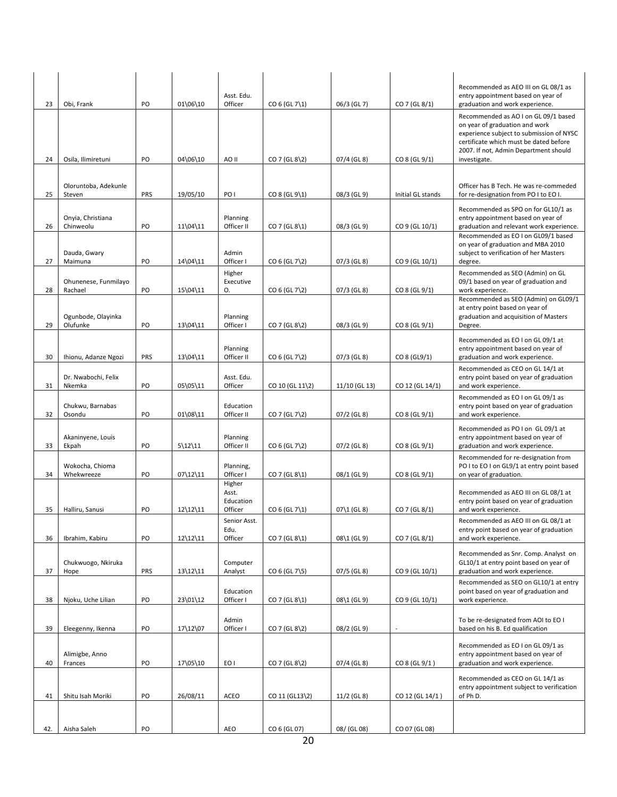|     |                                 |     |            |                                         |                     |               |                   | Recommended as AEO III on GL 08/1 as                                                                                                                                                                                  |
|-----|---------------------------------|-----|------------|-----------------------------------------|---------------------|---------------|-------------------|-----------------------------------------------------------------------------------------------------------------------------------------------------------------------------------------------------------------------|
| 23  | Obi, Frank                      | PO  | 01\06\10   | Asst. Edu.<br>Officer                   | CO 6 (GL 7\1)       | 06/3 (GL 7)   | CO 7 (GL 8/1)     | entry appointment based on year of<br>graduation and work experience.                                                                                                                                                 |
| 24  | Osila, Ilimiretuni              | PO  | 04\06\10   | AO II                                   | $CO$ 7 (GL 8\2)     | 07/4 (GL 8)   | CO 8 (GL 9/1)     | Recommended as AO I on GL 09/1 based<br>on year of graduation and work<br>experience subject to submission of NYSC<br>certificate which must be dated before<br>2007. If not, Admin Department should<br>investigate. |
|     |                                 |     |            |                                         |                     |               |                   |                                                                                                                                                                                                                       |
| 25  | Oloruntoba, Adekunle<br>Steven  | PRS | 19/05/10   | PO I                                    | CO 8 (GL 9\1)       | 08/3 (GL 9)   | Initial GL stands | Officer has B Tech. He was re-commeded<br>for re-designation from PO I to EO I.                                                                                                                                       |
| 26  | Onyia, Christiana<br>Chinweolu  | PO  | 11\04\11   | Planning<br>Officer II                  | CO 7 (GL 8\1)       | 08/3 (GL 9)   | CO 9 (GL 10/1)    | Recommended as SPO on for GL10/1 as<br>entry appointment based on year of<br>graduation and relevant work experience.                                                                                                 |
| 27  | Dauda, Gwary<br>Maimuna         | PO  | 14\04\11   | Admin<br>Officer I                      | $CO 6$ (GL 7\2)     | 07/3 (GL 8)   | CO 9 (GL 10/1)    | Recommended as EO I on GL09/1 based<br>on year of graduation and MBA 2010<br>subject to verification of her Masters<br>degree.                                                                                        |
| 28  | Ohunenese, Funmilayo<br>Rachael | PO  | 15\04\11   | Higher<br>Executive<br>О.               | $CO 6 (GL 7\2)$     | 07/3 (GL 8)   | CO 8 (GL 9/1)     | Recommended as SEO (Admin) on GL<br>09/1 based on year of graduation and<br>work experience.                                                                                                                          |
|     | Ogunbode, Olayinka              |     |            | Planning                                |                     |               |                   | Recommended as SEO (Admin) on GL09/1<br>at entry point based on year of<br>graduation and acquisition of Masters                                                                                                      |
| 29  | Olufunke                        | PO  | 13\04\11   | Officer I                               | $CO$ 7 (GL 8\2)     | 08/3 (GL 9)   | CO 8 (GL 9/1)     | Degree.                                                                                                                                                                                                               |
| 30  | Ihionu, Adanze Ngozi            | PRS | 13\04\11   | Planning<br>Officer II                  | $CO 6 (GL 7\2)$     | 07/3 (GL 8)   | CO 8 (GL9/1)      | Recommended as EO I on GL 09/1 at<br>entry appointment based on year of<br>graduation and work experience.                                                                                                            |
| 31  | Dr. Nwabochi, Felix<br>Nkemka   | PO  | 05\05\11   | Asst. Edu.<br>Officer                   | $CO 10$ (GL $11\$ ) | 11/10 (GL 13) | CO 12 (GL 14/1)   | Recommended as CEO on GL 14/1 at<br>entry point based on year of graduation<br>and work experience.                                                                                                                   |
| 32  | Chukwu, Barnabas<br>Osondu      | PO  | 01\08\11   | Education<br>Officer II                 | $CO$ 7 (GL 7\2)     | 07/2 (GL 8)   | CO 8 (GL 9/1)     | Recommended as EO I on GL 09/1 as<br>entry point based on year of graduation<br>and work experience.                                                                                                                  |
| 33  | Akaninyene, Louis<br>Ekpah      | PO  | $5\12\11$  | Planning<br>Officer II                  | $CO 6$ (GL 7\2)     | $07/2$ (GL 8) | CO 8 (GL 9/1)     | Recommended as PO I on GL 09/1 at<br>entry appointment based on year of<br>graduation and work experience.                                                                                                            |
| 34  | Wokocha, Chioma<br>Whekwreeze   | PO  | $07\12\11$ | Planning,<br>Officer I                  | CO 7 (GL 8\1)       | 08/1 (GL 9)   | CO 8 (GL 9/1)     | Recommended for re-designation from<br>PO I to EO I on GL9/1 at entry point based<br>on year of graduation.                                                                                                           |
| 35  | Halliru, Sanusi                 | PO  | $12\12\11$ | Higher<br>Asst.<br>Education<br>Officer | $CO 6$ (GL 7\1)     | $07\1$ (GL 8) | CO 7 (GL 8/1)     | Recommended as AEO III on GL 08/1 at<br>entry point based on year of graduation<br>and work experience.                                                                                                               |
| 36  | Ibrahim, Kabiru                 | PO  | 12\12\11   | Senior Asst.<br>Edu.<br>Officer         | CO 7 (GL 8\1)       | 08\1 (GL 9)   | CO 7 (GL 8/1)     | Recommended as AEO III on GL 08/1 at<br>entry point based on year of graduation<br>and work experience.                                                                                                               |
| 37  | Chukwuogo, Nkiruka<br>Hope      | PRS | 13\12\11   | Computer<br>Analyst                     | CO 6 (GL 7\5)       | 07/5 (GL 8)   | CO 9 (GL 10/1)    | Recommended as Snr. Comp. Analyst on<br>GL10/1 at entry point based on year of<br>graduation and work experience.                                                                                                     |
| 38  | Njoku, Uche Lilian              | PO  | 23\01\12   | Education<br>Officer I                  | CO 7 (GL 8\1)       | 08\1 (GL 9)   | CO 9 (GL 10/1)    | Recommended as SEO on GL10/1 at entry<br>point based on year of graduation and<br>work experience.                                                                                                                    |
|     |                                 |     |            |                                         |                     |               |                   |                                                                                                                                                                                                                       |
| 39  | Eleegenny, Ikenna               | PO  | 17\12\07   | Admin<br>Officer I                      | $CO$ 7 (GL 8\2)     | 08/2 (GL 9)   |                   | To be re-designated from AOI to EO I<br>based on his B. Ed qualification                                                                                                                                              |
| 40  | Alimigbe, Anno<br>Frances       | PO  | 17\05\10   | EO I                                    | $CO$ 7 (GL 8\2)     | 07/4 (GL 8)   | CO 8 (GL 9/1)     | Recommended as EO I on GL 09/1 as<br>entry appointment based on year of<br>graduation and work experience.                                                                                                            |
| 41  | Shitu Isah Moriki               | PO  | 26/08/11   | ACEO                                    | CO 11 (GL13\2)      | 11/2 (GL 8)   | CO 12 (GL 14/1)   | Recommended as CEO on GL 14/1 as<br>entry appointment subject to verification<br>of Ph D.                                                                                                                             |
|     |                                 |     |            |                                         |                     |               |                   |                                                                                                                                                                                                                       |
| 42. | Aisha Saleh                     | PO  |            | AEO                                     | CO 6 (GL 07)        | 08/ (GL 08)   | CO 07 (GL 08)     |                                                                                                                                                                                                                       |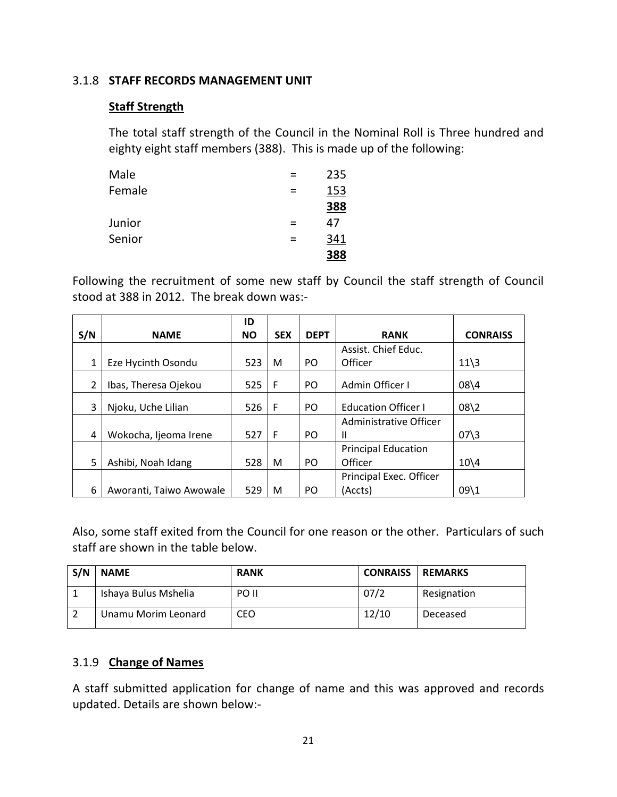### 3.1.8 **STAFF RECORDS MANAGEMENT UNIT**

## **Staff Strength**

The total staff strength of the Council in the Nominal Roll is Three hundred and eighty eight staff members (388). This is made up of the following:

| Male   |   | 235 |
|--------|---|-----|
| Female |   | 153 |
|        |   | 388 |
| Junior |   | 47  |
| Senior | = | 341 |
|        |   | 388 |

Following the recruitment of some new staff by Council the staff strength of Council stood at 388 in 2012. The break down was:-

|     |                         | ID        |            |                |                            |                         |
|-----|-------------------------|-----------|------------|----------------|----------------------------|-------------------------|
| S/N | <b>NAME</b>             | <b>NO</b> | <b>SEX</b> | <b>DEPT</b>    | <b>RANK</b>                | <b>CONRAISS</b>         |
|     |                         |           |            |                | Assist. Chief Educ.        |                         |
|     | Eze Hycinth Osondu      | 523       | M          | PO.            | Officer                    | $11\overline{\smash)3}$ |
| 2   | Ibas, Theresa Ojekou    | 525       | F          | P <sub>O</sub> | Admin Officer I            | $08\sqrt{4}$            |
| 3   | Njoku, Uche Lilian      | 526       | F          | P <sub>O</sub> | <b>Education Officer I</b> | $08\sqrt{2}$            |
|     |                         |           |            |                | Administrative Officer     |                         |
| 4   | Wokocha, Ijeoma Irene   | 527       | F          | P <sub>O</sub> | Ш                          | $07\frac{3}{3}$         |
|     |                         |           |            |                | <b>Principal Education</b> |                         |
| 5   | Ashibi, Noah Idang      | 528       | M          | P <sub>O</sub> | Officer                    | $10\sqrt{4}$            |
|     |                         |           |            |                | Principal Exec. Officer    |                         |
| 6   | Aworanti, Taiwo Awowale | 529       | M          | PO.            | (Accts)                    | $09\backslash1$         |

Also, some staff exited from the Council for one reason or the other. Particulars of such staff are shown in the table below.

| S/N | <b>NAME</b>          | <b>RANK</b> | <b>CONRAISS</b> | <b>REMARKS</b> |
|-----|----------------------|-------------|-----------------|----------------|
|     | Ishaya Bulus Mshelia | PO II       | 07/2            | Resignation    |
|     | Unamu Morim Leonard  | CEO         | 12/10           | Deceased       |

## 3.1.9 **Change of Names**

A staff submitted application for change of name and this was approved and records updated. Details are shown below:-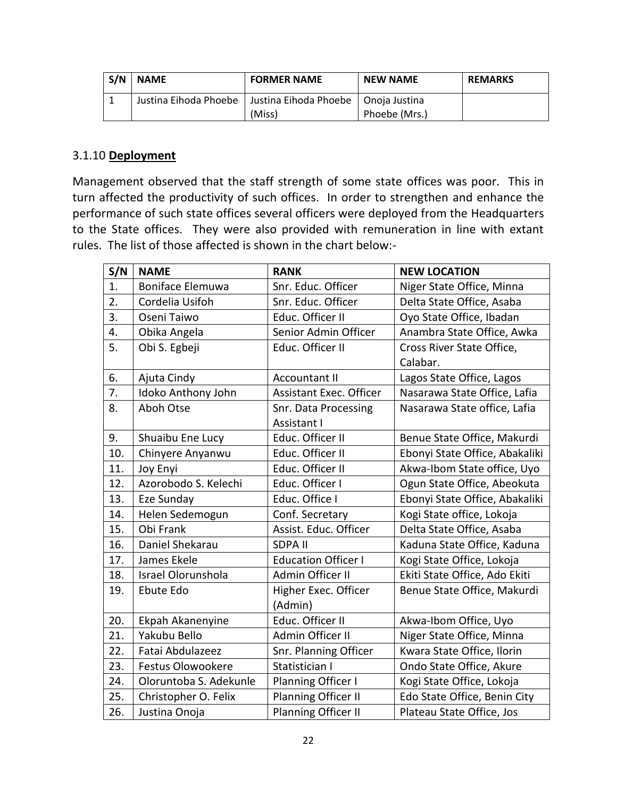| S/N | <b>NAME</b>           | <b>FORMER NAME</b>                    |               | <b>REMARKS</b> |
|-----|-----------------------|---------------------------------------|---------------|----------------|
|     | Justina Eihoda Phoebe | Justina Eihoda Phoebe   Onoja Justina |               |                |
|     |                       | (Miss)                                | Phoebe (Mrs.) |                |

### 3.1.10 **Deployment**

Management observed that the staff strength of some state offices was poor. This in turn affected the productivity of such offices. In order to strengthen and enhance the performance of such state offices several officers were deployed from the Headquarters to the State offices. They were also provided with remuneration in line with extant rules. The list of those affected is shown in the chart below:-

| S/N | <b>NAME</b>               | <b>RANK</b>                    | <b>NEW LOCATION</b>            |
|-----|---------------------------|--------------------------------|--------------------------------|
| 1.  | <b>Boniface Elemuwa</b>   | Snr. Educ. Officer             | Niger State Office, Minna      |
| 2.  | Cordelia Usifoh           | Snr. Educ. Officer             | Delta State Office, Asaba      |
| 3.  | Oseni Taiwo               | Educ. Officer II               | Oyo State Office, Ibadan       |
| 4.  | Obika Angela              | Senior Admin Officer           | Anambra State Office, Awka     |
| 5.  | Obi S. Egbeji             | Educ. Officer II               | Cross River State Office,      |
|     |                           |                                | Calabar.                       |
| 6.  | Ajuta Cindy               | <b>Accountant II</b>           | Lagos State Office, Lagos      |
| 7.  | Idoko Anthony John        | <b>Assistant Exec. Officer</b> | Nasarawa State Office, Lafia   |
| 8.  | Aboh Otse                 | Snr. Data Processing           | Nasarawa State office, Lafia   |
|     |                           | Assistant I                    |                                |
| 9.  | Shuaibu Ene Lucy          | Educ. Officer II               | Benue State Office, Makurdi    |
| 10. | Chinyere Anyanwu          | Educ. Officer II               | Ebonyi State Office, Abakaliki |
| 11. | Joy Enyi                  | Educ. Officer II               | Akwa-Ibom State office, Uyo    |
| 12. | Azorobodo S. Kelechi      | Educ. Officer I                | Ogun State Office, Abeokuta    |
| 13. | Eze Sunday                | Educ. Office I                 | Ebonyi State Office, Abakaliki |
| 14. | Helen Sedemogun           | Conf. Secretary                | Kogi State office, Lokoja      |
| 15. | Obi Frank                 | Assist. Educ. Officer          | Delta State Office, Asaba      |
| 16. | Daniel Shekarau           | <b>SDPA II</b>                 | Kaduna State Office, Kaduna    |
| 17. | James Ekele               | <b>Education Officer I</b>     | Kogi State Office, Lokoja      |
| 18. | <b>Israel Olorunshola</b> | Admin Officer II               | Ekiti State Office, Ado Ekiti  |
| 19. | Ebute Edo                 | Higher Exec. Officer           | Benue State Office, Makurdi    |
|     |                           | (Admin)                        |                                |
| 20. | Ekpah Akanenyine          | Educ. Officer II               | Akwa-Ibom Office, Uyo          |
| 21. | Yakubu Bello              | Admin Officer II               | Niger State Office, Minna      |
| 22. | Fatai Abdulazeez          | Snr. Planning Officer          | Kwara State Office, Ilorin     |
| 23. | <b>Festus Olowookere</b>  | Statistician I                 | Ondo State Office, Akure       |
| 24. | Oloruntoba S. Adekunle    | Planning Officer I             | Kogi State Office, Lokoja      |
| 25. | Christopher O. Felix      | Planning Officer II            | Edo State Office, Benin City   |
| 26. | Justina Onoja             | Planning Officer II            | Plateau State Office, Jos      |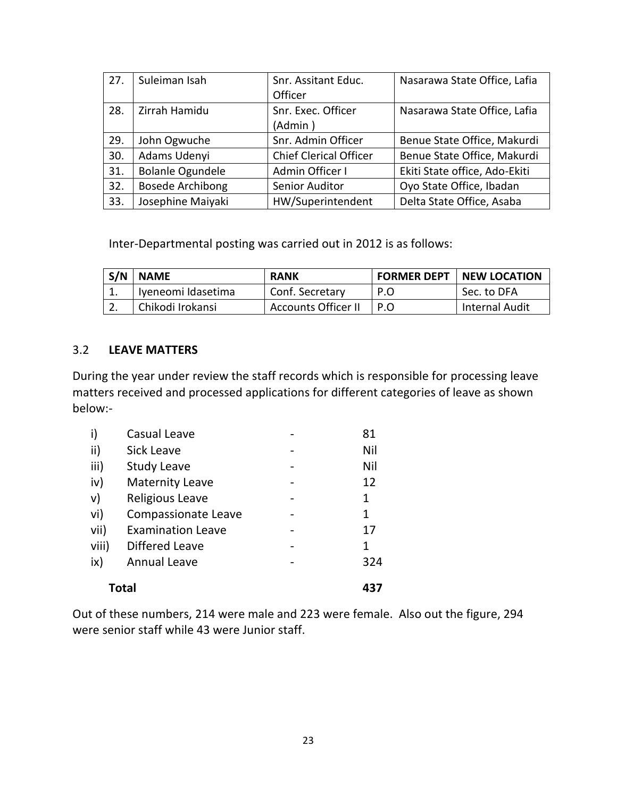| 27. | Suleiman Isah           | Snr. Assitant Educ.           | Nasarawa State Office, Lafia  |
|-----|-------------------------|-------------------------------|-------------------------------|
|     |                         | Officer                       |                               |
| 28. | Zirrah Hamidu           | Snr. Exec. Officer            | Nasarawa State Office, Lafia  |
|     |                         | (Admin)                       |                               |
| 29. | John Ogwuche            | Snr. Admin Officer            | Benue State Office, Makurdi   |
| 30. | Adams Udenyi            | <b>Chief Clerical Officer</b> | Benue State Office, Makurdi   |
| 31. | <b>Bolanle Ogundele</b> | Admin Officer I               | Ekiti State office, Ado-Ekiti |
| 32. | <b>Bosede Archibong</b> | Senior Auditor                | Oyo State Office, Ibadan      |
| 33. | Josephine Maiyaki       | HW/Superintendent             | Delta State Office, Asaba     |

Inter-Departmental posting was carried out in 2012 is as follows:

| S/N NAME           | <b>RANK</b>                |     | <b>FORMER DEPT   NEW LOCATION</b> |  |
|--------------------|----------------------------|-----|-----------------------------------|--|
| Iyeneomi Idasetima | Conf. Secretary            | P.O | Sec. to DFA                       |  |
| Chikodi Irokansi   | <b>Accounts Officer II</b> | P.O | Internal Audit                    |  |

#### 3.2 **LEAVE MATTERS**

During the year under review the staff records which is responsible for processing leave matters received and processed applications for different categories of leave as shown below:-

| <b>Total</b>  |                            |  |     |  |  |
|---------------|----------------------------|--|-----|--|--|
| ix)           | <b>Annual Leave</b>        |  | 324 |  |  |
| viii)         | Differed Leave             |  | 1   |  |  |
| vii)          | <b>Examination Leave</b>   |  | 17  |  |  |
| vi)           | <b>Compassionate Leave</b> |  | 1   |  |  |
| $\mathsf{v})$ | <b>Religious Leave</b>     |  | 1   |  |  |
| iv)           | <b>Maternity Leave</b>     |  | 12  |  |  |
| iii)          | <b>Study Leave</b>         |  | Nil |  |  |
| ii)           | <b>Sick Leave</b>          |  | Nil |  |  |
| i)            | Casual Leave               |  | 81  |  |  |

Out of these numbers, 214 were male and 223 were female. Also out the figure, 294 were senior staff while 43 were Junior staff.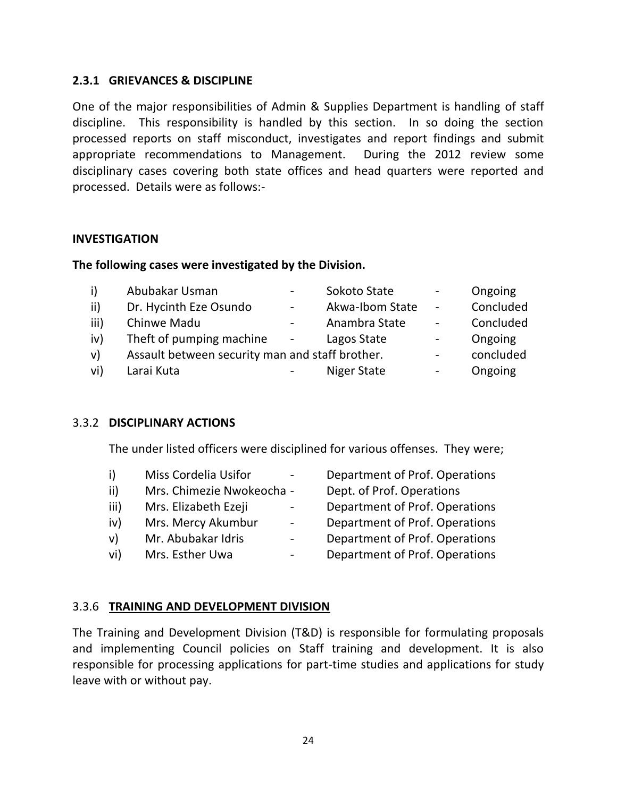#### **2.3.1 GRIEVANCES & DISCIPLINE**

One of the major responsibilities of Admin & Supplies Department is handling of staff discipline. This responsibility is handled by this section. In so doing the section processed reports on staff misconduct, investigates and report findings and submit appropriate recommendations to Management. During the 2012 review some disciplinary cases covering both state offices and head quarters were reported and processed. Details were as follows:-

#### **INVESTIGATION**

#### **The following cases were investigated by the Division.**

| i)           | Abubakar Usman                                  | $\overline{\phantom{a}}$ | Sokoto State    | $\overline{\phantom{0}}$ | Ongoing   |
|--------------|-------------------------------------------------|--------------------------|-----------------|--------------------------|-----------|
| ii)          | Dr. Hycinth Eze Osundo                          | $\blacksquare$           | Akwa-Ibom State | $\overline{\phantom{a}}$ | Concluded |
| iii)         | Chinwe Madu                                     | $\overline{\phantom{a}}$ | Anambra State   | $\overline{\phantom{a}}$ | Concluded |
| iv)          | Theft of pumping machine                        | $\overline{\phantom{a}}$ | Lagos State     | $\overline{\phantom{0}}$ | Ongoing   |
| $\mathsf{v}$ | Assault between security man and staff brother. |                          |                 | $\overline{\phantom{0}}$ | concluded |
| vi)          | Larai Kuta                                      |                          | Niger State     |                          | Ongoing   |

#### 3.3.2 **DISCIPLINARY ACTIONS**

The under listed officers were disciplined for various offenses. They were;

i) Miss Cordelia Usifor - Department of Prof. Operations ii) Mrs. Chimezie Nwokeocha - Dept. of Prof. Operations iii) Mrs. Elizabeth Ezeji - Department of Prof. Operations iv) Mrs. Mercy Akumbur - Department of Prof. Operations v) Mr. Abubakar Idris - Department of Prof. Operations vi) Mrs. Esther Uwa - Department of Prof. Operations

#### 3.3.6 **TRAINING AND DEVELOPMENT DIVISION**

The Training and Development Division (T&D) is responsible for formulating proposals and implementing Council policies on Staff training and development. It is also responsible for processing applications for part-time studies and applications for study leave with or without pay.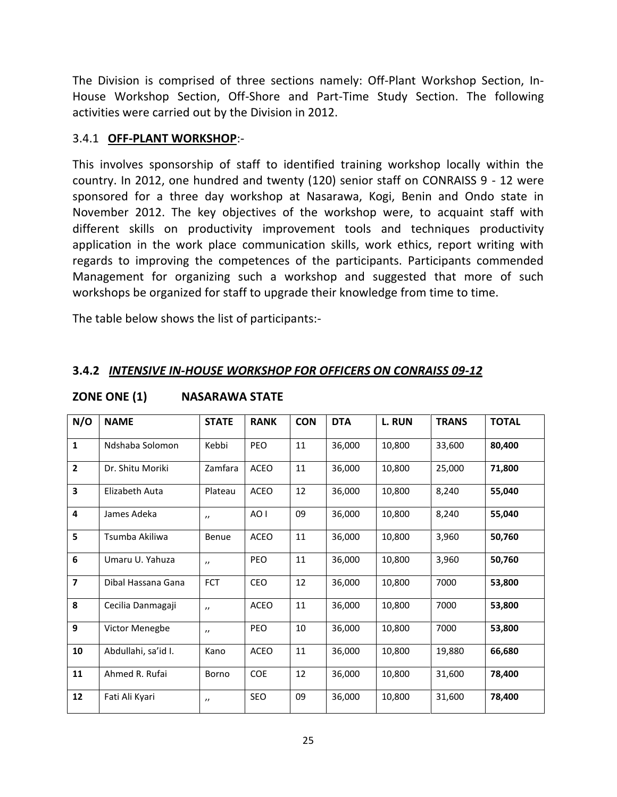The Division is comprised of three sections namely: Off-Plant Workshop Section, In-House Workshop Section, Off-Shore and Part-Time Study Section. The following activities were carried out by the Division in 2012.

## 3.4.1 **OFF-PLANT WORKSHOP**:-

This involves sponsorship of staff to identified training workshop locally within the country. In 2012, one hundred and twenty (120) senior staff on CONRAISS 9 - 12 were sponsored for a three day workshop at Nasarawa, Kogi, Benin and Ondo state in November 2012. The key objectives of the workshop were, to acquaint staff with different skills on productivity improvement tools and techniques productivity application in the work place communication skills, work ethics, report writing with regards to improving the competences of the participants. Participants commended Management for organizing such a workshop and suggested that more of such workshops be organized for staff to upgrade their knowledge from time to time.

The table below shows the list of participants:-

## **3.4.2** *INTENSIVE IN-HOUSE WORKSHOP FOR OFFICERS ON CONRAISS 09-12*

| N/O            | <b>NAME</b>         | <b>STATE</b>      | <b>RANK</b> | <b>CON</b> | <b>DTA</b> | L. RUN | <b>TRANS</b> | <b>TOTAL</b> |
|----------------|---------------------|-------------------|-------------|------------|------------|--------|--------------|--------------|
| $\mathbf{1}$   | Ndshaba Solomon     | Kebbi             | PEO         | 11         | 36,000     | 10,800 | 33,600       | 80,400       |
| $\mathbf{2}$   | Dr. Shitu Moriki    | Zamfara           | ACEO        | 11         | 36,000     | 10,800 | 25,000       | 71,800       |
| 3              | Elizabeth Auta      | Plateau           | ACEO        | 12         | 36,000     | 10,800 | 8,240        | 55,040       |
| 4              | James Adeka         | $^{\prime\prime}$ | AO I        | 09         | 36,000     | 10,800 | 8,240        | 55,040       |
| 5              | Tsumba Akiliwa      | Benue             | <b>ACEO</b> | 11         | 36,000     | 10,800 | 3,960        | 50,760       |
| 6              | Umaru U. Yahuza     | $^{\prime\prime}$ | PEO         | 11         | 36,000     | 10,800 | 3,960        | 50,760       |
| $\overline{7}$ | Dibal Hassana Gana  | FCT               | CEO         | 12         | 36,000     | 10,800 | 7000         | 53,800       |
| 8              | Cecilia Danmagaji   | $^{\prime}$       | ACEO        | 11         | 36,000     | 10,800 | 7000         | 53,800       |
| 9              | Victor Menegbe      | $^{\prime\prime}$ | PEO         | 10         | 36,000     | 10,800 | 7000         | 53,800       |
| 10             | Abdullahi, sa'id I. | Kano              | ACEO        | $11\,$     | 36,000     | 10,800 | 19,880       | 66,680       |
| 11             | Ahmed R. Rufai      | Borno             | COE         | 12         | 36,000     | 10,800 | 31,600       | 78,400       |
| 12             | Fati Ali Kyari      | $^{\prime\prime}$ | SEO         | 09         | 36,000     | 10,800 | 31,600       | 78,400       |

#### **ZONE ONE (1) NASARAWA STATE**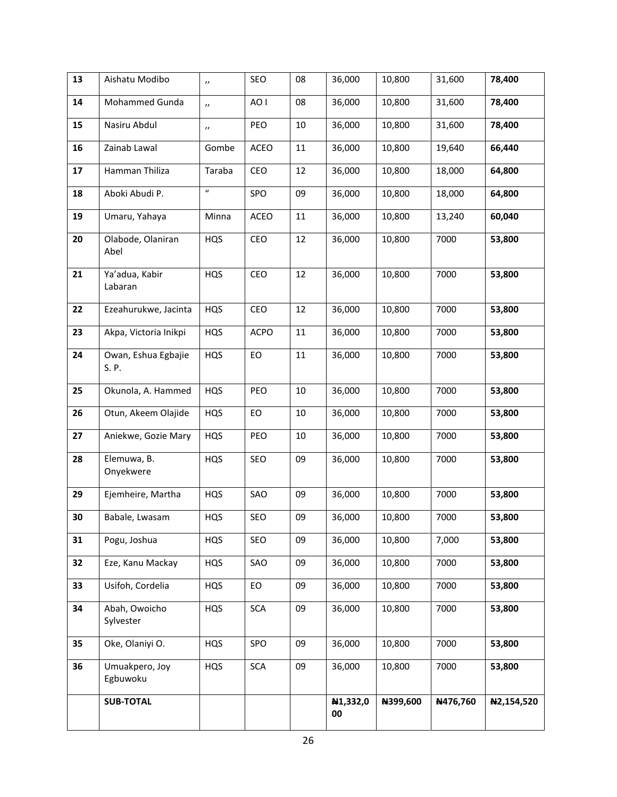| 13 | Aishatu Modibo               | $\boldsymbol{\eta}$        | SEO        | 08     | 36,000         | 10,800   | 31,600   | 78,400     |
|----|------------------------------|----------------------------|------------|--------|----------------|----------|----------|------------|
| 14 | Mohammed Gunda               | $\boldsymbol{\prime}$      | AO I       | 08     | 36,000         | 10,800   | 31,600   | 78,400     |
| 15 | Nasiru Abdul                 | $\boldsymbol{\eta}$        | PEO        | 10     | 36,000         | 10,800   | 31,600   | 78,400     |
| 16 | Zainab Lawal                 | Gombe                      | ACEO       | 11     | 36,000         | 10,800   | 19,640   | 66,440     |
| 17 | Hamman Thiliza               | Taraba                     | CEO        | 12     | 36,000         | 10,800   | 18,000   | 64,800     |
| 18 | Aboki Abudi P.               | $\boldsymbol{\mathcal{U}}$ | SPO        | 09     | 36,000         | 10,800   | 18,000   | 64,800     |
| 19 | Umaru, Yahaya                | Minna                      | ACEO       | 11     | 36,000         | 10,800   | 13,240   | 60,040     |
| 20 | Olabode, Olaniran<br>Abel    | HQS                        | CEO        | 12     | 36,000         | 10,800   | 7000     | 53,800     |
| 21 | Ya'adua, Kabir<br>Labaran    | HQS                        | CEO        | 12     | 36,000         | 10,800   | 7000     | 53,800     |
| 22 | Ezeahurukwe, Jacinta         | HQS                        | CEO        | 12     | 36,000         | 10,800   | 7000     | 53,800     |
| 23 | Akpa, Victoria Inikpi        | HQS                        | ACPO       | $11\,$ | 36,000         | 10,800   | 7000     | 53,800     |
| 24 | Owan, Eshua Egbajie<br>S. P. | HQS                        | EO         | $11\,$ | 36,000         | 10,800   | 7000     | 53,800     |
| 25 | Okunola, A. Hammed           | <b>HQS</b>                 | PEO        | 10     | 36,000         | 10,800   | 7000     | 53,800     |
| 26 | Otun, Akeem Olajide          | HQS                        | EO         | 10     | 36,000         | 10,800   | 7000     | 53,800     |
| 27 | Aniekwe, Gozie Mary          | HQS                        | PEO        | 10     | 36,000         | 10,800   | 7000     | 53,800     |
| 28 | Elemuwa, B.<br>Onyekwere     | HQS                        | SEO        | 09     | 36,000         | 10,800   | 7000     | 53,800     |
| 29 | Ejemheire, Martha            | HQS                        | SAO        | 09     | 36,000         | 10,800   | 7000     | 53,800     |
| 30 | Babale, Lwasam               | HQS                        | SEO        | 09     | 36,000         | 10,800   | 7000     | 53,800     |
| 31 | Pogu, Joshua                 | <b>HQS</b>                 | SEO        | 09     | 36,000         | 10,800   | 7,000    | 53,800     |
| 32 | Eze, Kanu Mackay             | HQS                        | SAO        | 09     | 36,000         | 10,800   | 7000     | 53,800     |
| 33 | Usifoh, Cordelia             | HQS                        | EO         | 09     | 36,000         | 10,800   | 7000     | 53,800     |
| 34 | Abah, Owoicho<br>Sylvester   | HQS                        | <b>SCA</b> | 09     | 36,000         | 10,800   | 7000     | 53,800     |
| 35 | Oke, Olaniyi O.              | HQS                        | SPO        | 09     | 36,000         | 10,800   | 7000     | 53,800     |
| 36 | Umuakpero, Joy<br>Egbuwoku   | HQS                        | <b>SCA</b> | 09     | 36,000         | 10,800   | 7000     | 53,800     |
|    | <b>SUB-TOTAL</b>             |                            |            |        | N1,332,0<br>00 | N399,600 | N476,760 | N2,154,520 |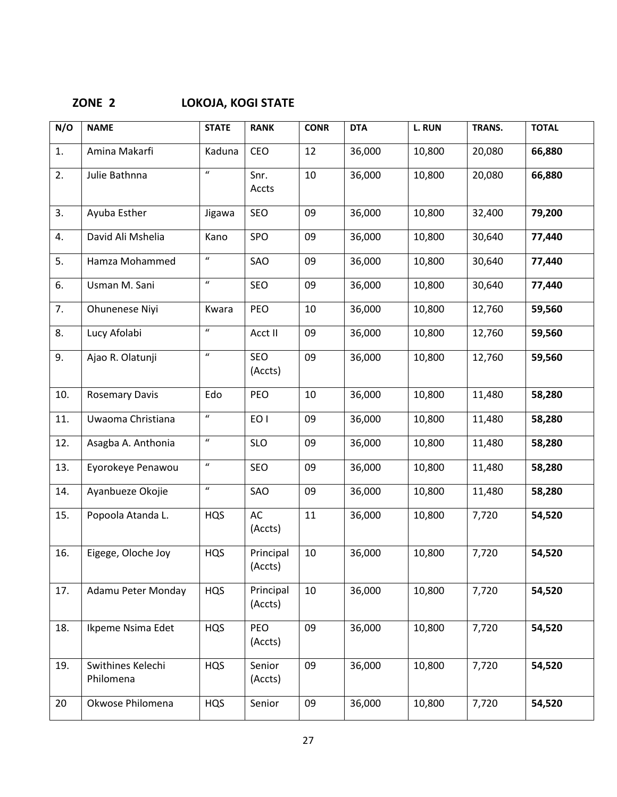| N/O | <b>NAME</b>                    | <b>STATE</b>               | <b>RANK</b>          | <b>CONR</b> | <b>DTA</b> | L. RUN | TRANS. | <b>TOTAL</b> |
|-----|--------------------------------|----------------------------|----------------------|-------------|------------|--------|--------|--------------|
| 1.  | Amina Makarfi                  | Kaduna                     | CEO                  | 12          | 36,000     | 10,800 | 20,080 | 66,880       |
| 2.  | Julie Bathnna                  | $\boldsymbol{u}$           | Snr.<br>Accts        | 10          | 36,000     | 10,800 | 20,080 | 66,880       |
| 3.  | Ayuba Esther                   | Jigawa                     | SEO                  | 09          | 36,000     | 10,800 | 32,400 | 79,200       |
| 4.  | David Ali Mshelia              | Kano                       | SPO                  | 09          | 36,000     | 10,800 | 30,640 | 77,440       |
| 5.  | Hamza Mohammed                 | $\boldsymbol{u}$           | SAO                  | 09          | 36,000     | 10,800 | 30,640 | 77,440       |
| 6.  | Usman M. Sani                  | $\boldsymbol{\mathcal{U}}$ | SEO                  | 09          | 36,000     | 10,800 | 30,640 | 77,440       |
| 7.  | Ohunenese Niyi                 | Kwara                      | PEO                  | 10          | 36,000     | 10,800 | 12,760 | 59,560       |
| 8.  | Lucy Afolabi                   | $\boldsymbol{u}$           | Acct II              | 09          | 36,000     | 10,800 | 12,760 | 59,560       |
| 9.  | Ajao R. Olatunji               | $\boldsymbol{\mathcal{U}}$ | SEO<br>(Accts)       | 09          | 36,000     | 10,800 | 12,760 | 59,560       |
| 10. | <b>Rosemary Davis</b>          | Edo                        | PEO                  | 10          | 36,000     | 10,800 | 11,480 | 58,280       |
| 11. | Uwaoma Christiana              | $\boldsymbol{\mathcal{U}}$ | EO I                 | 09          | 36,000     | 10,800 | 11,480 | 58,280       |
| 12. | Asagba A. Anthonia             | $\boldsymbol{\mathcal{U}}$ | <b>SLO</b>           | 09          | 36,000     | 10,800 | 11,480 | 58,280       |
| 13. | Eyorokeye Penawou              | $\boldsymbol{\mathcal{U}}$ | SEO                  | 09          | 36,000     | 10,800 | 11,480 | 58,280       |
| 14. | Ayanbueze Okojie               | $\boldsymbol{u}$           | SAO                  | 09          | 36,000     | 10,800 | 11,480 | 58,280       |
| 15. | Popoola Atanda L.              | <b>HQS</b>                 | AC<br>(Accts)        | 11          | 36,000     | 10,800 | 7,720  | 54,520       |
| 16. | Eigege, Oloche Joy             | <b>HQS</b>                 | Principal<br>(Accts) | 10          | 36,000     | 10,800 | 7,720  | 54,520       |
| 17. | Adamu Peter Monday             | <b>HQS</b>                 | Principal<br>(Accts) | 10          | 36,000     | 10,800 | 7,720  | 54,520       |
| 18. | Ikpeme Nsima Edet              | <b>HQS</b>                 | PEO<br>(Accts)       | 09          | 36,000     | 10,800 | 7,720  | 54,520       |
| 19. | Swithines Kelechi<br>Philomena | <b>HQS</b>                 | Senior<br>(Accts)    | 09          | 36,000     | 10,800 | 7,720  | 54,520       |
| 20  | Okwose Philomena               | <b>HQS</b>                 | Senior               | 09          | 36,000     | 10,800 | 7,720  | 54,520       |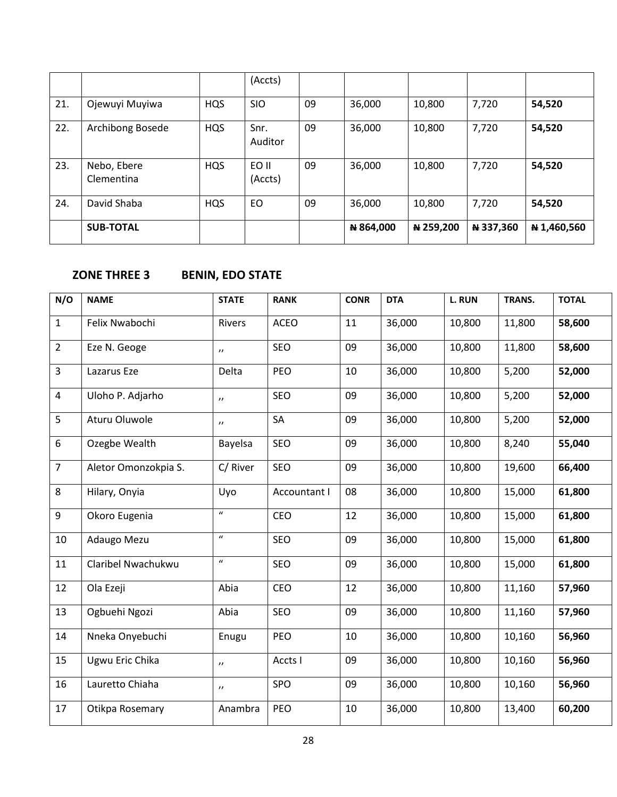|     |                           |            | (Accts)          |    |           |           |           |             |
|-----|---------------------------|------------|------------------|----|-----------|-----------|-----------|-------------|
| 21. | Ojewuyi Muyiwa            | <b>HQS</b> | <b>SIO</b>       | 09 | 36,000    | 10,800    | 7,720     | 54,520      |
| 22. | Archibong Bosede          | <b>HQS</b> | Snr.<br>Auditor  | 09 | 36,000    | 10,800    | 7,720     | 54,520      |
| 23. | Nebo, Ebere<br>Clementina | <b>HQS</b> | EO II<br>(Accts) | 09 | 36,000    | 10,800    | 7,720     | 54,520      |
| 24. | David Shaba               | <b>HQS</b> | EO               | 09 | 36,000    | 10,800    | 7,720     | 54,520      |
|     | <b>SUB-TOTAL</b>          |            |                  |    | N 864,000 | ₦ 259,200 | ₦ 337,360 | ₦ 1,460,560 |

# **ZONE THREE 3 BENIN, EDO STATE**

| N/O            | <b>NAME</b>          | <b>STATE</b>             | <b>RANK</b>  | <b>CONR</b> | <b>DTA</b> | L. RUN | TRANS. | <b>TOTAL</b> |
|----------------|----------------------|--------------------------|--------------|-------------|------------|--------|--------|--------------|
| $\mathbf{1}$   | Felix Nwabochi       | Rivers                   | <b>ACEO</b>  | 11          | 36,000     | 10,800 | 11,800 | 58,600       |
| $\overline{2}$ | Eze N. Geoge         | $\boldsymbol{\eta}$      | SEO          | 09          | 36,000     | 10,800 | 11,800 | 58,600       |
| $\overline{3}$ | Lazarus Eze          | Delta                    | PEO          | 10          | 36,000     | 10,800 | 5,200  | 52,000       |
| 4              | Uloho P. Adjarho     | $\boldsymbol{\eta}$      | SEO          | 09          | 36,000     | 10,800 | 5,200  | 52,000       |
| 5              | Aturu Oluwole        | $\prime$                 | SA           | 09          | 36,000     | 10,800 | 5,200  | 52,000       |
| 6              | Ozegbe Wealth        | Bayelsa                  | SEO          | 09          | 36,000     | 10,800 | 8,240  | 55,040       |
| $\overline{7}$ | Aletor Omonzokpia S. | C/River                  | SEO          | 09          | 36,000     | 10,800 | 19,600 | 66,400       |
| 8              | Hilary, Onyia        | Uyo                      | Accountant I | 08          | 36,000     | 10,800 | 15,000 | 61,800       |
| 9              | Okoro Eugenia        | $\boldsymbol{u}$         | CEO          | 12          | 36,000     | 10,800 | 15,000 | 61,800       |
| 10             | Adaugo Mezu          | $\boldsymbol{u}$         | SEO          | 09          | 36,000     | 10,800 | 15,000 | 61,800       |
| 11             | Claribel Nwachukwu   | $\boldsymbol{u}$         | SEO          | 09          | 36,000     | 10,800 | 15,000 | 61,800       |
| 12             | Ola Ezeji            | Abia                     | CEO          | 12          | 36,000     | 10,800 | 11,160 | 57,960       |
| 13             | Ogbuehi Ngozi        | Abia                     | SEO          | 09          | 36,000     | 10,800 | 11,160 | 57,960       |
| 14             | Nneka Onyebuchi      | Enugu                    | PEO          | 10          | 36,000     | 10,800 | 10,160 | 56,960       |
| 15             | Ugwu Eric Chika      | $\boldsymbol{\eta}$      | Accts I      | 09          | 36,000     | 10,800 | 10,160 | 56,960       |
| 16             | Lauretto Chiaha      | $\overline{\phantom{a}}$ | SPO          | 09          | 36,000     | 10,800 | 10,160 | 56,960       |
| 17             | Otikpa Rosemary      | Anambra                  | PEO          | 10          | 36,000     | 10,800 | 13,400 | 60,200       |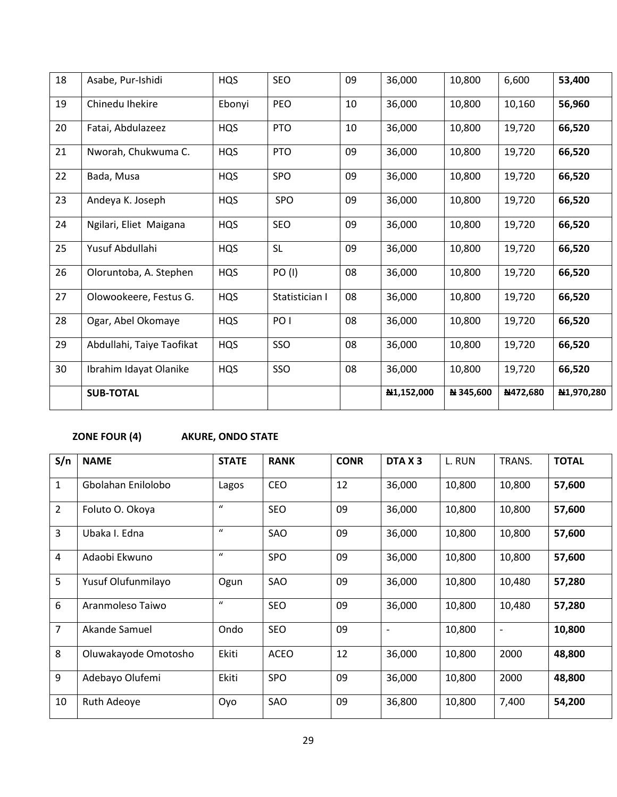| 18 | Asabe, Pur-Ishidi         | <b>HQS</b> | SEO             | 09 | 36,000     | 10,800    | 6,600    | 53,400     |
|----|---------------------------|------------|-----------------|----|------------|-----------|----------|------------|
| 19 | Chinedu Ihekire           | Ebonyi     | PEO             | 10 | 36,000     | 10,800    | 10,160   | 56,960     |
| 20 | Fatai, Abdulazeez         | <b>HQS</b> | <b>PTO</b>      | 10 | 36,000     | 10,800    | 19,720   | 66,520     |
| 21 | Nworah, Chukwuma C.       | <b>HQS</b> | <b>PTO</b>      | 09 | 36,000     | 10,800    | 19,720   | 66,520     |
| 22 | Bada, Musa                | <b>HQS</b> | SPO             | 09 | 36,000     | 10,800    | 19,720   | 66,520     |
| 23 | Andeya K. Joseph          | <b>HQS</b> | <b>SPO</b>      | 09 | 36,000     | 10,800    | 19,720   | 66,520     |
| 24 | Ngilari, Eliet Maigana    | HQS        | SEO             | 09 | 36,000     | 10,800    | 19,720   | 66,520     |
| 25 | Yusuf Abdullahi           | <b>HQS</b> | <b>SL</b>       | 09 | 36,000     | 10,800    | 19,720   | 66,520     |
| 26 | Oloruntoba, A. Stephen    | <b>HQS</b> | <b>PO (I)</b>   | 08 | 36,000     | 10,800    | 19,720   | 66,520     |
| 27 | Olowookeere, Festus G.    | HQS        | Statistician I  | 08 | 36,000     | 10,800    | 19,720   | 66,520     |
| 28 | Ogar, Abel Okomaye        | HQS        | PO <sub>1</sub> | 08 | 36,000     | 10,800    | 19,720   | 66,520     |
| 29 | Abdullahi, Taiye Taofikat | <b>HQS</b> | SSO             | 08 | 36,000     | 10,800    | 19,720   | 66,520     |
| 30 | Ibrahim Idayat Olanike    | <b>HQS</b> | SSO             | 08 | 36,000     | 10,800    | 19,720   | 66,520     |
|    | <b>SUB-TOTAL</b>          |            |                 |    | N1,152,000 | N 345,600 | N472,680 | N1,970,280 |

# **ZONE FOUR (4) AKURE, ONDO STATE**

| S/n            | <b>NAME</b>          | <b>STATE</b>     | <b>RANK</b> | <b>CONR</b> | DTA X <sub>3</sub> | L. RUN | TRANS. | <b>TOTAL</b> |
|----------------|----------------------|------------------|-------------|-------------|--------------------|--------|--------|--------------|
| $\mathbf{1}$   | Gbolahan Enilolobo   | Lagos            | <b>CEO</b>  | 12          | 36,000             | 10,800 | 10,800 | 57,600       |
| $\overline{2}$ | Foluto O. Okoya      | $\boldsymbol{u}$ | <b>SEO</b>  | 09          | 36,000             | 10,800 | 10,800 | 57,600       |
| $\overline{3}$ | Ubaka I. Edna        | $\boldsymbol{u}$ | SAO         | 09          | 36,000             | 10,800 | 10,800 | 57,600       |
| 4              | Adaobi Ekwuno        | $\boldsymbol{u}$ | <b>SPO</b>  | 09          | 36,000             | 10,800 | 10,800 | 57,600       |
| 5              | Yusuf Olufunmilayo   | Ogun             | SAO         | 09          | 36,000             | 10,800 | 10,480 | 57,280       |
| 6              | Aranmoleso Taiwo     | $\boldsymbol{u}$ | <b>SEO</b>  | 09          | 36,000             | 10,800 | 10,480 | 57,280       |
| $\overline{7}$ | Akande Samuel        | Ondo             | <b>SEO</b>  | 09          |                    | 10,800 | ۰      | 10,800       |
| 8              | Oluwakayode Omotosho | Ekiti            | <b>ACEO</b> | 12          | 36,000             | 10,800 | 2000   | 48,800       |
| 9              | Adebayo Olufemi      | Ekiti            | <b>SPO</b>  | 09          | 36,000             | 10,800 | 2000   | 48,800       |
| 10             | <b>Ruth Adeoye</b>   | Oyo              | SAO         | 09          | 36,800             | 10,800 | 7,400  | 54,200       |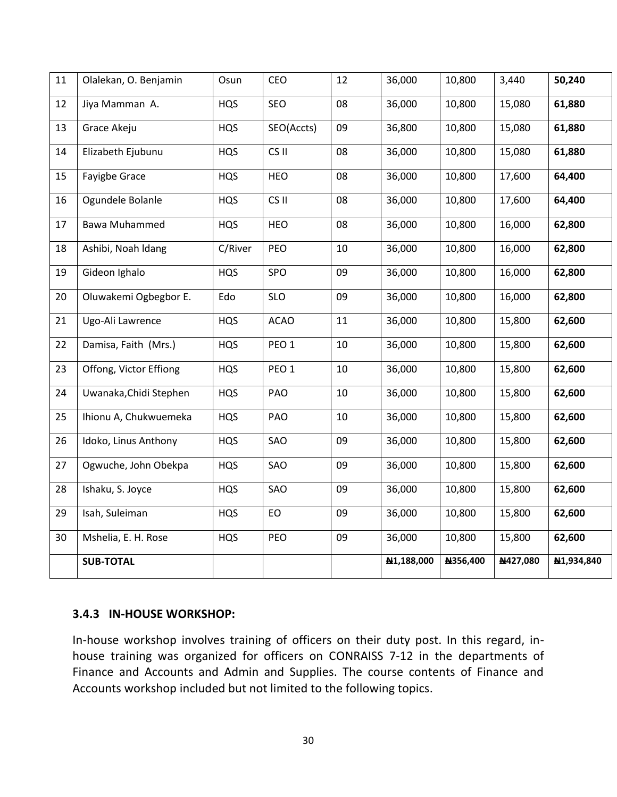| 11 | Olalekan, O. Benjamin  | Osun       | CEO              | 12 | 36,000     | 10,800   | 3,440    | 50,240     |
|----|------------------------|------------|------------------|----|------------|----------|----------|------------|
| 12 | Jiya Mamman A.         | <b>HQS</b> | SEO              | 08 | 36,000     | 10,800   | 15,080   | 61,880     |
| 13 | Grace Akeju            | <b>HQS</b> | SEO(Accts)       | 09 | 36,800     | 10,800   | 15,080   | 61,880     |
| 14 | Elizabeth Ejubunu      | <b>HQS</b> | CS <sub>II</sub> | 08 | 36,000     | 10,800   | 15,080   | 61,880     |
| 15 | Fayigbe Grace          | <b>HQS</b> | HEO              | 08 | 36,000     | 10,800   | 17,600   | 64,400     |
| 16 | Ogundele Bolanle       | <b>HQS</b> | CS II            | 08 | 36,000     | 10,800   | 17,600   | 64,400     |
| 17 | <b>Bawa Muhammed</b>   | <b>HQS</b> | <b>HEO</b>       | 08 | 36,000     | 10,800   | 16,000   | 62,800     |
| 18 | Ashibi, Noah Idang     | C/River    | PEO              | 10 | 36,000     | 10,800   | 16,000   | 62,800     |
| 19 | Gideon Ighalo          | <b>HQS</b> | SPO              | 09 | 36,000     | 10,800   | 16,000   | 62,800     |
| 20 | Oluwakemi Ogbegbor E.  | Edo        | <b>SLO</b>       | 09 | 36,000     | 10,800   | 16,000   | 62,800     |
| 21 | Ugo-Ali Lawrence       | <b>HQS</b> | <b>ACAO</b>      | 11 | 36,000     | 10,800   | 15,800   | 62,600     |
| 22 | Damisa, Faith (Mrs.)   | <b>HQS</b> | PEO <sub>1</sub> | 10 | 36,000     | 10,800   | 15,800   | 62,600     |
| 23 | Offong, Victor Effiong | <b>HQS</b> | PEO <sub>1</sub> | 10 | 36,000     | 10,800   | 15,800   | 62,600     |
| 24 | Uwanaka, Chidi Stephen | <b>HQS</b> | PAO              | 10 | 36,000     | 10,800   | 15,800   | 62,600     |
| 25 | Ihionu A, Chukwuemeka  | <b>HQS</b> | PAO              | 10 | 36,000     | 10,800   | 15,800   | 62,600     |
| 26 | Idoko, Linus Anthony   | <b>HQS</b> | SAO              | 09 | 36,000     | 10,800   | 15,800   | 62,600     |
| 27 | Ogwuche, John Obekpa   | <b>HQS</b> | SAO              | 09 | 36,000     | 10,800   | 15,800   | 62,600     |
| 28 | Ishaku, S. Joyce       | <b>HQS</b> | SAO              | 09 | 36,000     | 10,800   | 15,800   | 62,600     |
| 29 | Isah, Suleiman         | <b>HQS</b> | EO               | 09 | 36,000     | 10,800   | 15,800   | 62,600     |
| 30 | Mshelia, E. H. Rose    | <b>HQS</b> | PEO              | 09 | 36,000     | 10,800   | 15,800   | 62,600     |
|    | <b>SUB-TOTAL</b>       |            |                  |    | N1,188,000 | N356,400 | N427,080 | N1,934,840 |

#### **3.4.3 IN-HOUSE WORKSHOP:**

In-house workshop involves training of officers on their duty post. In this regard, inhouse training was organized for officers on CONRAISS 7-12 in the departments of Finance and Accounts and Admin and Supplies. The course contents of Finance and Accounts workshop included but not limited to the following topics.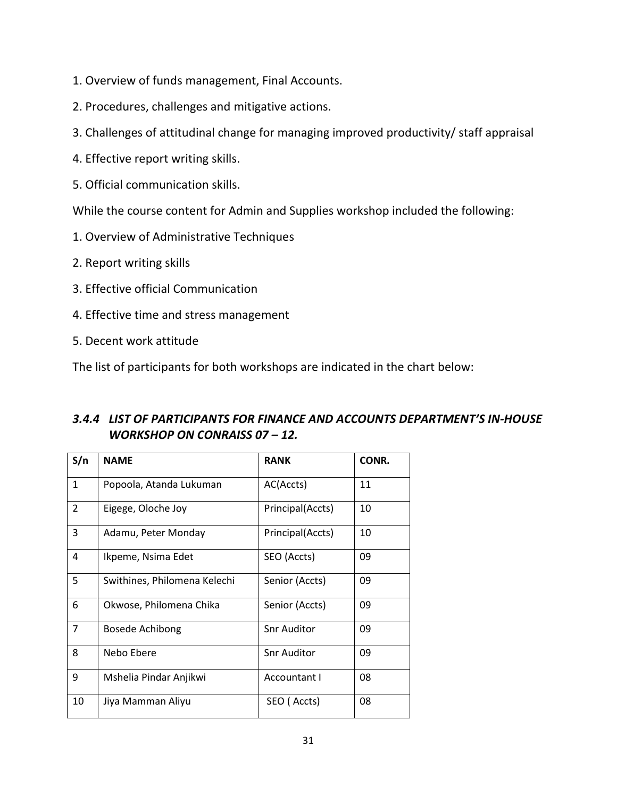- 1. Overview of funds management, Final Accounts.
- 2. Procedures, challenges and mitigative actions.
- 3. Challenges of attitudinal change for managing improved productivity/ staff appraisal
- 4. Effective report writing skills.
- 5. Official communication skills.

While the course content for Admin and Supplies workshop included the following:

- 1. Overview of Administrative Techniques
- 2. Report writing skills
- 3. Effective official Communication
- 4. Effective time and stress management
- 5. Decent work attitude

The list of participants for both workshops are indicated in the chart below:

## *3.4.4 LIST OF PARTICIPANTS FOR FINANCE AND ACCOUNTS DEPARTMENT'S IN-HOUSE WORKSHOP ON CONRAISS 07 – 12.*

| S/n            | <b>NAME</b>                  | <b>RANK</b>        | CONR. |
|----------------|------------------------------|--------------------|-------|
| $\mathbf{1}$   | Popoola, Atanda Lukuman      | AC(Accts)          | 11    |
| $\overline{2}$ | Eigege, Oloche Joy           | Principal(Accts)   | 10    |
| 3              | Adamu, Peter Monday          | Principal(Accts)   | 10    |
| 4              | Ikpeme, Nsima Edet           | SEO (Accts)        | 09    |
| 5              | Swithines, Philomena Kelechi | Senior (Accts)     | 09    |
| 6              | Okwose, Philomena Chika      | Senior (Accts)     | 09    |
| $\overline{7}$ | Bosede Achibong              | <b>Snr Auditor</b> | 09    |
| 8              | Nebo Ebere                   | <b>Snr Auditor</b> | 09    |
| 9              | Mshelia Pindar Anjikwi       | Accountant I       | 08    |
| 10             | Jiya Mamman Aliyu            | SEO (Accts)        | 08    |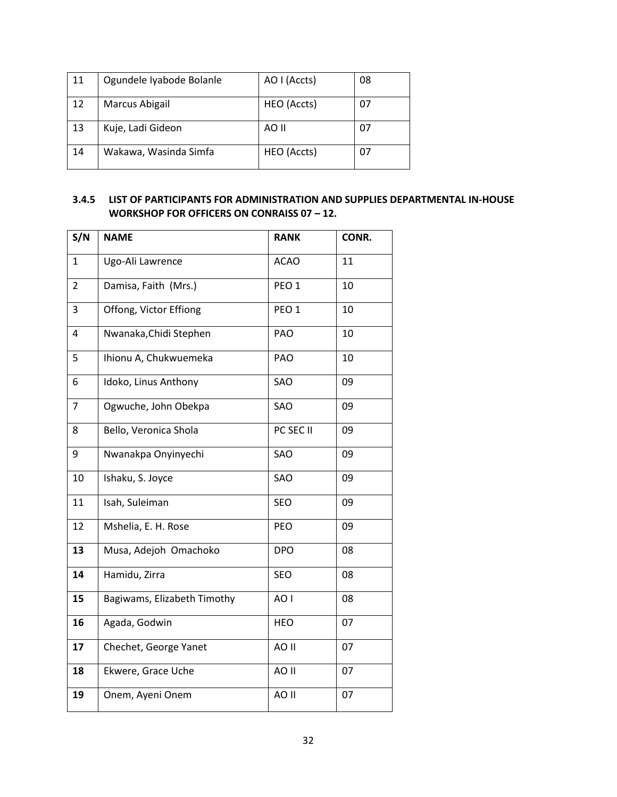| 11 | Ogundele Iyabode Bolanle | AO I (Accts) | 08 |
|----|--------------------------|--------------|----|
| 12 | Marcus Abigail           | HEO (Accts)  | 07 |
| 13 | Kuje, Ladi Gideon        | AO II        | 07 |
| 14 | Wakawa, Wasinda Simfa    | HEO (Accts)  | 07 |

#### **3.4.5 LIST OF PARTICIPANTS FOR ADMINISTRATION AND SUPPLIES DEPARTMENTAL IN-HOUSE WORKSHOP FOR OFFICERS ON CONRAISS 07 – 12.**

| S/N            | <b>NAME</b>                 | <b>RANK</b>      | CONR. |
|----------------|-----------------------------|------------------|-------|
| $\mathbf{1}$   | Ugo-Ali Lawrence            | <b>ACAO</b>      | 11    |
| $\overline{2}$ | Damisa, Faith (Mrs.)        | PEO <sub>1</sub> | 10    |
| 3              | Offong, Victor Effiong      | PEO <sub>1</sub> | 10    |
| 4              | Nwanaka, Chidi Stephen      | PAO              | 10    |
| 5              | Ihionu A, Chukwuemeka       | PAO              | 10    |
| 6              | Idoko, Linus Anthony        | SAO              | 09    |
| 7              | Ogwuche, John Obekpa        | SAO              | 09    |
| 8              | Bello, Veronica Shola       | PC SEC II        | 09    |
| 9              | Nwanakpa Onyinyechi         | SAO              | 09    |
| 10             | Ishaku, S. Joyce            | SAO              | 09    |
| 11             | Isah, Suleiman              | SEO              | 09    |
| 12             | Mshelia, E. H. Rose         | <b>PEO</b>       | 09    |
| 13             | Musa, Adejoh Omachoko       | <b>DPO</b>       | 08    |
| 14             | Hamidu, Zirra               | SEO              | 08    |
| 15             | Bagiwams, Elizabeth Timothy | AO I             | 08    |
| 16             | Agada, Godwin               | <b>HEO</b>       | 07    |
| 17             | Chechet, George Yanet       | AO II            | 07    |
| 18             | Ekwere, Grace Uche          | AO II            | 07    |
| 19             | Onem, Ayeni Onem            | AO II            | 07    |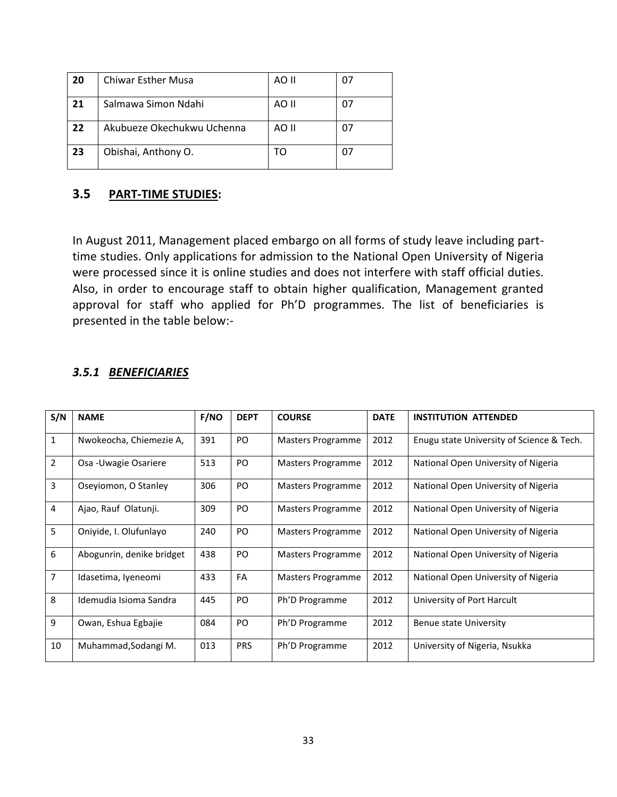| 20 | <b>Chiwar Esther Musa</b>  | AO II | 07 |
|----|----------------------------|-------|----|
| 21 | Salmawa Simon Ndahi        | AO II | 07 |
| 22 | Akubueze Okechukwu Uchenna | AO II | 07 |
| 23 | Obishai, Anthony O.        |       | 07 |

#### **3.5 PART-TIME STUDIES:**

In August 2011, Management placed embargo on all forms of study leave including parttime studies. Only applications for admission to the National Open University of Nigeria were processed since it is online studies and does not interfere with staff official duties. Also, in order to encourage staff to obtain higher qualification, Management granted approval for staff who applied for Ph'D programmes. The list of beneficiaries is presented in the table below:-

#### *3.5.1 BENEFICIARIES*

| S/N            | <b>NAME</b>               | <b>F/NO</b> | <b>DEPT</b> | <b>COURSE</b>     | <b>DATE</b> | <b>INSTITUTION ATTENDED</b>               |
|----------------|---------------------------|-------------|-------------|-------------------|-------------|-------------------------------------------|
| 1              | Nwokeocha, Chiemezie A,   | 391         | PO          | Masters Programme | 2012        | Enugu state University of Science & Tech. |
| $\overline{2}$ | Osa - Uwagie Osariere     | 513         | PO.         | Masters Programme | 2012        | National Open University of Nigeria       |
| 3              | Oseyiomon, O Stanley      | 306         | PO          | Masters Programme | 2012        | National Open University of Nigeria       |
| 4              | Ajao, Rauf Olatunji.      | 309         | PO          | Masters Programme | 2012        | National Open University of Nigeria       |
| 5              | Oniyide, I. Olufunlayo    | 240         | PO.         | Masters Programme | 2012        | National Open University of Nigeria       |
| 6              | Abogunrin, denike bridget | 438         | PO          | Masters Programme | 2012        | National Open University of Nigeria       |
| $\overline{7}$ | Idasetima, Iyeneomi       | 433         | FA          | Masters Programme | 2012        | National Open University of Nigeria       |
| 8              | Idemudia Isioma Sandra    | 445         | PO          | Ph'D Programme    | 2012        | University of Port Harcult                |
| 9              | Owan, Eshua Egbajie       | 084         | PO          | Ph'D Programme    | 2012        | Benue state University                    |
| 10             | Muhammad, Sodangi M.      | 013         | <b>PRS</b>  | Ph'D Programme    | 2012        | University of Nigeria, Nsukka             |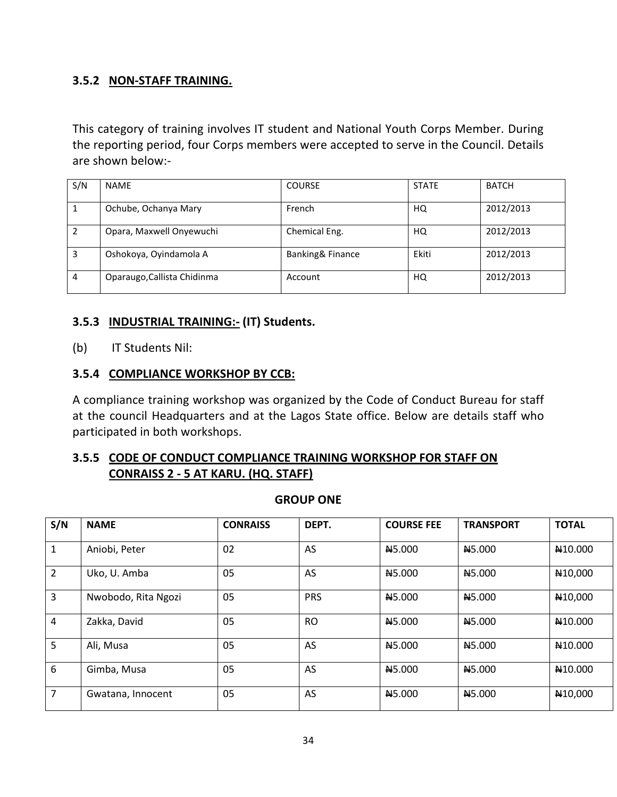#### **3.5.2 NON-STAFF TRAINING.**

This category of training involves IT student and National Youth Corps Member. During the reporting period, four Corps members were accepted to serve in the Council. Details are shown below:-

| S/N            | <b>NAME</b>                 | <b>COURSE</b>    | <b>STATE</b> | <b>BATCH</b> |
|----------------|-----------------------------|------------------|--------------|--------------|
|                | Ochube, Ochanya Mary        | French           | HQ           | 2012/2013    |
| 2              | Opara, Maxwell Onyewuchi    | Chemical Eng.    | HQ           | 2012/2013    |
| 3              | Oshokoya, Oyindamola A      | Banking& Finance | Ekiti        | 2012/2013    |
| $\overline{4}$ | Oparaugo, Callista Chidinma | Account          | HQ           | 2012/2013    |

#### **3.5.3 INDUSTRIAL TRAINING:- (IT) Students.**

(b) IT Students Nil:

#### **3.5.4 COMPLIANCE WORKSHOP BY CCB:**

A compliance training workshop was organized by the Code of Conduct Bureau for staff at the council Headquarters and at the Lagos State office. Below are details staff who participated in both workshops.

### **3.5.5 CODE OF CONDUCT COMPLIANCE TRAINING WORKSHOP FOR STAFF ON CONRAISS 2 - 5 AT KARU. (HQ. STAFF)**

| S/N            | <b>NAME</b>         | <b>CONRAISS</b> | DEPT.      | <b>COURSE FEE</b>  | <b>TRANSPORT</b>   | <b>TOTAL</b>         |
|----------------|---------------------|-----------------|------------|--------------------|--------------------|----------------------|
| 1              | Aniobi, Peter       | 02              | AS         | N <sub>5.000</sub> | N <sub>5.000</sub> | N <sub>10.000</sub>  |
| $\overline{2}$ | Uko, U. Amba        | 05              | AS         | N <sub>5.000</sub> | N <sub>5.000</sub> | N <sub>10</sub> ,000 |
| 3              | Nwobodo, Rita Ngozi | 05              | <b>PRS</b> | N <sub>5.000</sub> | N <sub>5.000</sub> | N <sub>10</sub> ,000 |
| 4              | Zakka, David        | 05              | <b>RO</b>  | N <sub>5.000</sub> | N <sub>5.000</sub> | N <sub>10.000</sub>  |
| 5              | Ali, Musa           | 05              | AS         | N <sub>5.000</sub> | N <sub>5.000</sub> | N <sub>10.000</sub>  |
| 6              | Gimba, Musa         | 05              | AS         | N <sub>5.000</sub> | N5.000             | N <sub>10.000</sub>  |
| 7              | Gwatana, Innocent   | 05              | AS         | N <sub>5.000</sub> | N <sub>5.000</sub> | N <sub>10</sub> ,000 |

**GROUP ONE**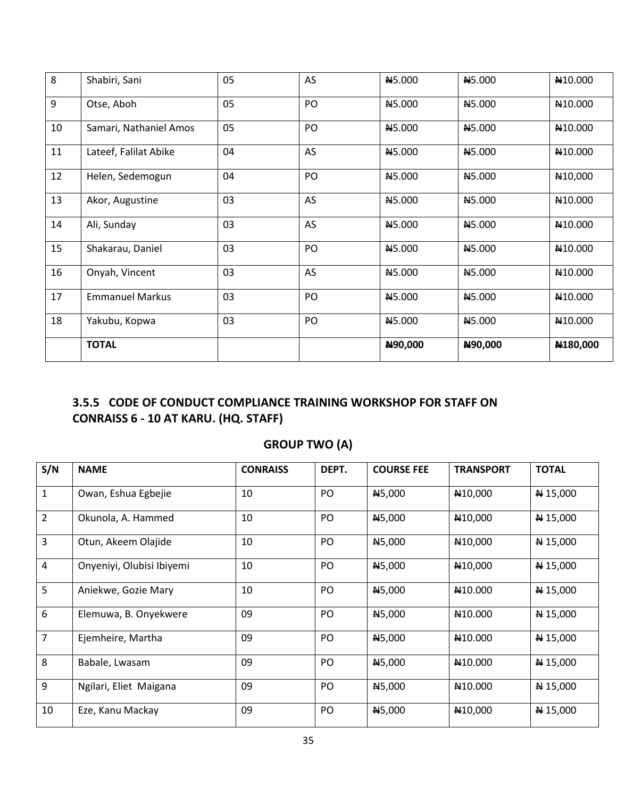| 8  | Shabiri, Sani          | 05 | AS | N5.000        | <b>N5.000</b>      | N <sub>10.000</sub>  |
|----|------------------------|----|----|---------------|--------------------|----------------------|
| 9  | Otse, Aboh             | 05 | PO | <b>N5.000</b> | N <sub>5.000</sub> | N10.000              |
| 10 | Samari, Nathaniel Amos | 05 | PO | <b>N5.000</b> | N5.000             | N10.000              |
| 11 | Lateef, Falilat Abike  | 04 | AS | <b>N5.000</b> | <b>N5.000</b>      | N10.000              |
| 12 | Helen, Sedemogun       | 04 | PO | <b>N5.000</b> | N5.000             | N <sub>10</sub> ,000 |
| 13 | Akor, Augustine        | 03 | AS | N5.000        | N5.000             | N10.000              |
| 14 | Ali, Sunday            | 03 | AS | <b>N5.000</b> | N <sub>5.000</sub> | N10.000              |
| 15 | Shakarau, Daniel       | 03 | PO | N5.000        | N5.000             | N10.000              |
| 16 | Onyah, Vincent         | 03 | AS | <b>N5.000</b> | N5.000             | N <sub>10.000</sub>  |
| 17 | <b>Emmanuel Markus</b> | 03 | PO | <b>N5.000</b> | N5.000             | N <sub>10.000</sub>  |
| 18 | Yakubu, Kopwa          | 03 | PO | <b>N5.000</b> | <b>N5.000</b>      | N <sub>10.000</sub>  |
|    | <b>TOTAL</b>           |    |    | N90,000       | N90,000            | N180,000             |

# **3.5.5 CODE OF CONDUCT COMPLIANCE TRAINING WORKSHOP FOR STAFF ON CONRAISS 6 - 10 AT KARU. (HQ. STAFF)**

# **GROUP TWO (A)**

| S/N            | <b>NAME</b>               | <b>CONRAISS</b> | DEPT. | <b>COURSE FEE</b> | <b>TRANSPORT</b>     | <b>TOTAL</b>      |
|----------------|---------------------------|-----------------|-------|-------------------|----------------------|-------------------|
| $\mathbf{1}$   | Owan, Eshua Egbejie       | 10              | PO    | <b>N5,000</b>     | N <sub>10</sub> ,000 | $N$ 15,000        |
| $\overline{2}$ | Okunola, A. Hammed        | 10              | PO    | N5,000            | N <sub>10</sub> ,000 | $\bigstar 15,000$ |
| 3              | Otun, Akeem Olajide       | 10              | PO    | N5,000            | N <sub>10</sub> ,000 | $N = 15,000$      |
| $\overline{4}$ | Onyeniyi, Olubisi Ibiyemi | 10              | PO    | <b>N5,000</b>     | N <sub>10</sub> ,000 | $N$ 15,000        |
| 5              | Aniekwe, Gozie Mary       | 10              | PO    | N5,000            | N <sub>10.000</sub>  | N 15,000          |
| 6              | Elemuwa, B. Onyekwere     | 09              | PO.   | <b>N5,000</b>     | N10.000              | $\bigstar 15,000$ |
| $\overline{7}$ | Ejemheire, Martha         | 09              | PO    | N5,000            | N <sub>10.000</sub>  | N 15,000          |
| 8              | Babale, Lwasam            | 09              | PO    | N5,000            | N <sub>10.000</sub>  | $\#$ 15,000       |
| 9              | Ngilari, Eliet Maigana    | 09              | PO    | <b>N5,000</b>     | N10.000              | $N = 15,000$      |
| 10             | Eze, Kanu Mackay          | 09              | PO    | N5,000            | N <sub>10</sub> ,000 | $N = 15,000$      |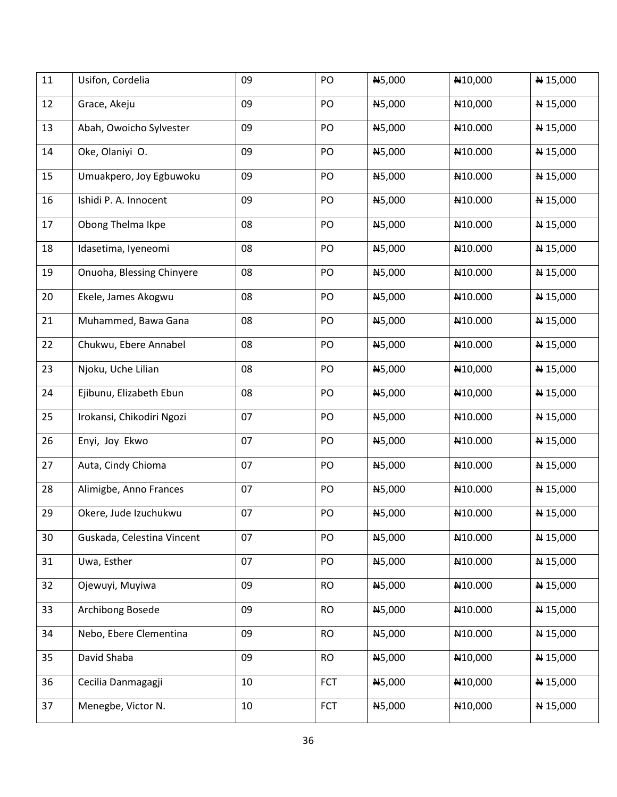| 11 | Usifon, Cordelia           | 09 | PO         | N5,000 | N10,000              | N 15,000   |
|----|----------------------------|----|------------|--------|----------------------|------------|
| 12 | Grace, Akeju               | 09 | PO         | N5,000 | N10,000              | N 15,000   |
| 13 | Abah, Owoicho Sylvester    | 09 | PO         | N5,000 | N10.000              | N 15,000   |
| 14 | Oke, Olaniyi O.            | 09 | PO         | N5,000 | N10.000              | N 15,000   |
| 15 | Umuakpero, Joy Egbuwoku    | 09 | PO         | N5,000 | N10.000              | N 15,000   |
| 16 | Ishidi P. A. Innocent      | 09 | PO         | N5,000 | N10.000              | N 15,000   |
| 17 | Obong Thelma Ikpe          | 08 | PO         | N5,000 | N10.000              | N 15,000   |
| 18 | Idasetima, Iyeneomi        | 08 | PO         | N5,000 | N10.000              | N 15,000   |
| 19 | Onuoha, Blessing Chinyere  | 08 | PO         | N5,000 | N10.000              | N 15,000   |
| 20 | Ekele, James Akogwu        | 08 | PO         | N5,000 | N10.000              | N 15,000   |
| 21 | Muhammed, Bawa Gana        | 08 | PO         | N5,000 | N10.000              | N 15,000   |
| 22 | Chukwu, Ebere Annabel      | 08 | PO         | N5,000 | N10.000              | N 15,000   |
| 23 | Njoku, Uche Lilian         | 08 | PO         | N5,000 | N10,000              | N 15,000   |
| 24 | Ejibunu, Elizabeth Ebun    | 08 | PO         | N5,000 | N10,000              | N 15,000   |
| 25 | Irokansi, Chikodiri Ngozi  | 07 | PO         | N5,000 | N10.000              | N 15,000   |
| 26 | Enyi, Joy Ekwo             | 07 | PO         | N5,000 | N10.000              | N 15,000   |
| 27 | Auta, Cindy Chioma         | 07 | PO         | N5,000 | N10.000              | N 15,000   |
| 28 | Alimigbe, Anno Frances     | 07 | PO         | N5,000 | N10.000              | N 15,000   |
| 29 | Okere, Jude Izuchukwu      | 07 | PO         | N5,000 | N10.000              | ₦ 15,000   |
| 30 | Guskada, Celestina Vincent | 07 | PO         | N5,000 | N <sub>10.000</sub>  | N 15,000   |
| 31 | Uwa, Esther                | 07 | PO         | N5,000 | N10.000              | N 15,000   |
| 32 | Ojewuyi, Muyiwa            | 09 | <b>RO</b>  | N5,000 | N10.000              | N 15,000   |
| 33 | Archibong Bosede           | 09 | <b>RO</b>  | N5,000 | N10.000              | N 15,000   |
| 34 | Nebo, Ebere Clementina     | 09 | <b>RO</b>  | N5,000 | N10.000              | N 15,000   |
| 35 | David Shaba                | 09 | <b>RO</b>  | N5,000 | N10,000              | N 15,000   |
| 36 | Cecilia Danmagagji         | 10 | <b>FCT</b> | N5,000 | N <sub>10</sub> ,000 | N 15,000   |
| 37 | Menegbe, Victor N.         | 10 | <b>FCT</b> | N5,000 | N <sub>10</sub> ,000 | $N$ 15,000 |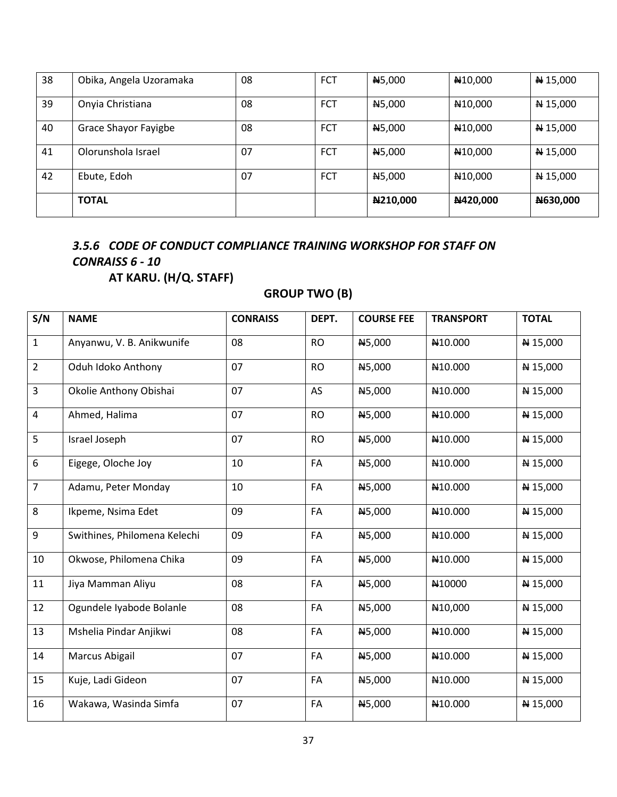| 38 | Obika, Angela Uzoramaka | 08 | <b>FCT</b> | N <sub>5</sub> ,000 | N <sub>10</sub> ,000 | N 15,000     |
|----|-------------------------|----|------------|---------------------|----------------------|--------------|
| 39 | Onyia Christiana        | 08 | <b>FCT</b> | <b>N5,000</b>       | N <sub>10</sub> ,000 | N 15,000     |
| 40 | Grace Shayor Fayigbe    | 08 | <b>FCT</b> | N5,000              | N <sub>10</sub> ,000 | N 15,000     |
| 41 | Olorunshola Israel      | 07 | <b>FCT</b> | N <sub>5</sub> ,000 | N <sub>10</sub> ,000 | $N = 15,000$ |
| 42 | Ebute, Edoh             | 07 | <b>FCT</b> | N <sub>5</sub> ,000 | N <sub>10</sub> ,000 | $N = 15,000$ |
|    | <b>TOTAL</b>            |    |            | N210,000            | N420,000             | N630,000     |

# *3.5.6 CODE OF CONDUCT COMPLIANCE TRAINING WORKSHOP FOR STAFF ON CONRAISS 6 - 10*

**AT KARU. (H/Q. STAFF)** 

## **GROUP TWO (B)**

| S/N              | <b>NAME</b>                  | <b>CONRAISS</b> | DEPT.     | <b>COURSE FEE</b> | <b>TRANSPORT</b>     | <b>TOTAL</b> |
|------------------|------------------------------|-----------------|-----------|-------------------|----------------------|--------------|
| $\mathbf{1}$     | Anyanwu, V. B. Anikwunife    | 08              | <b>RO</b> | N5,000            | N10.000              | N 15,000     |
| $\overline{2}$   | Oduh Idoko Anthony           | 07              | <b>RO</b> | N5,000            | N10.000              | N 15,000     |
| $\overline{3}$   | Okolie Anthony Obishai       | 07              | AS        | N5,000            | N10.000              | N 15,000     |
| $\overline{4}$   | Ahmed, Halima                | 07              | <b>RO</b> | N5,000            | N <sub>10.000</sub>  | N 15,000     |
| 5                | Israel Joseph                | 07              | <b>RO</b> | N5,000            | N10.000              | N 15,000     |
| $\boldsymbol{6}$ | Eigege, Oloche Joy           | 10              | FA        | N5,000            | N10.000              | N 15,000     |
| $\overline{7}$   | Adamu, Peter Monday          | 10              | FA        | N5,000            | N <sub>10.000</sub>  | N 15,000     |
| 8                | Ikpeme, Nsima Edet           | 09              | FA        | N5,000            | N10.000              | N 15,000     |
| $9\,$            | Swithines, Philomena Kelechi | 09              | FA        | N5,000            | N10.000              | N 15,000     |
| 10               | Okwose, Philomena Chika      | 09              | FA        | N5,000            | N10.000              | N 15,000     |
| 11               | Jiya Mamman Aliyu            | 08              | FA        | N5,000            | N10000               | N 15,000     |
| 12               | Ogundele Iyabode Bolanle     | 08              | FA        | N5,000            | N <sub>10</sub> ,000 | N 15,000     |
| 13               | Mshelia Pindar Anjikwi       | 08              | FA        | N5,000            | N <sub>10.000</sub>  | N 15,000     |
| 14               | Marcus Abigail               | 07              | FA        | N5,000            | N10.000              | N 15,000     |
| 15               | Kuje, Ladi Gideon            | 07              | FA        | N5,000            | N10.000              | N 15,000     |
| 16               | Wakawa, Wasinda Simfa        | 07              | FA        | N5,000            | N10.000              | N 15,000     |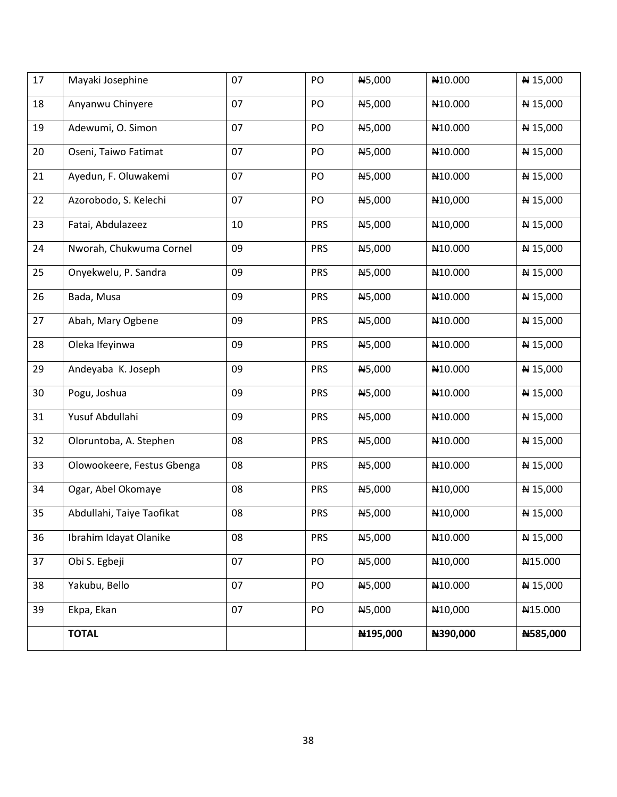| 17 | Mayaki Josephine           | 07 | PO         | N5,000   | N10.000              | N 15,000 |
|----|----------------------------|----|------------|----------|----------------------|----------|
| 18 | Anyanwu Chinyere           | 07 | PO         | N5,000   | N10.000              | N 15,000 |
| 19 | Adewumi, O. Simon          | 07 | PO         | N5,000   | N10.000              | N 15,000 |
| 20 | Oseni, Taiwo Fatimat       | 07 | PO         | N5,000   | N10.000              | N 15,000 |
| 21 | Ayedun, F. Oluwakemi       | 07 | PO         | N5,000   | N10.000              | N 15,000 |
| 22 | Azorobodo, S. Kelechi      | 07 | PO         | N5,000   | N <sub>10</sub> ,000 | N 15,000 |
| 23 | Fatai, Abdulazeez          | 10 | <b>PRS</b> | N5,000   | N <sub>10</sub> ,000 | N 15,000 |
| 24 | Nworah, Chukwuma Cornel    | 09 | <b>PRS</b> | N5,000   | N10.000              | N 15,000 |
| 25 | Onyekwelu, P. Sandra       | 09 | <b>PRS</b> | N5,000   | N10.000              | N 15,000 |
| 26 | Bada, Musa                 | 09 | <b>PRS</b> | N5,000   | N10.000              | N 15,000 |
| 27 | Abah, Mary Ogbene          | 09 | <b>PRS</b> | N5,000   | N10.000              | N 15,000 |
| 28 | Oleka Ifeyinwa             | 09 | <b>PRS</b> | N5,000   | N10.000              | N 15,000 |
| 29 | Andeyaba K. Joseph         | 09 | <b>PRS</b> | N5,000   | N10.000              | N 15,000 |
| 30 | Pogu, Joshua               | 09 | <b>PRS</b> | N5,000   | N10.000              | ₦ 15,000 |
| 31 | Yusuf Abdullahi            | 09 | <b>PRS</b> | N5,000   | N10.000              | N 15,000 |
| 32 | Oloruntoba, A. Stephen     | 08 | <b>PRS</b> | N5,000   | N10.000              | N 15,000 |
| 33 | Olowookeere, Festus Gbenga | 08 | <b>PRS</b> | N5,000   | N10.000              | N 15,000 |
| 34 | Ogar, Abel Okomaye         | 08 | <b>PRS</b> | N5,000   | N <sub>10</sub> ,000 | N 15,000 |
| 35 | Abdullahi, Taiye Taofikat  | 08 | <b>PRS</b> | N5,000   | N10,000              | ₦ 15,000 |
| 36 | Ibrahim Idayat Olanike     | 08 | <b>PRS</b> | N5,000   | N10.000              | N 15,000 |
| 37 | Obi S. Egbeji              | 07 | PO         | N5,000   | N <sub>10</sub> ,000 | N15.000  |
| 38 | Yakubu, Bello              | 07 | PO         | N5,000   | N10.000              | N 15,000 |
| 39 | Ekpa, Ekan                 | 07 | PO         | N5,000   | N <sub>10</sub> ,000 | N15.000  |
|    | <b>TOTAL</b>               |    |            | N195,000 | N390,000             | N585,000 |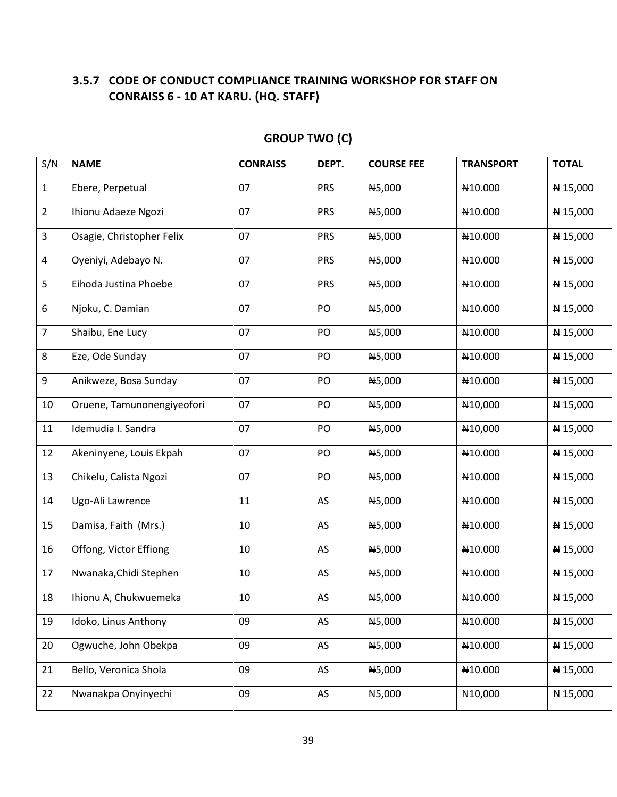## **3.5.7 CODE OF CONDUCT COMPLIANCE TRAINING WORKSHOP FOR STAFF ON CONRAISS 6 - 10 AT KARU. (HQ. STAFF)**

| S/N            | <b>NAME</b>                | <b>CONRAISS</b> | DEPT.      | <b>COURSE FEE</b> | <b>TRANSPORT</b>     | <b>TOTAL</b> |
|----------------|----------------------------|-----------------|------------|-------------------|----------------------|--------------|
| $\mathbf{1}$   | Ebere, Perpetual           | 07              | <b>PRS</b> | N5,000            | N10.000              | $N = 15,000$ |
| $\overline{2}$ | Ihionu Adaeze Ngozi        | 07              | <b>PRS</b> | N5,000            | N10.000              | N 15,000     |
| 3              | Osagie, Christopher Felix  | 07              | <b>PRS</b> | N5,000            | N10.000              | N 15,000     |
| 4              | Oyeniyi, Adebayo N.        | 07              | <b>PRS</b> | N5,000            | N10.000              | N 15,000     |
| 5              | Eihoda Justina Phoebe      | 07              | <b>PRS</b> | N5,000            | N10.000              | N 15,000     |
| 6              | Njoku, C. Damian           | 07              | PO         | N5,000            | N10.000              | N 15,000     |
| $\overline{7}$ | Shaibu, Ene Lucy           | 07              | PO         | N5,000            | N10.000              | N 15,000     |
| 8              | Eze, Ode Sunday            | 07              | PO         | N5,000            | N10.000              | N 15,000     |
| 9              | Anikweze, Bosa Sunday      | 07              | PO         | N5,000            | N10.000              | N 15,000     |
| 10             | Oruene, Tamunonengiyeofori | 07              | PO         | N5,000            | N <sub>10</sub> ,000 | N 15,000     |
| 11             | Idemudia I. Sandra         | 07              | PO         | N5,000            | N <sub>10</sub> ,000 | N 15,000     |
| 12             | Akeninyene, Louis Ekpah    | 07              | PO         | N5,000            | N10.000              | N 15,000     |
| 13             | Chikelu, Calista Ngozi     | 07              | PO         | N5,000            | N10.000              | N 15,000     |
| 14             | Ugo-Ali Lawrence           | 11              | AS         | N5,000            | N10.000              | N 15,000     |
| 15             | Damisa, Faith (Mrs.)       | 10              | AS         | N5,000            | N10.000              | N 15,000     |
| 16             | Offong, Victor Effiong     | 10              | AS         | N5,000            | N10.000              | N 15,000     |
| 17             | Nwanaka, Chidi Stephen     | 10              | AS         | N5,000            | N10.000              | N 15,000     |
| 18             | Ihionu A, Chukwuemeka      | 10              | AS         | N5,000            | N <sub>10.000</sub>  | ₦ 15,000     |
| 19             | Idoko, Linus Anthony       | 09              | AS         | N5,000            | N10.000              | N 15,000     |
| 20             | Ogwuche, John Obekpa       | 09              | AS         | N5,000            | N10.000              | N 15,000     |
| 21             | Bello, Veronica Shola      | 09              | AS         | N5,000            | N10.000              | N 15,000     |
| 22             | Nwanakpa Onyinyechi        | 09              | AS         | N5,000            | N10,000              | N 15,000     |

## **GROUP TWO (C)**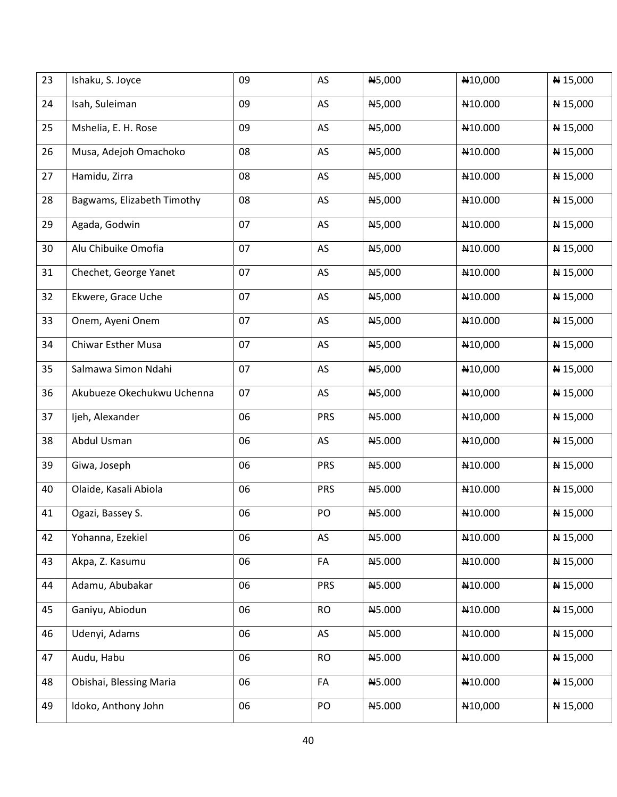| 23 | Ishaku, S. Joyce           | 09 | AS         | N5,000        | N <sub>10</sub> ,000 | N 15,000     |
|----|----------------------------|----|------------|---------------|----------------------|--------------|
| 24 | Isah, Suleiman             | 09 | AS         | N5,000        | N <sub>10.000</sub>  | N 15,000     |
| 25 | Mshelia, E. H. Rose        | 09 | AS         | N5,000        | N10.000              | N 15,000     |
| 26 | Musa, Adejoh Omachoko      | 08 | AS         | N5,000        | N10.000              | N 15,000     |
| 27 | Hamidu, Zirra              | 08 | AS         | N5,000        | N10.000              | ₦ 15,000     |
| 28 | Bagwams, Elizabeth Timothy | 08 | AS         | N5,000        | N10.000              | N 15,000     |
| 29 | Agada, Godwin              | 07 | AS         | N5,000        | N10.000              | N 15,000     |
| 30 | Alu Chibuike Omofia        | 07 | AS         | N5,000        | N10.000              | N 15,000     |
| 31 | Chechet, George Yanet      | 07 | AS         | <b>N5,000</b> | N10.000              | N 15,000     |
| 32 | Ekwere, Grace Uche         | 07 | AS         | <b>N5,000</b> | N <sub>10.000</sub>  | N 15,000     |
| 33 | Onem, Ayeni Onem           | 07 | AS         | N5,000        | N10.000              | N 15,000     |
| 34 | <b>Chiwar Esther Musa</b>  | 07 | AS         | N5,000        | N <sub>10</sub> ,000 | N 15,000     |
| 35 | Salmawa Simon Ndahi        | 07 | AS         | N5,000        | N <sub>10</sub> ,000 | N 15,000     |
| 36 | Akubueze Okechukwu Uchenna | 07 | AS         | N5,000        | N <sub>10</sub> ,000 | ₦ 15,000     |
| 37 | Ijeh, Alexander            | 06 | <b>PRS</b> | N5.000        | N <sub>10</sub> ,000 | ₦ 15,000     |
| 38 | Abdul Usman                | 06 | AS         | N5.000        | N10,000              | N 15,000     |
| 39 | Giwa, Joseph               | 06 | <b>PRS</b> | N5.000        | N10.000              | N 15,000     |
| 40 | Olaide, Kasali Abiola      | 06 | <b>PRS</b> | <b>N5.000</b> | N10.000              | N 15,000     |
| 41 | Ogazi, Bassey S.           | 06 | PO         | N5.000        | N10.000              | ₦ 15,000     |
| 42 | Yohanna, Ezekiel           | 06 | AS         | N5.000        | N <sub>10.000</sub>  | N 15,000     |
| 43 | Akpa, Z. Kasumu            | 06 | FA         | N5.000        | N10.000              | N 15,000     |
| 44 | Adamu, Abubakar            | 06 | <b>PRS</b> | N5.000        | N10.000              | N 15,000     |
| 45 | Ganiyu, Abiodun            | 06 | <b>RO</b>  | N5.000        | N10.000              | N 15,000     |
| 46 | Udenyi, Adams              | 06 | AS         | N5.000        | N10.000              | N 15,000     |
| 47 | Audu, Habu                 | 06 | <b>RO</b>  | N5.000        | N10.000              | N 15,000     |
| 48 | Obishai, Blessing Maria    | 06 | FA         | N5.000        | N10.000              | $N = 15,000$ |
| 49 | Idoko, Anthony John        | 06 | PO         | N5.000        | N <sub>10</sub> ,000 | $N = 15,000$ |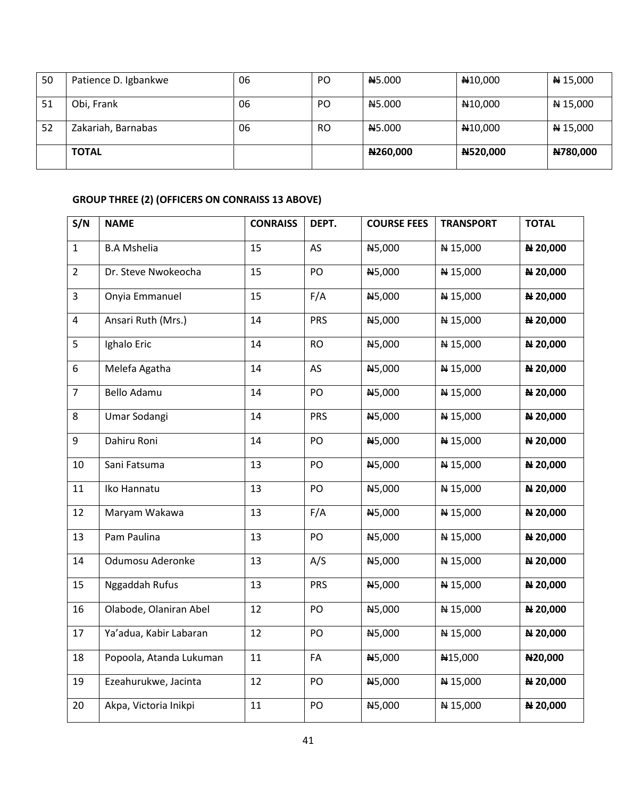| 50 | Patience D. Igbankwe | 06 | PO        | N <sub>5.000</sub> | N <sub>10</sub> ,000 | $N$ 15,000      |
|----|----------------------|----|-----------|--------------------|----------------------|-----------------|
| 51 | Obi, Frank           | 06 | PO        | N <sub>5.000</sub> | N <sub>10</sub> ,000 | $N$ 15,000      |
| 52 | Zakariah, Barnabas   | 06 | <b>RO</b> | N <sub>5.000</sub> | N <sub>10</sub> ,000 | N 15,000        |
|    | <b>TOTAL</b>         |    |           | N260,000           | N520,000             | <b>N780,000</b> |

### **GROUP THREE (2) (OFFICERS ON CONRAISS 13 ABOVE)**

| S/N                     | <b>NAME</b>             | <b>CONRAISS</b> | DEPT.      | <b>COURSE FEES</b> | <b>TRANSPORT</b> | <b>TOTAL</b> |
|-------------------------|-------------------------|-----------------|------------|--------------------|------------------|--------------|
| $\mathbf{1}$            | <b>B.A Mshelia</b>      | 15              | AS         | N5,000             | N 15,000         | N 20,000     |
| $\overline{2}$          | Dr. Steve Nwokeocha     | 15              | PO         | N5,000             | N 15,000         | N 20,000     |
| $\overline{3}$          | Onyia Emmanuel          | 15              | F/A        | N5,000             | N 15,000         | N 20,000     |
| $\overline{\mathbf{4}}$ | Ansari Ruth (Mrs.)      | 14              | <b>PRS</b> | N5,000             | N 15,000         | N 20,000     |
| 5                       | Ighalo Eric             | 14              | <b>RO</b>  | N5,000             | N 15,000         | N 20,000     |
| 6                       | Melefa Agatha           | 14              | AS         | N5,000             | N 15,000         | N 20,000     |
| $\overline{7}$          | Bello Adamu             | 14              | PO         | N5,000             | N 15,000         | N 20,000     |
| 8                       | Umar Sodangi            | 14              | <b>PRS</b> | N5,000             | N 15,000         | N 20,000     |
| 9                       | Dahiru Roni             | 14              | PO         | N5,000             | ₦ 15,000         | N 20,000     |
| 10                      | Sani Fatsuma            | 13              | PO         | N5,000             | N 15,000         | N 20,000     |
| 11                      | Iko Hannatu             | 13              | PO         | N5,000             | N 15,000         | N 20,000     |
| 12                      | Maryam Wakawa           | 13              | F/A        | N5,000             | N 15,000         | N 20,000     |
| 13                      | Pam Paulina             | 13              | PO         | N5,000             | N 15,000         | N 20,000     |
| 14                      | Odumosu Aderonke        | 13              | A/S        | N5,000             | N 15,000         | N 20,000     |
| 15                      | Nggaddah Rufus          | 13              | <b>PRS</b> | N5,000             | N 15,000         | N 20,000     |
| 16                      | Olabode, Olaniran Abel  | 12              | PO         | N5,000             | N 15,000         | N 20,000     |
| 17                      | Ya'adua, Kabir Labaran  | 12              | PO         | N5,000             | N 15,000         | N 20,000     |
| 18                      | Popoola, Atanda Lukuman | 11              | FA         | N5,000             | N15,000          | N20,000      |
| 19                      | Ezeahurukwe, Jacinta    | 12              | PO         | N5,000             | N 15,000         | N 20,000     |
| 20                      | Akpa, Victoria Inikpi   | 11              | PO         | N5,000             | N 15,000         | N 20,000     |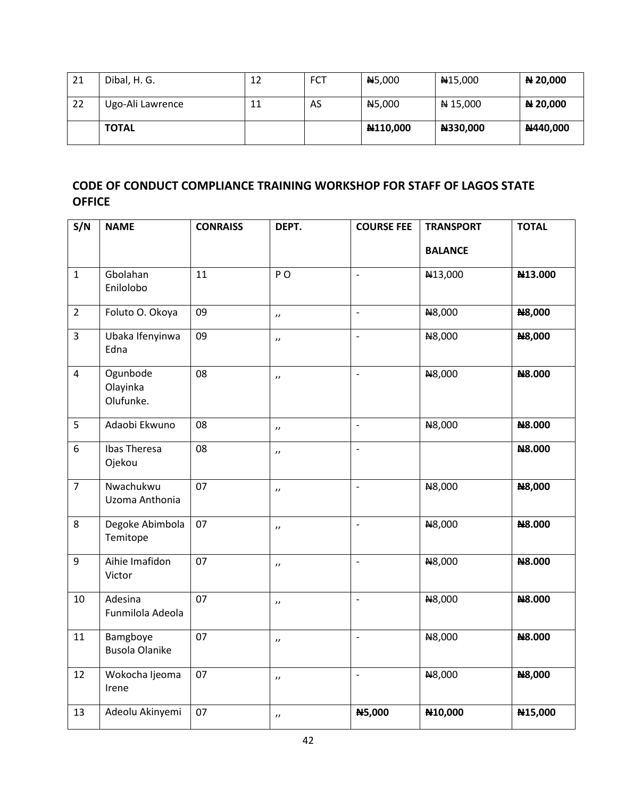| 21 | Dibal, H. G.     | 12 | <b>FCT</b> | <b>N5,000</b> | N <sub>15</sub> ,000 | N 20,000 |
|----|------------------|----|------------|---------------|----------------------|----------|
| 22 | Ugo-Ali Lawrence | 11 | AS         | <b>N5,000</b> | $N = 15,000$         | N 20,000 |
|    | <b>TOTAL</b>     |    |            | N110,000      | N330,000             | N440,000 |

## **CODE OF CONDUCT COMPLIANCE TRAINING WORKSHOP FOR STAFF OF LAGOS STATE OFFICE**

| S/N            | <b>NAME</b>                       | <b>CONRAISS</b> | DEPT.                 | <b>COURSE FEE</b>        | <b>TRANSPORT</b>     | <b>TOTAL</b>  |
|----------------|-----------------------------------|-----------------|-----------------------|--------------------------|----------------------|---------------|
|                |                                   |                 |                       |                          | <b>BALANCE</b>       |               |
| $\mathbf{1}$   | Gbolahan<br>Enilolobo             | 11              | PO                    | $\overline{\phantom{a}}$ | N13,000              | N13.000       |
| $\overline{2}$ | Foluto O. Okoya                   | 09              | $\boldsymbol{\eta}$   | $\frac{1}{2}$            | N8,000               | <b>N8,000</b> |
| $\overline{3}$ | Ubaka Ifenyinwa<br>Edna           | 09              | $\boldsymbol{\eta}$   | $\frac{1}{2}$            | N8,000               | <b>N8,000</b> |
| $\overline{4}$ | Ogunbode<br>Olayinka<br>Olufunke. | 08              | $\boldsymbol{\eta}$   | $\overline{\phantom{a}}$ | N8,000               | <b>N8.000</b> |
| 5              | Adaobi Ekwuno                     | 08              | $\boldsymbol{\eta}$   | $\Box$                   | N8,000               | N8.000        |
| 6              | Ibas Theresa<br>Ojekou            | 08              | $\boldsymbol{\eta}$   | $\overline{\phantom{0}}$ |                      | N8.000        |
| $\overline{7}$ | Nwachukwu<br>Uzoma Anthonia       | 07              | $\boldsymbol{\eta}$   | $\overline{\phantom{a}}$ | N8,000               | N8,000        |
| 8              | Degoke Abimbola<br>Temitope       | 07              | $\boldsymbol{\eta}$   | $\blacksquare$           | N8,000               | N8.000        |
| 9              | Aihie Imafidon<br>Victor          | 07              | $\boldsymbol{\eta}$   | $\overline{\phantom{a}}$ | N8,000               | N8.000        |
| 10             | Adesina<br>Funmilola Adeola       | 07              | $\boldsymbol{\prime}$ | $\blacksquare$           | N8,000               | <b>N8.000</b> |
| 11             | Bamgboye<br><b>Busola Olanike</b> | 07              | $\boldsymbol{\eta}$   | $\overline{\phantom{a}}$ | N8,000               | <b>N8.000</b> |
| 12             | Wokocha Ijeoma<br>Irene           | 07              | $\boldsymbol{\eta}$   | $\blacksquare$           | N8,000               | N8,000        |
| 13             | Adeolu Akinyemi                   | 07              | $\boldsymbol{\prime}$ | <b>N5,000</b>            | N <sub>10</sub> ,000 | N15,000       |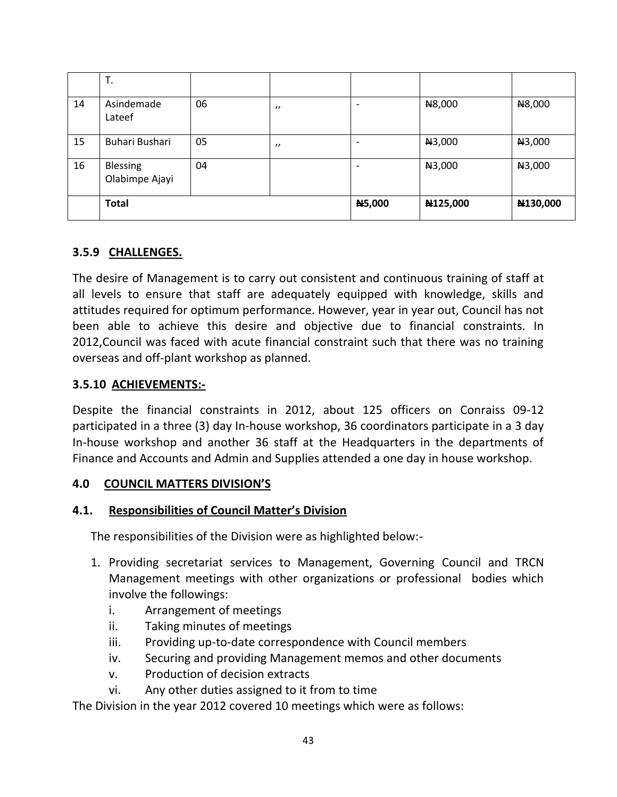|    | T.                         |    |                   |        |          |          |
|----|----------------------------|----|-------------------|--------|----------|----------|
| 14 | Asindemade<br>Lateef       | 06 | $^{\prime\prime}$ |        | N8,000   | N8,000   |
| 15 | Buhari Bushari             | 05 | $^{\prime}$       |        | N3,000   | N3,000   |
| 16 | Blessing<br>Olabimpe Ajayi | 04 |                   |        | N3,000   | N3,000   |
|    | <b>Total</b>               |    |                   | N5,000 | N125,000 | N130,000 |

## **3.5.9 CHALLENGES.**

The desire of Management is to carry out consistent and continuous training of staff at all levels to ensure that staff are adequately equipped with knowledge, skills and attitudes required for optimum performance. However, year in year out, Council has not been able to achieve this desire and objective due to financial constraints. In 2012,Council was faced with acute financial constraint such that there was no training overseas and off-plant workshop as planned.

### **3.5.10 ACHIEVEMENTS:-**

Despite the financial constraints in 2012, about 125 officers on Conraiss 09-12 participated in a three (3) day In-house workshop, 36 coordinators participate in a 3 day In-house workshop and another 36 staff at the Headquarters in the departments of Finance and Accounts and Admin and Supplies attended a one day in house workshop.

### **4.0 COUNCIL MATTERS DIVISION'S**

## **4.1. Responsibilities of Council Matter's Division**

The responsibilities of the Division were as highlighted below:-

- 1. Providing secretariat services to Management, Governing Council and TRCN Management meetings with other organizations or professional bodies which involve the followings:
	- i. Arrangement of meetings
	- ii. Taking minutes of meetings
	- iii. Providing up-to-date correspondence with Council members
	- iv. Securing and providing Management memos and other documents
	- v. Production of decision extracts
	- vi. Any other duties assigned to it from to time

The Division in the year 2012 covered 10 meetings which were as follows: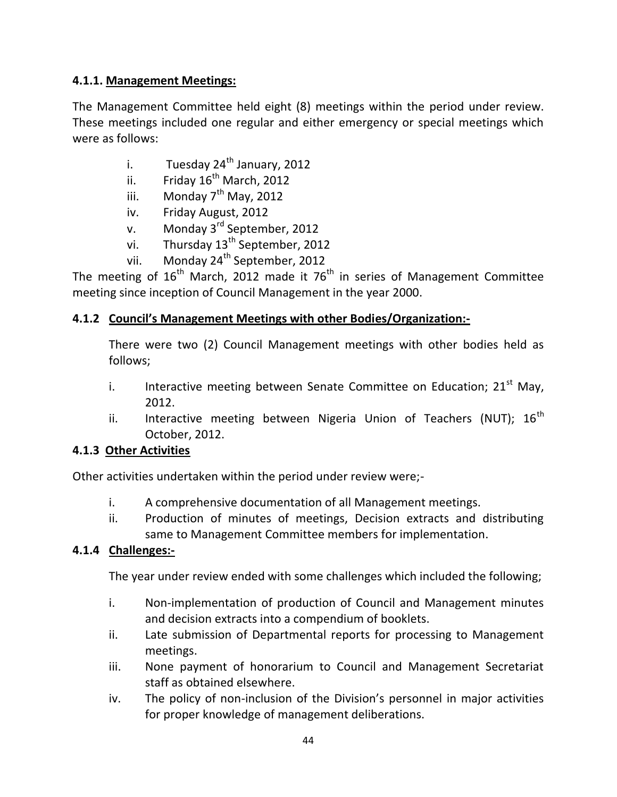## **4.1.1. Management Meetings:**

The Management Committee held eight (8) meetings within the period under review. These meetings included one regular and either emergency or special meetings which were as follows:

- i. Tuesday  $24^{th}$  January, 2012
- ii. Friday  $16^{th}$  March, 2012
- iii. Monday  $7<sup>th</sup>$  May, 2012
- iv. Friday August, 2012
- v. Monday 3<sup>rd</sup> September, 2012
- vi. Thursday  $13<sup>th</sup>$  September, 2012
- vii. Monday  $24^{th}$  September, 2012

The meeting of  $16<sup>th</sup>$  March, 2012 made it 76<sup>th</sup> in series of Management Committee meeting since inception of Council Management in the year 2000.

## **4.1.2 Council's Management Meetings with other Bodies/Organization:-**

There were two (2) Council Management meetings with other bodies held as follows;

- i. Interactive meeting between Senate Committee on Education;  $21<sup>st</sup>$  May, 2012.
- ii. Interactive meeting between Nigeria Union of Teachers (NUT);  $16<sup>th</sup>$ October, 2012.

## **4.1.3 Other Activities**

Other activities undertaken within the period under review were;-

- i. A comprehensive documentation of all Management meetings.
- ii. Production of minutes of meetings, Decision extracts and distributing same to Management Committee members for implementation.

## **4.1.4 Challenges:-**

The year under review ended with some challenges which included the following;

- i. Non-implementation of production of Council and Management minutes and decision extracts into a compendium of booklets.
- ii. Late submission of Departmental reports for processing to Management meetings.
- iii. None payment of honorarium to Council and Management Secretariat staff as obtained elsewhere.
- iv. The policy of non-inclusion of the Division's personnel in major activities for proper knowledge of management deliberations.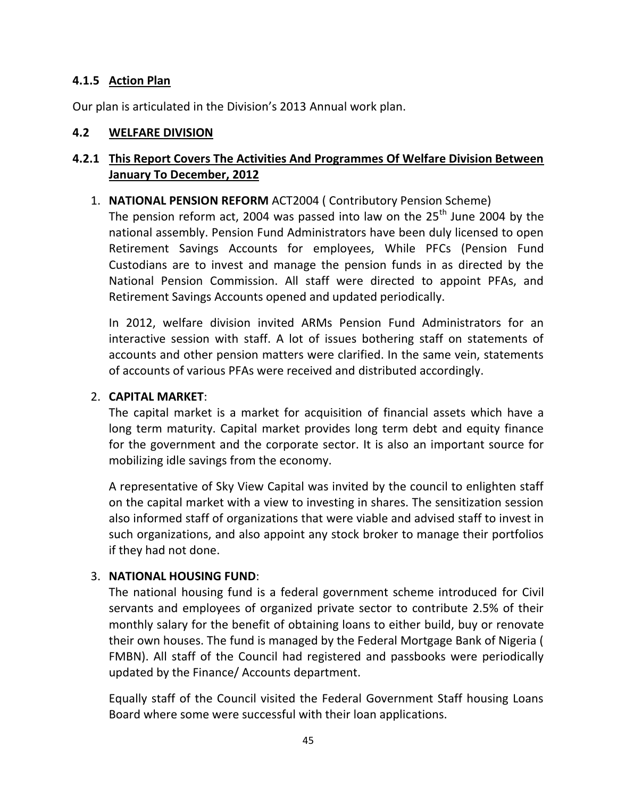### **4.1.5 Action Plan**

Our plan is articulated in the Division's 2013 Annual work plan.

#### **4.2 WELFARE DIVISION**

## **4.2.1 This Report Covers The Activities And Programmes Of Welfare Division Between January To December, 2012**

### 1. **NATIONAL PENSION REFORM** ACT2004 ( Contributory Pension Scheme)

The pension reform act, 2004 was passed into law on the  $25<sup>th</sup>$  June 2004 by the national assembly. Pension Fund Administrators have been duly licensed to open Retirement Savings Accounts for employees, While PFCs (Pension Fund Custodians are to invest and manage the pension funds in as directed by the National Pension Commission. All staff were directed to appoint PFAs, and Retirement Savings Accounts opened and updated periodically.

In 2012, welfare division invited ARMs Pension Fund Administrators for an interactive session with staff. A lot of issues bothering staff on statements of accounts and other pension matters were clarified. In the same vein, statements of accounts of various PFAs were received and distributed accordingly.

#### 2. **CAPITAL MARKET**:

The capital market is a market for acquisition of financial assets which have a long term maturity. Capital market provides long term debt and equity finance for the government and the corporate sector. It is also an important source for mobilizing idle savings from the economy.

A representative of Sky View Capital was invited by the council to enlighten staff on the capital market with a view to investing in shares. The sensitization session also informed staff of organizations that were viable and advised staff to invest in such organizations, and also appoint any stock broker to manage their portfolios if they had not done.

### 3. **NATIONAL HOUSING FUND**:

The national housing fund is a federal government scheme introduced for Civil servants and employees of organized private sector to contribute 2.5% of their monthly salary for the benefit of obtaining loans to either build, buy or renovate their own houses. The fund is managed by the Federal Mortgage Bank of Nigeria ( FMBN). All staff of the Council had registered and passbooks were periodically updated by the Finance/ Accounts department.

Equally staff of the Council visited the Federal Government Staff housing Loans Board where some were successful with their loan applications.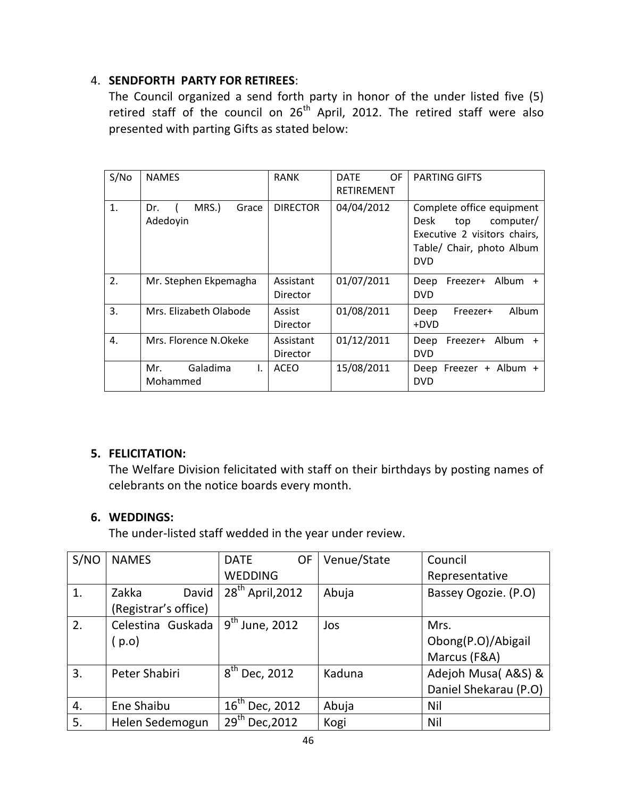## 4. **SENDFORTH PARTY FOR RETIREES**:

The Council organized a send forth party in honor of the under listed five (5) retired staff of the council on  $26<sup>th</sup>$  April, 2012. The retired staff were also presented with parting Gifts as stated below:

| S/No | <b>NAMES</b>                      | <b>RANK</b>               | OF.<br><b>DATE</b><br><b>RETIREMENT</b> | <b>PARTING GIFTS</b>                                                                                                             |
|------|-----------------------------------|---------------------------|-----------------------------------------|----------------------------------------------------------------------------------------------------------------------------------|
| 1.   | MRS.)<br>Dr.<br>Grace<br>Adedoyin | <b>DIRECTOR</b>           | 04/04/2012                              | Complete office equipment<br>Desk<br>top<br>computer/<br>Executive 2 visitors chairs,<br>Table/ Chair, photo Album<br><b>DVD</b> |
| 2.   | Mr. Stephen Ekpemagha             | Assistant<br>Director     | 01/07/2011                              | Freezer+ Album +<br>Deep<br><b>DVD</b>                                                                                           |
| 3.   | Mrs. Elizabeth Olabode            | Assist<br><b>Director</b> | 01/08/2011                              | Album<br>Deep<br>Freezer+<br>+DVD                                                                                                |
| 4.   | Mrs. Florence N.Okeke             | Assistant<br>Director     | 01/12/2011                              | Freezer+ Album +<br>Deep<br><b>DVD</b>                                                                                           |
|      | Mr.<br>Galadima<br>I.<br>Mohammed | <b>ACEO</b>               | 15/08/2011                              | Deep Freezer + Album +<br><b>DVD</b>                                                                                             |

## **5. FELICITATION:**

The Welfare Division felicitated with staff on their birthdays by posting names of celebrants on the notice boards every month.

## **6. WEDDINGS:**

The under-listed staff wedded in the year under review.

| S/NO | <b>NAMES</b>         | <b>DATE</b><br>OF   | Venue/State | Council               |
|------|----------------------|---------------------|-------------|-----------------------|
|      |                      | <b>WEDDING</b>      |             | Representative        |
| 1.   | Zakka<br>David       | $28th$ April, 2012  | Abuja       | Bassey Ogozie. (P.O)  |
|      | (Registrar's office) |                     |             |                       |
| 2.   | Celestina Guskada    | $9th$ June, 2012    | Jos         | Mrs.                  |
|      | ( p.o)               |                     |             | Obong(P.O)/Abigail    |
|      |                      |                     |             | Marcus (F&A)          |
| 3.   | Peter Shabiri        | $8^{th}$ Dec, 2012  | Kaduna      | Adejoh Musa(A&S) &    |
|      |                      |                     |             | Daniel Shekarau (P.O) |
| 4.   | Ene Shaibu           | $16^{th}$ Dec, 2012 | Abuja       | Nil                   |
| 5.   | Helen Sedemogun      | $29^{th}$ Dec, 2012 | Kogi        | Nil                   |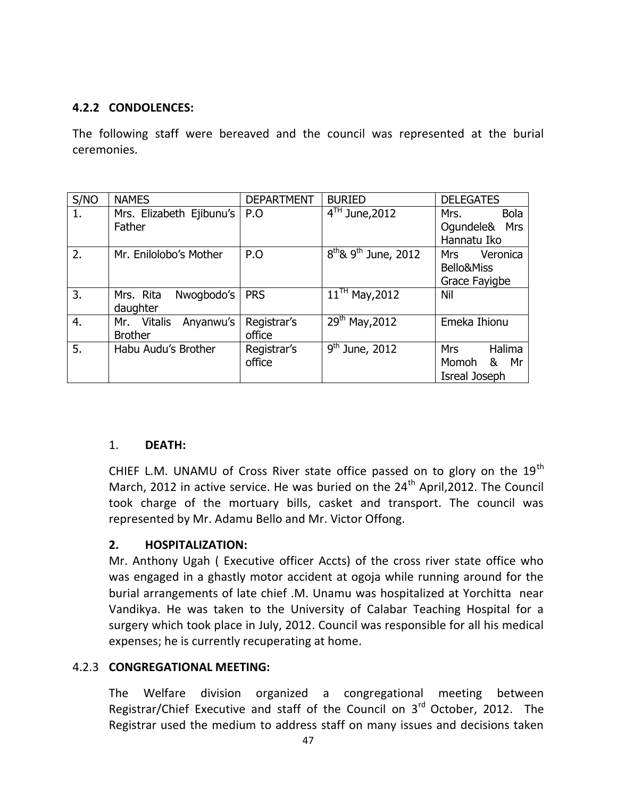### **4.2.2 CONDOLENCES:**

The following staff were bereaved and the council was represented at the burial ceremonies.

| S/NO | <b>NAMES</b>                                         | <b>DEPARTMENT</b>     | <b>BURIED</b>                         | <b>DELEGATES</b>                                          |
|------|------------------------------------------------------|-----------------------|---------------------------------------|-----------------------------------------------------------|
| 1.   | Mrs. Elizabeth Ejibunu's<br>Father                   | P.O                   | $4TH$ June, 2012                      | <b>Bola</b><br>Mrs.<br>Oqundele&<br>Mrs<br>Hannatu Iko    |
| 2.   | Mr. Enilolobo's Mother                               | P.O                   | $8^{th}$ & 9 <sup>th</sup> June, 2012 | Veronica<br><b>Mrs</b><br>Bello&Miss<br>Grace Fayigbe     |
| 3.   | Nwoqbodo's<br>Mrs. Rita<br>daughter                  | <b>PRS</b>            | $11^{TH}$ May, 2012                   | Nil                                                       |
| 4.   | <b>Vitalis</b><br>Anyanwu's<br>Mr.<br><b>Brother</b> | Registrar's<br>office | $29^{th}$ May, 2012                   | Emeka Ihionu                                              |
| 5.   | Habu Audu's Brother                                  | Registrar's<br>office | $9th$ June, 2012                      | Halima<br><b>Mrs</b><br>Momoh<br>Mr<br>&<br>Isreal Joseph |

### 1. **DEATH:**

CHIEF L.M. UNAMU of Cross River state office passed on to glory on the  $19<sup>th</sup>$ March, 2012 in active service. He was buried on the  $24<sup>th</sup>$  April, 2012. The Council took charge of the mortuary bills, casket and transport. The council was represented by Mr. Adamu Bello and Mr. Victor Offong.

## **2. HOSPITALIZATION:**

Mr. Anthony Ugah ( Executive officer Accts) of the cross river state office who was engaged in a ghastly motor accident at ogoja while running around for the burial arrangements of late chief .M. Unamu was hospitalized at Yorchitta near Vandikya. He was taken to the University of Calabar Teaching Hospital for a surgery which took place in July, 2012. Council was responsible for all his medical expenses; he is currently recuperating at home.

### 4.2.3 **CONGREGATIONAL MEETING:**

The Welfare division organized a congregational meeting between Registrar/Chief Executive and staff of the Council on  $3<sup>rd</sup>$  October, 2012. The Registrar used the medium to address staff on many issues and decisions taken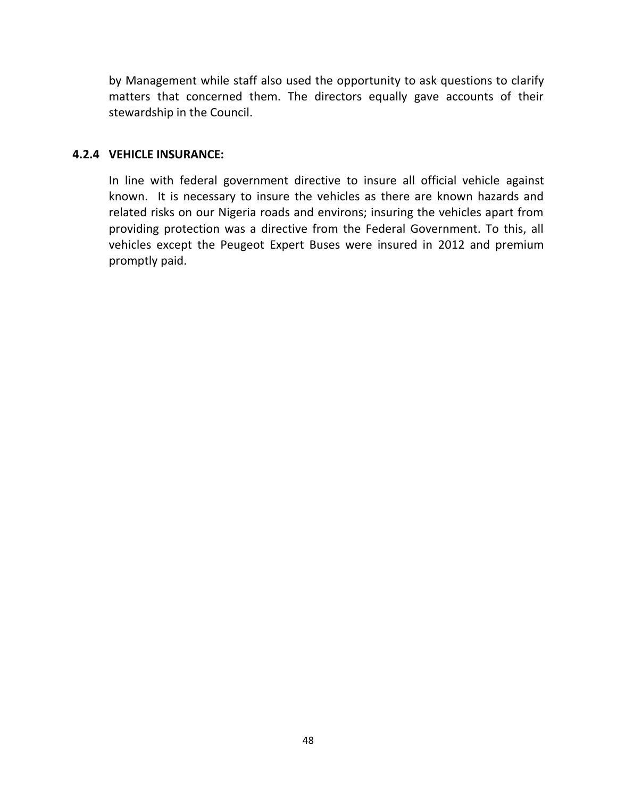by Management while staff also used the opportunity to ask questions to clarify matters that concerned them. The directors equally gave accounts of their stewardship in the Council.

### **4.2.4 VEHICLE INSURANCE:**

In line with federal government directive to insure all official vehicle against known. It is necessary to insure the vehicles as there are known hazards and related risks on our Nigeria roads and environs; insuring the vehicles apart from providing protection was a directive from the Federal Government. To this, all vehicles except the Peugeot Expert Buses were insured in 2012 and premium promptly paid.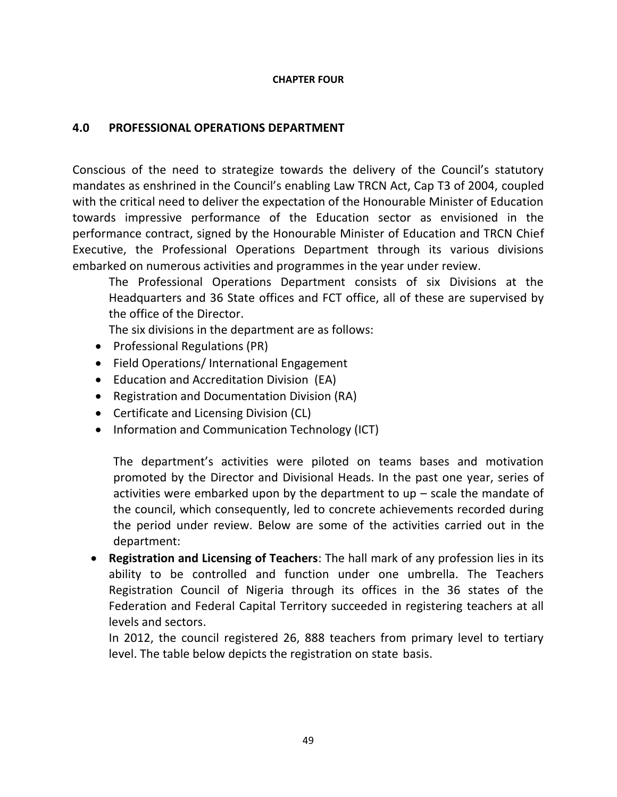#### **CHAPTER FOUR**

### **4.0 PROFESSIONAL OPERATIONS DEPARTMENT**

Conscious of the need to strategize towards the delivery of the Council's statutory mandates as enshrined in the Council's enabling Law TRCN Act, Cap T3 of 2004, coupled with the critical need to deliver the expectation of the Honourable Minister of Education towards impressive performance of the Education sector as envisioned in the performance contract, signed by the Honourable Minister of Education and TRCN Chief Executive, the Professional Operations Department through its various divisions embarked on numerous activities and programmes in the year under review.

The Professional Operations Department consists of six Divisions at the Headquarters and 36 State offices and FCT office, all of these are supervised by the office of the Director.

The six divisions in the department are as follows:

- Professional Regulations (PR)
- Field Operations/ International Engagement
- Education and Accreditation Division (EA)
- Registration and Documentation Division (RA)
- Certificate and Licensing Division (CL)
- Information and Communication Technology (ICT)

The department's activities were piloted on teams bases and motivation promoted by the Director and Divisional Heads. In the past one year, series of activities were embarked upon by the department to up – scale the mandate of the council, which consequently, led to concrete achievements recorded during the period under review. Below are some of the activities carried out in the department:

 **Registration and Licensing of Teachers**: The hall mark of any profession lies in its ability to be controlled and function under one umbrella. The Teachers Registration Council of Nigeria through its offices in the 36 states of the Federation and Federal Capital Territory succeeded in registering teachers at all levels and sectors.

In 2012, the council registered 26, 888 teachers from primary level to tertiary level. The table below depicts the registration on state basis.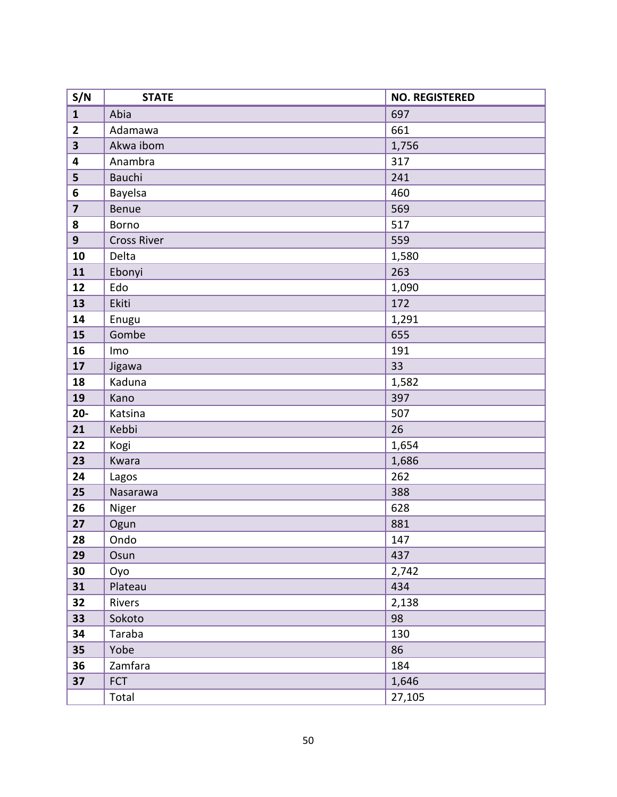| S/N                     | <b>STATE</b>       | <b>NO. REGISTERED</b> |
|-------------------------|--------------------|-----------------------|
| $\mathbf{1}$            | Abia               | 697                   |
| $\mathbf{2}$            | Adamawa            | 661                   |
| $\overline{\mathbf{3}}$ | Akwa ibom          | 1,756                 |
| $\overline{\mathbf{4}}$ | Anambra            | 317                   |
| 5                       | Bauchi             | 241                   |
| 6                       | Bayelsa            | 460                   |
| $\overline{\mathbf{z}}$ | Benue              | 569                   |
| 8                       | Borno              | 517                   |
| $\overline{9}$          | <b>Cross River</b> | 559                   |
| 10                      | Delta              | 1,580                 |
| 11                      | Ebonyi             | 263                   |
| 12                      | Edo                | 1,090                 |
| 13                      | Ekiti              | 172                   |
| 14                      | Enugu              | 1,291                 |
| 15                      | Gombe              | 655                   |
| 16                      | Imo                | 191                   |
| 17                      | Jigawa             | 33                    |
| 18                      | Kaduna             | 1,582                 |
| 19                      | Kano               | 397                   |
| $20-$                   | Katsina            | 507                   |
| 21                      | Kebbi              | 26                    |
| 22                      | Kogi               | 1,654                 |
| 23                      | Kwara              | 1,686                 |
| 24                      | Lagos              | 262                   |
| 25                      | Nasarawa           | 388                   |
| 26                      | Niger              | 628                   |
| 27                      | Ogun               | 881                   |
| 28                      | Ondo               | 147                   |
| 29                      | Osun               | 437                   |
| 30                      | Оуо                | 2,742                 |
| 31                      | Plateau            | 434                   |
| 32                      | Rivers             | 2,138                 |
| 33                      | Sokoto             | 98                    |
| 34                      | Taraba             | 130                   |
| 35                      | Yobe               | 86                    |
| 36                      | Zamfara            | 184                   |
| 37                      | <b>FCT</b>         | 1,646                 |
|                         | Total              | 27,105                |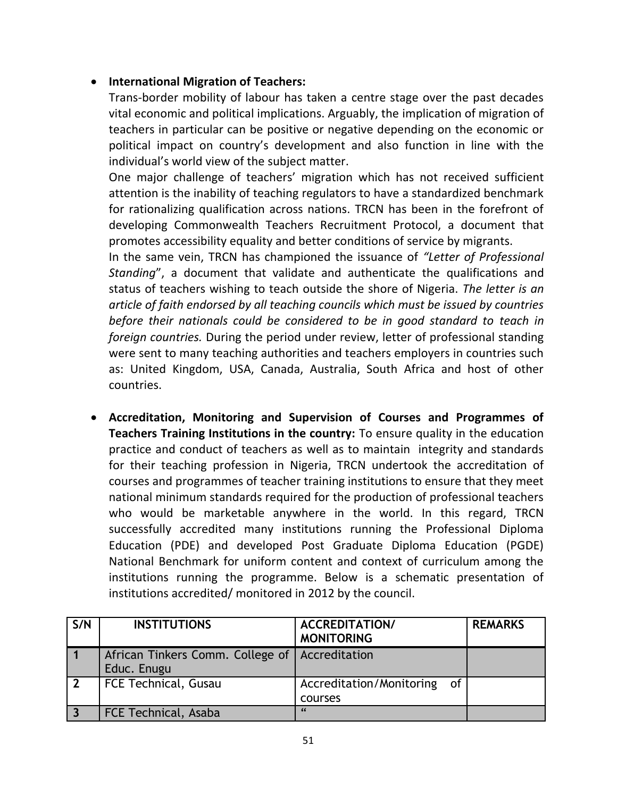## **International Migration of Teachers:**

Trans-border mobility of labour has taken a centre stage over the past decades vital economic and political implications. Arguably, the implication of migration of teachers in particular can be positive or negative depending on the economic or political impact on country's development and also function in line with the individual's world view of the subject matter.

One major challenge of teachers' migration which has not received sufficient attention is the inability of teaching regulators to have a standardized benchmark for rationalizing qualification across nations. TRCN has been in the forefront of developing Commonwealth Teachers Recruitment Protocol, a document that promotes accessibility equality and better conditions of service by migrants.

In the same vein, TRCN has championed the issuance of *"Letter of Professional Standing*", a document that validate and authenticate the qualifications and status of teachers wishing to teach outside the shore of Nigeria. *The letter is an article of faith endorsed by all teaching councils which must be issued by countries before their nationals could be considered to be in good standard to teach in foreign countries.* During the period under review, letter of professional standing were sent to many teaching authorities and teachers employers in countries such as: United Kingdom, USA, Canada, Australia, South Africa and host of other countries.

 **Accreditation, Monitoring and Supervision of Courses and Programmes of Teachers Training Institutions in the country:** To ensure quality in the education practice and conduct of teachers as well as to maintain integrity and standards for their teaching profession in Nigeria, TRCN undertook the accreditation of courses and programmes of teacher training institutions to ensure that they meet national minimum standards required for the production of professional teachers who would be marketable anywhere in the world. In this regard, TRCN successfully accredited many institutions running the Professional Diploma Education (PDE) and developed Post Graduate Diploma Education (PGDE) National Benchmark for uniform content and context of curriculum among the institutions running the programme. Below is a schematic presentation of institutions accredited/ monitored in 2012 by the council.

| S/N | <b>INSTITUTIONS</b>                             | <b>ACCREDITATION/</b><br><b>MONITORING</b> | <b>REMARKS</b> |
|-----|-------------------------------------------------|--------------------------------------------|----------------|
|     | African Tinkers Comm. College of<br>Educ. Enugu | Accreditation                              |                |
|     | FCE Technical, Gusau                            | Accreditation/Monitoring of<br>courses     |                |
|     | FCE Technical, Asaba                            | $\epsilon$                                 |                |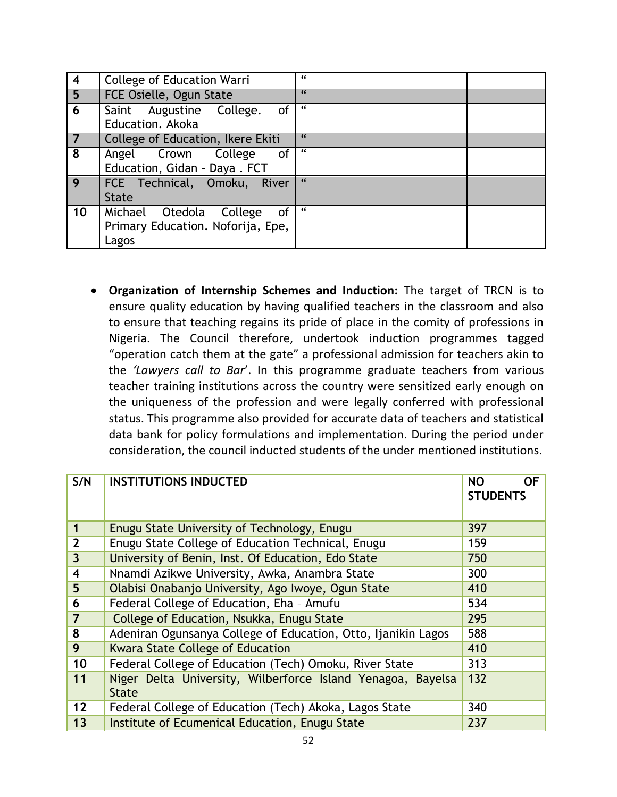| $\overline{\mathbf{4}}$ | <b>College of Education Warri</b> | $\epsilon$ |
|-------------------------|-----------------------------------|------------|
| $\overline{5}$          | FCE Osielle, Ogun State           | 66         |
| 6                       | of<br>Saint Augustine College.    | $\epsilon$ |
|                         | Education. Akoka                  |            |
| $\overline{7}$          | College of Education, Ikere Ekiti | $\epsilon$ |
| 8                       | <b>of</b><br>Angel Crown College  | $\epsilon$ |
|                         | Education, Gidan - Daya. FCT      |            |
| $\mathbf{q}$            | FCE Technical, Omoku, River       | 66         |
|                         | <b>State</b>                      |            |
| 10                      | Michael Otedola College<br>of     | $\epsilon$ |
|                         | Primary Education. Noforija, Epe, |            |
|                         | Lagos                             |            |

 **Organization of Internship Schemes and Induction:** The target of TRCN is to ensure quality education by having qualified teachers in the classroom and also to ensure that teaching regains its pride of place in the comity of professions in Nigeria. The Council therefore, undertook induction programmes tagged "operation catch them at the gate" a professional admission for teachers akin to the *'Lawyers call to Bar*'. In this programme graduate teachers from various teacher training institutions across the country were sensitized early enough on the uniqueness of the profession and were legally conferred with professional status. This programme also provided for accurate data of teachers and statistical data bank for policy formulations and implementation. During the period under consideration, the council inducted students of the under mentioned institutions.

| S/N                     | <b>INSTITUTIONS INDUCTED</b>                                                | 0F<br><b>NO</b><br><b>STUDENTS</b> |
|-------------------------|-----------------------------------------------------------------------------|------------------------------------|
| $\mathbf 1$             | Enugu State University of Technology, Enugu                                 | 397                                |
| $\overline{2}$          | Enugu State College of Education Technical, Enugu                           | 159                                |
| $\overline{3}$          | University of Benin, Inst. Of Education, Edo State                          | 750                                |
| $\overline{\mathbf{4}}$ | Nnamdi Azikwe University, Awka, Anambra State                               | 300                                |
| 5                       | Olabisi Onabanjo University, Ago Iwoye, Ogun State                          | 410                                |
| 6                       | Federal College of Education, Eha - Amufu                                   | 534                                |
| $\overline{7}$          | College of Education, Nsukka, Enugu State                                   | 295                                |
| 8                       | Adeniran Ogunsanya College of Education, Otto, Ijanikin Lagos               | 588                                |
| 9                       | <b>Kwara State College of Education</b>                                     | 410                                |
| 10                      | Federal College of Education (Tech) Omoku, River State                      | 313                                |
| 11                      | Niger Delta University, Wilberforce Island Yenagoa, Bayelsa<br><b>State</b> | 132                                |
| 12                      | Federal College of Education (Tech) Akoka, Lagos State                      | 340                                |
| 13                      | Institute of Ecumenical Education, Enugu State                              | 237                                |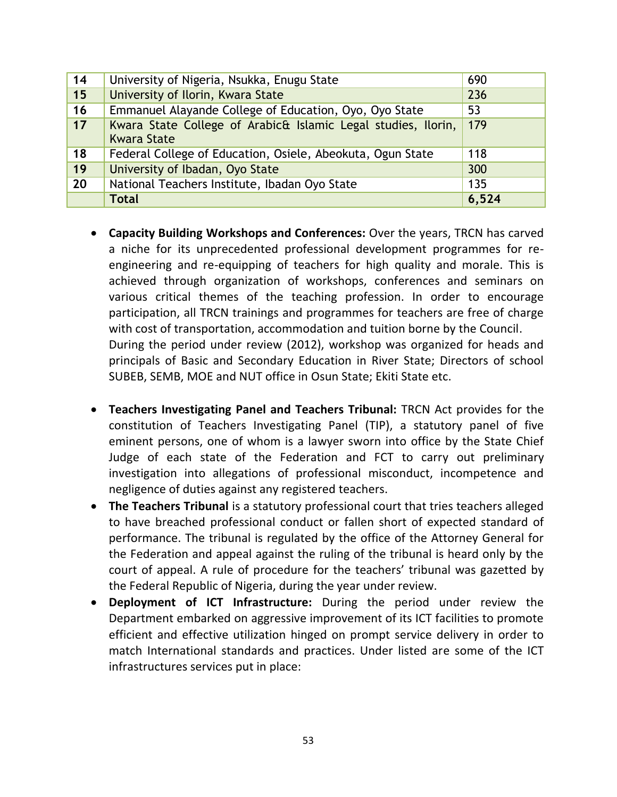| 14 | University of Nigeria, Nsukka, Enugu State                                          | 690   |
|----|-------------------------------------------------------------------------------------|-------|
| 15 | University of Ilorin, Kwara State                                                   | 236   |
| 16 | Emmanuel Alayande College of Education, Oyo, Oyo State                              | 53    |
| 17 | Kwara State College of Arabic& Islamic Legal studies, Ilorin,<br><b>Kwara State</b> | 179   |
| 18 | Federal College of Education, Osiele, Abeokuta, Ogun State                          | 118   |
| 19 | University of Ibadan, Oyo State                                                     | 300   |
| 20 | National Teachers Institute, Ibadan Oyo State                                       | 135   |
|    | <b>Total</b>                                                                        | 6,524 |

- **Capacity Building Workshops and Conferences:** Over the years, TRCN has carved a niche for its unprecedented professional development programmes for reengineering and re-equipping of teachers for high quality and morale. This is achieved through organization of workshops, conferences and seminars on various critical themes of the teaching profession. In order to encourage participation, all TRCN trainings and programmes for teachers are free of charge with cost of transportation, accommodation and tuition borne by the Council. During the period under review (2012), workshop was organized for heads and principals of Basic and Secondary Education in River State; Directors of school SUBEB, SEMB, MOE and NUT office in Osun State; Ekiti State etc.
- **Teachers Investigating Panel and Teachers Tribunal:** TRCN Act provides for the constitution of Teachers Investigating Panel (TIP), a statutory panel of five eminent persons, one of whom is a lawyer sworn into office by the State Chief Judge of each state of the Federation and FCT to carry out preliminary investigation into allegations of professional misconduct, incompetence and negligence of duties against any registered teachers.
- **The Teachers Tribunal** is a statutory professional court that tries teachers alleged to have breached professional conduct or fallen short of expected standard of performance. The tribunal is regulated by the office of the Attorney General for the Federation and appeal against the ruling of the tribunal is heard only by the court of appeal. A rule of procedure for the teachers' tribunal was gazetted by the Federal Republic of Nigeria, during the year under review.
- **Deployment of ICT Infrastructure:** During the period under review the Department embarked on aggressive improvement of its ICT facilities to promote efficient and effective utilization hinged on prompt service delivery in order to match International standards and practices. Under listed are some of the ICT infrastructures services put in place: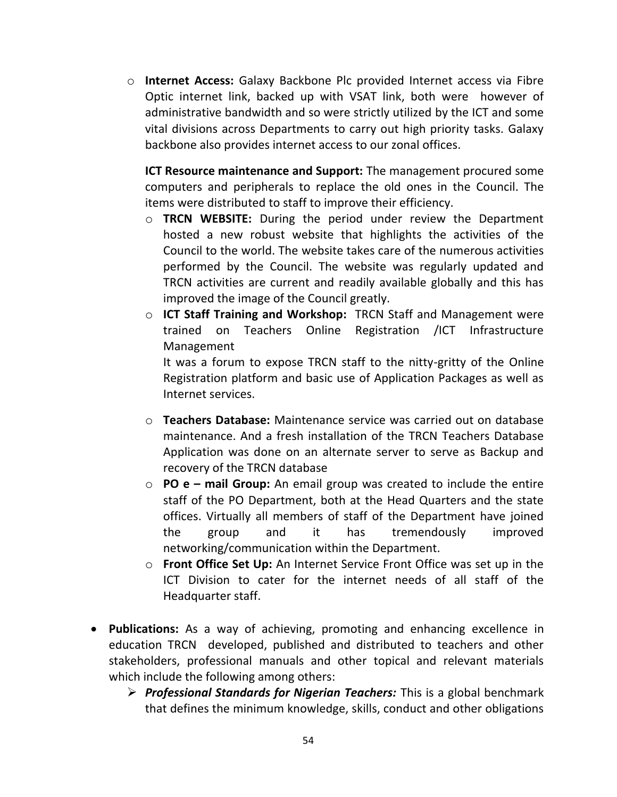o **Internet Access:** Galaxy Backbone Plc provided Internet access via Fibre Optic internet link, backed up with VSAT link, both were however of administrative bandwidth and so were strictly utilized by the ICT and some vital divisions across Departments to carry out high priority tasks. Galaxy backbone also provides internet access to our zonal offices.

**ICT Resource maintenance and Support:** The management procured some computers and peripherals to replace the old ones in the Council. The items were distributed to staff to improve their efficiency.

- o **TRCN WEBSITE:** During the period under review the Department hosted a new robust website that highlights the activities of the Council to the world. The website takes care of the numerous activities performed by the Council. The website was regularly updated and TRCN activities are current and readily available globally and this has improved the image of the Council greatly.
- o **ICT Staff Training and Workshop:** TRCN Staff and Management were trained on Teachers Online Registration /ICT Infrastructure Management

It was a forum to expose TRCN staff to the nitty-gritty of the Online Registration platform and basic use of Application Packages as well as Internet services.

- o **Teachers Database:** Maintenance service was carried out on database maintenance. And a fresh installation of the TRCN Teachers Database Application was done on an alternate server to serve as Backup and recovery of the TRCN database
- o **PO e – mail Group:** An email group was created to include the entire staff of the PO Department, both at the Head Quarters and the state offices. Virtually all members of staff of the Department have joined the group and it has tremendously improved networking/communication within the Department.
- o **Front Office Set Up:** An Internet Service Front Office was set up in the ICT Division to cater for the internet needs of all staff of the Headquarter staff.
- **Publications:** As a way of achieving, promoting and enhancing excellence in education TRCN developed, published and distributed to teachers and other stakeholders, professional manuals and other topical and relevant materials which include the following among others:
	- *Professional Standards for Nigerian Teachers:* This is a global benchmark that defines the minimum knowledge, skills, conduct and other obligations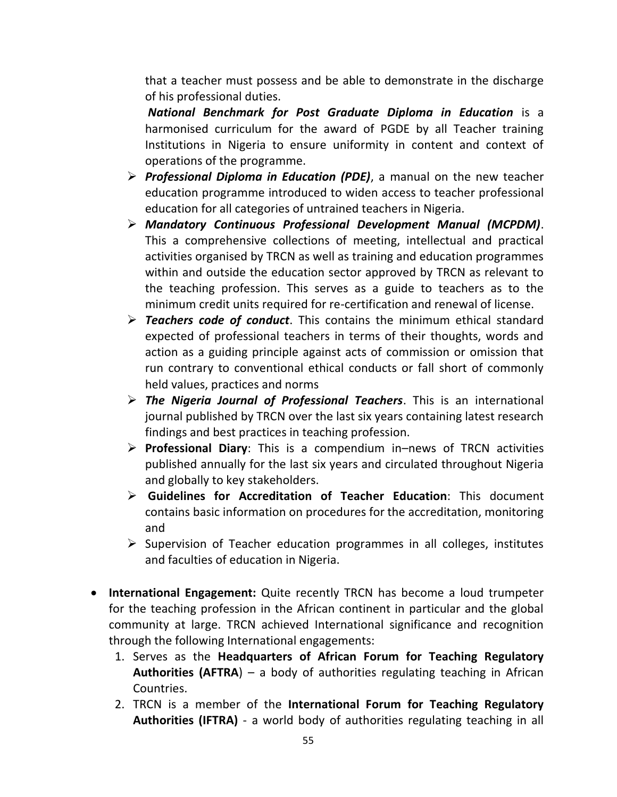that a teacher must possess and be able to demonstrate in the discharge of his professional duties.

*National Benchmark for Post Graduate Diploma in Education* is a harmonised curriculum for the award of PGDE by all Teacher training Institutions in Nigeria to ensure uniformity in content and context of operations of the programme.

- *Professional Diploma in Education (PDE)*, a manual on the new teacher education programme introduced to widen access to teacher professional education for all categories of untrained teachers in Nigeria.
- *Mandatory Continuous Professional Development Manual (MCPDM)*. This a comprehensive collections of meeting, intellectual and practical activities organised by TRCN as well as training and education programmes within and outside the education sector approved by TRCN as relevant to the teaching profession. This serves as a guide to teachers as to the minimum credit units required for re-certification and renewal of license.
- *Teachers code of conduct*. This contains the minimum ethical standard expected of professional teachers in terms of their thoughts, words and action as a guiding principle against acts of commission or omission that run contrary to conventional ethical conducts or fall short of commonly held values, practices and norms
- *The Nigeria Journal of Professional Teachers*. This is an international journal published by TRCN over the last six years containing latest research findings and best practices in teaching profession.
- **Professional Diary**: This is a compendium in–news of TRCN activities published annually for the last six years and circulated throughout Nigeria and globally to key stakeholders.
- **Guidelines for Accreditation of Teacher Education**: This document contains basic information on procedures for the accreditation, monitoring and
- $\triangleright$  Supervision of Teacher education programmes in all colleges, institutes and faculties of education in Nigeria.
- **International Engagement:** Quite recently TRCN has become a loud trumpeter for the teaching profession in the African continent in particular and the global community at large. TRCN achieved International significance and recognition through the following International engagements:
	- 1. Serves as the **Headquarters of African Forum for Teaching Regulatory Authorities (AFTRA**) – a body of authorities regulating teaching in African Countries.
	- 2. TRCN is a member of the **International Forum for Teaching Regulatory Authorities (IFTRA)** - a world body of authorities regulating teaching in all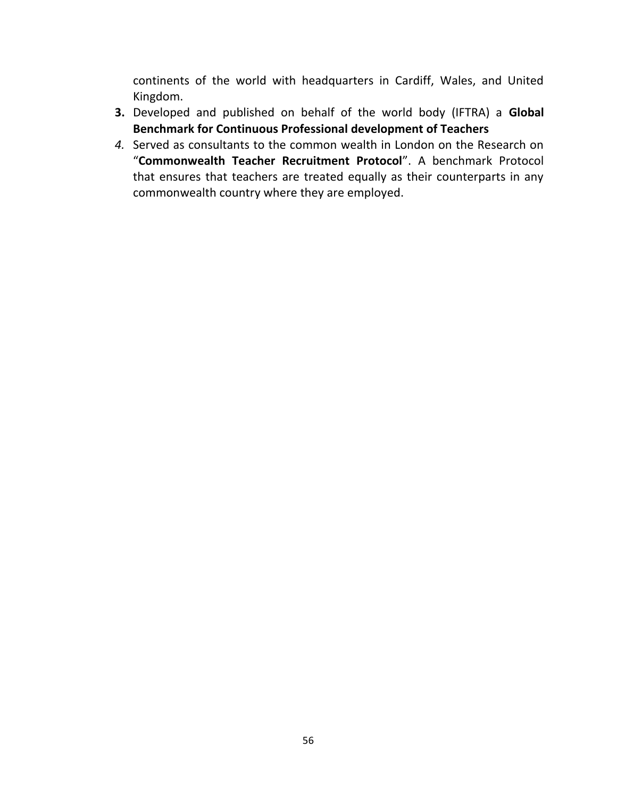continents of the world with headquarters in Cardiff, Wales, and United Kingdom.

- **3.** Developed and published on behalf of the world body (IFTRA) a **Global Benchmark for Continuous Professional development of Teachers**
- *4.* Served as consultants to the common wealth in London on the Research on "**Commonwealth Teacher Recruitment Protocol**". A benchmark Protocol that ensures that teachers are treated equally as their counterparts in any commonwealth country where they are employed.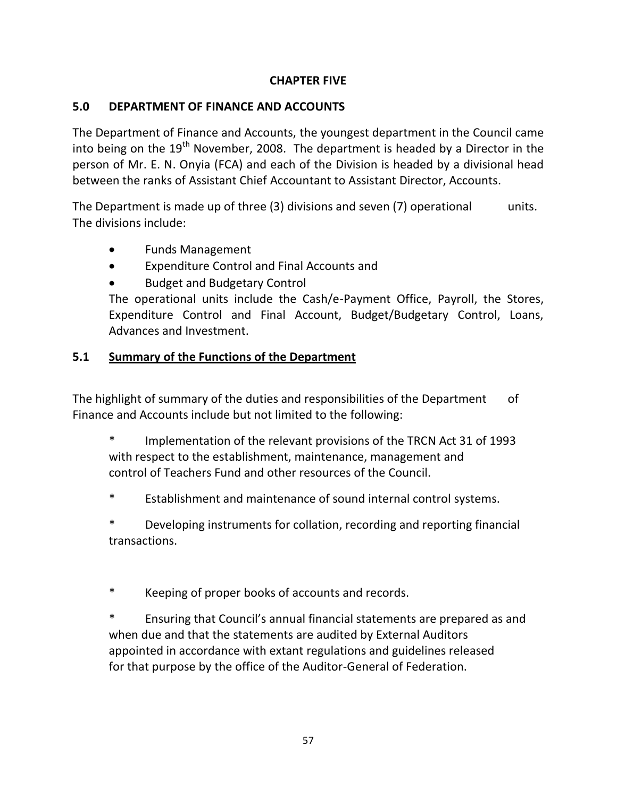## **CHAPTER FIVE**

## **5.0 DEPARTMENT OF FINANCE AND ACCOUNTS**

The Department of Finance and Accounts, the youngest department in the Council came into being on the  $19<sup>th</sup>$  November, 2008. The department is headed by a Director in the person of Mr. E. N. Onyia (FCA) and each of the Division is headed by a divisional head between the ranks of Assistant Chief Accountant to Assistant Director, Accounts.

The Department is made up of three  $(3)$  divisions and seven  $(7)$  operational units. The divisions include:

- Funds Management
- Expenditure Control and Final Accounts and
- Budget and Budgetary Control

The operational units include the Cash/e-Payment Office, Payroll, the Stores, Expenditure Control and Final Account, Budget/Budgetary Control, Loans, Advances and Investment.

## **5.1 Summary of the Functions of the Department**

The highlight of summary of the duties and responsibilities of the Department of Finance and Accounts include but not limited to the following:

Implementation of the relevant provisions of the TRCN Act 31 of 1993 with respect to the establishment, maintenance, management and control of Teachers Fund and other resources of the Council.

\* Establishment and maintenance of sound internal control systems.

Developing instruments for collation, recording and reporting financial transactions.

Keeping of proper books of accounts and records.

Ensuring that Council's annual financial statements are prepared as and when due and that the statements are audited by External Auditors appointed in accordance with extant regulations and guidelines released for that purpose by the office of the Auditor-General of Federation.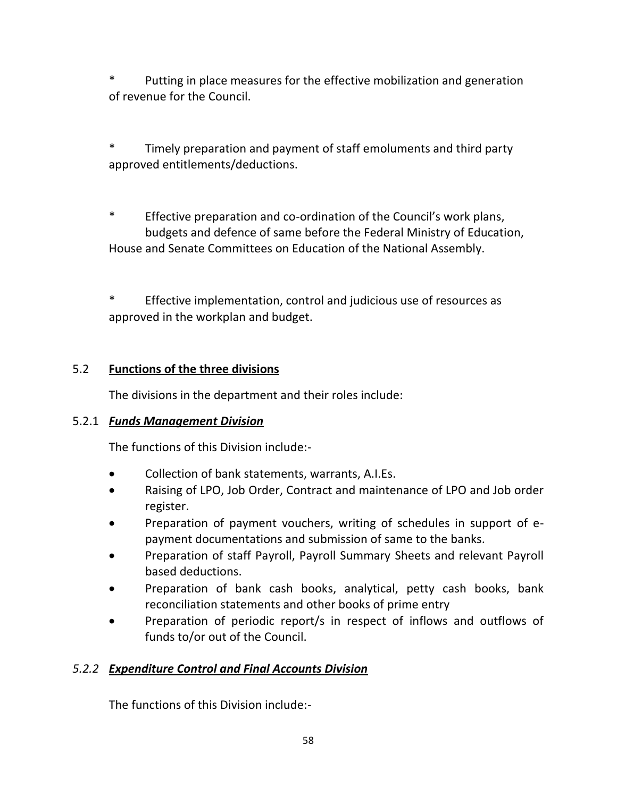Putting in place measures for the effective mobilization and generation of revenue for the Council.

\* Timely preparation and payment of staff emoluments and third party approved entitlements/deductions.

\* Effective preparation and co-ordination of the Council's work plans, budgets and defence of same before the Federal Ministry of Education, House and Senate Committees on Education of the National Assembly.

\* Effective implementation, control and judicious use of resources as approved in the workplan and budget.

## 5.2 **Functions of the three divisions**

The divisions in the department and their roles include:

## 5.2.1 *Funds Management Division*

The functions of this Division include:-

- Collection of bank statements, warrants, A.I.Es.
- Raising of LPO, Job Order, Contract and maintenance of LPO and Job order register.
- Preparation of payment vouchers, writing of schedules in support of epayment documentations and submission of same to the banks.
- Preparation of staff Payroll, Payroll Summary Sheets and relevant Payroll based deductions.
- Preparation of bank cash books, analytical, petty cash books, bank reconciliation statements and other books of prime entry
- Preparation of periodic report/s in respect of inflows and outflows of funds to/or out of the Council.

## *5.2.2 Expenditure Control and Final Accounts Division*

The functions of this Division include:-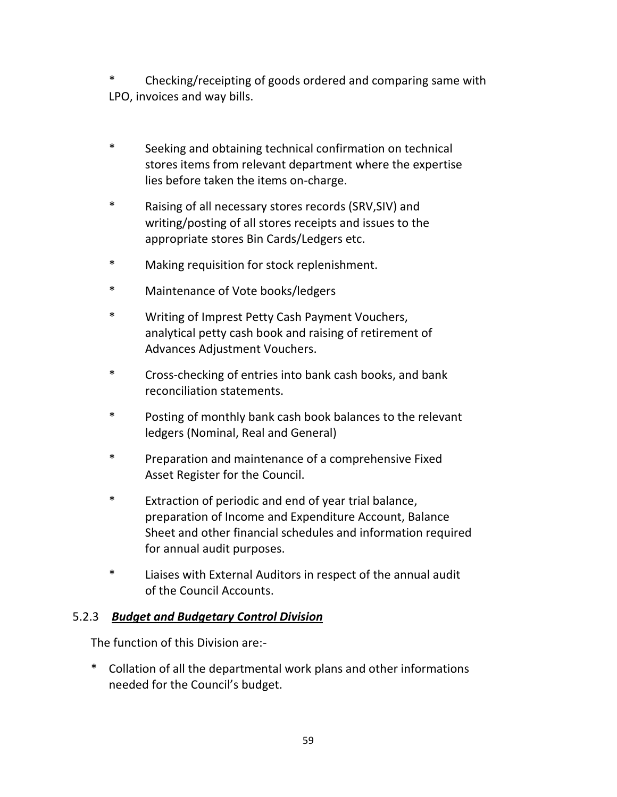Checking/receipting of goods ordered and comparing same with LPO, invoices and way bills.

- \* Seeking and obtaining technical confirmation on technical stores items from relevant department where the expertise lies before taken the items on-charge.
- \* Raising of all necessary stores records (SRV,SIV) and writing/posting of all stores receipts and issues to the appropriate stores Bin Cards/Ledgers etc.
- \* Making requisition for stock replenishment.
- \* Maintenance of Vote books/ledgers
- \* Writing of Imprest Petty Cash Payment Vouchers, analytical petty cash book and raising of retirement of Advances Adjustment Vouchers.
- \* Cross-checking of entries into bank cash books, and bank reconciliation statements.
- \* Posting of monthly bank cash book balances to the relevant ledgers (Nominal, Real and General)
- \* Preparation and maintenance of a comprehensive Fixed Asset Register for the Council.
- \* Extraction of periodic and end of year trial balance, preparation of Income and Expenditure Account, Balance Sheet and other financial schedules and information required for annual audit purposes.
- \* Liaises with External Auditors in respect of the annual audit of the Council Accounts.

## 5.2.3 *Budget and Budgetary Control Division*

The function of this Division are:-

\* Collation of all the departmental work plans and other informations needed for the Council's budget.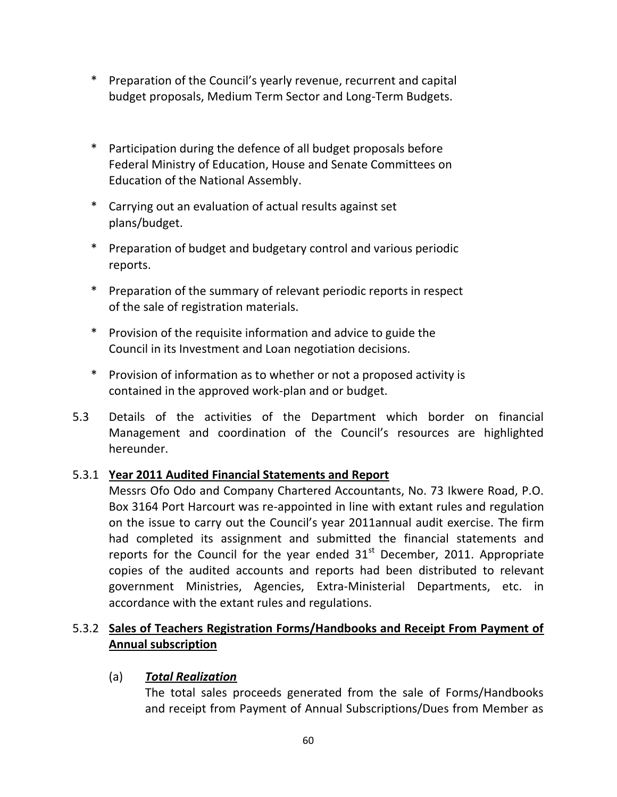- \* Preparation of the Council's yearly revenue, recurrent and capital budget proposals, Medium Term Sector and Long-Term Budgets.
- \* Participation during the defence of all budget proposals before Federal Ministry of Education, House and Senate Committees on Education of the National Assembly.
- \* Carrying out an evaluation of actual results against set plans/budget.
- \* Preparation of budget and budgetary control and various periodic reports.
- \* Preparation of the summary of relevant periodic reports in respect of the sale of registration materials.
- \* Provision of the requisite information and advice to guide the Council in its Investment and Loan negotiation decisions.
- \* Provision of information as to whether or not a proposed activity is contained in the approved work-plan and or budget.
- 5.3 Details of the activities of the Department which border on financial Management and coordination of the Council's resources are highlighted hereunder.

## 5.3.1 **Year 2011 Audited Financial Statements and Report**

Messrs Ofo Odo and Company Chartered Accountants, No. 73 Ikwere Road, P.O. Box 3164 Port Harcourt was re-appointed in line with extant rules and regulation on the issue to carry out the Council's year 2011annual audit exercise. The firm had completed its assignment and submitted the financial statements and reports for the Council for the year ended  $31<sup>st</sup>$  December, 2011. Appropriate copies of the audited accounts and reports had been distributed to relevant government Ministries, Agencies, Extra-Ministerial Departments, etc. in accordance with the extant rules and regulations.

## 5.3.2 **Sales of Teachers Registration Forms/Handbooks and Receipt From Payment of Annual subscription**

## (a) *Total Realization*

The total sales proceeds generated from the sale of Forms/Handbooks and receipt from Payment of Annual Subscriptions/Dues from Member as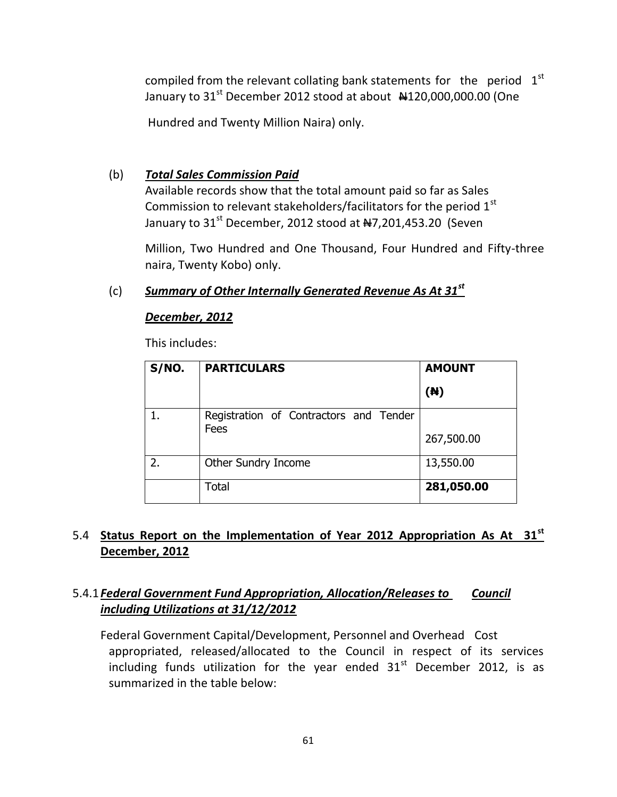compiled from the relevant collating bank statements for the period  $1<sup>st</sup>$ January to  $31<sup>st</sup>$  December 2012 stood at about  $\frac{4120,000,000.00}{0}$  (One

Hundred and Twenty Million Naira) only.

### (b) *Total Sales Commission Paid*

Available records show that the total amount paid so far as Sales Commission to relevant stakeholders/facilitators for the period 1<sup>st</sup> January to  $31<sup>st</sup>$  December, 2012 stood at  $\frac{47}{201}$ ,453.20 (Seven

Million, Two Hundred and One Thousand, Four Hundred and Fifty-three naira, Twenty Kobo) only.

### (c) *Summary of Other Internally Generated Revenue As At 31st*

### *December, 2012*

This includes:

| S/NO. | <b>PARTICULARS</b>                     | <b>AMOUNT</b> |
|-------|----------------------------------------|---------------|
|       |                                        | (N)           |
|       | Registration of Contractors and Tender |               |
|       | Fees                                   | 267,500.00    |
| 2.    | Other Sundry Income                    | 13,550.00     |
|       | Total                                  | 281,050.00    |

## 5.4 **Status Report on the Implementation of Year 2012 Appropriation As At 31st December, 2012**

## 5.4.1*Federal Government Fund Appropriation, Allocation/Releases to Council including Utilizations at 31/12/2012*

Federal Government Capital/Development, Personnel and Overhead Cost appropriated, released/allocated to the Council in respect of its services including funds utilization for the year ended  $31<sup>st</sup>$  December 2012, is as summarized in the table below: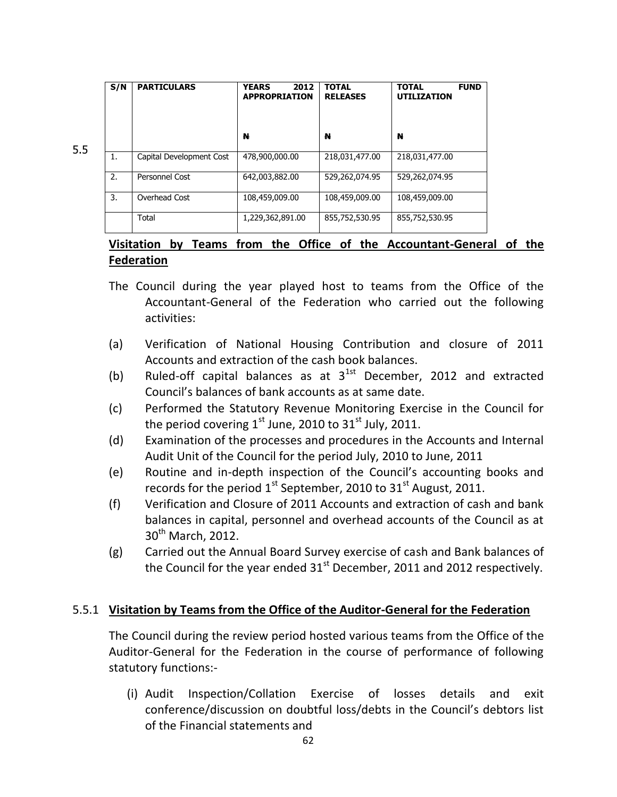| S/N           | <b>PARTICULARS</b>       | 2012<br><b>YEARS</b><br><b>APPROPRIATION</b> | <b>TOTAL</b><br><b>RELEASES</b> | <b>FUND</b><br><b>TOTAL</b><br><b>UTILIZATION</b> |
|---------------|--------------------------|----------------------------------------------|---------------------------------|---------------------------------------------------|
|               |                          | N                                            | N                               | N                                                 |
| 1.            | Capital Development Cost | 478,900,000.00                               | 218,031,477.00                  | 218,031,477.00                                    |
| $\mathcal{L}$ | Personnel Cost           | 642,003,882.00                               | 529,262,074.95                  | 529,262,074.95                                    |
| 3.            | Overhead Cost            | 108,459,009.00                               | 108,459,009.00                  | 108,459,009.00                                    |
|               | Total                    | 1,229,362,891.00                             | 855,752,530.95                  | 855,752,530.95                                    |

5.5

## **Visitation by Teams from the Office of the Accountant-General of the Federation**

- The Council during the year played host to teams from the Office of the Accountant-General of the Federation who carried out the following activities:
- (a) Verification of National Housing Contribution and closure of 2011 Accounts and extraction of the cash book balances.
- (b) Ruled-off capital balances as at  $3^{1st}$  December, 2012 and extracted Council's balances of bank accounts as at same date.
- (c) Performed the Statutory Revenue Monitoring Exercise in the Council for the period covering  $1^{st}$  June, 2010 to  $31^{st}$  July, 2011.
- (d) Examination of the processes and procedures in the Accounts and Internal Audit Unit of the Council for the period July, 2010 to June, 2011
- (e) Routine and in-depth inspection of the Council's accounting books and records for the period  $1<sup>st</sup>$  September, 2010 to 31 $<sup>st</sup>$  August, 2011.</sup>
- (f) Verification and Closure of 2011 Accounts and extraction of cash and bank balances in capital, personnel and overhead accounts of the Council as at 30<sup>th</sup> March, 2012.
- (g) Carried out the Annual Board Survey exercise of cash and Bank balances of the Council for the year ended  $31<sup>st</sup>$  December, 2011 and 2012 respectively.

### 5.5.1 **Visitation by Teams from the Office of the Auditor-General for the Federation**

The Council during the review period hosted various teams from the Office of the Auditor-General for the Federation in the course of performance of following statutory functions:-

(i) Audit Inspection/Collation Exercise of losses details and exit conference/discussion on doubtful loss/debts in the Council's debtors list of the Financial statements and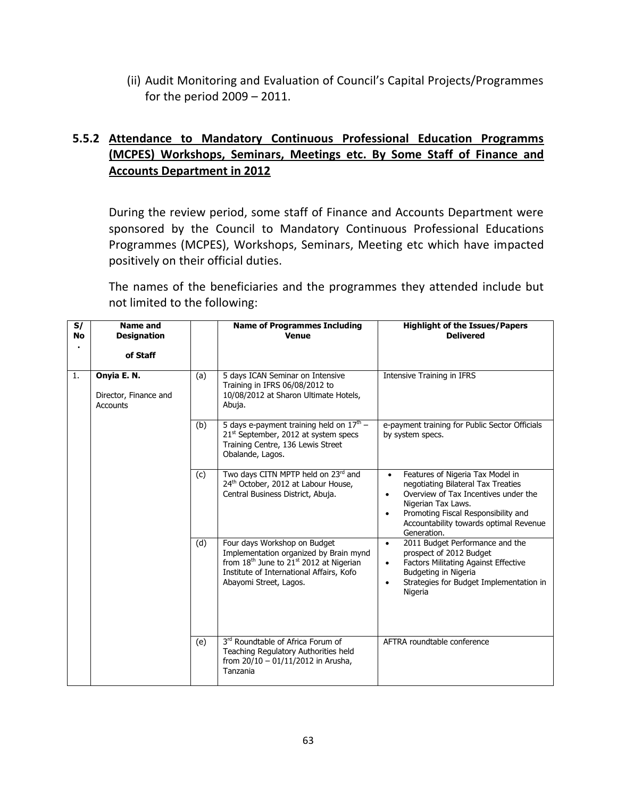(ii) Audit Monitoring and Evaluation of Council's Capital Projects/Programmes for the period 2009 – 2011.

## **5.5.2 Attendance to Mandatory Continuous Professional Education Programms (MCPES) Workshops, Seminars, Meetings etc. By Some Staff of Finance and Accounts Department in 2012**

During the review period, some staff of Finance and Accounts Department were sponsored by the Council to Mandatory Continuous Professional Educations Programmes (MCPES), Workshops, Seminars, Meeting etc which have impacted positively on their official duties.

The names of the beneficiaries and the programmes they attended include but not limited to the following:

| S/<br><b>No</b> | Name and<br><b>Designation</b>                          |     | <b>Name of Programmes Including</b><br><b>Venue</b>                                                                                                                                                             | <b>Highlight of the Issues/Papers</b><br><b>Delivered</b>                                                                                                                                                                                                                   |
|-----------------|---------------------------------------------------------|-----|-----------------------------------------------------------------------------------------------------------------------------------------------------------------------------------------------------------------|-----------------------------------------------------------------------------------------------------------------------------------------------------------------------------------------------------------------------------------------------------------------------------|
|                 | of Staff                                                |     |                                                                                                                                                                                                                 |                                                                                                                                                                                                                                                                             |
| 1.              | Onyia E. N.<br>Director, Finance and<br><b>Accounts</b> | (a) | 5 days ICAN Seminar on Intensive<br>Training in IFRS 06/08/2012 to<br>10/08/2012 at Sharon Ultimate Hotels,<br>Abuja.                                                                                           | Intensive Training in IFRS                                                                                                                                                                                                                                                  |
|                 |                                                         | (b) | 5 days e-payment training held on $17th$ –<br>21 <sup>st</sup> September, 2012 at system specs<br>Training Centre, 136 Lewis Street<br>Obalande, Lagos.                                                         | e-payment training for Public Sector Officials<br>by system specs.                                                                                                                                                                                                          |
|                 |                                                         | (c) | Two days CITN MPTP held on 23rd and<br>24th October, 2012 at Labour House,<br>Central Business District, Abuja.                                                                                                 | Features of Nigeria Tax Model in<br>$\bullet$<br>negotiating Bilateral Tax Treaties<br>Overview of Tax Incentives under the<br>$\bullet$<br>Nigerian Tax Laws.<br>Promoting Fiscal Responsibility and<br>$\bullet$<br>Accountability towards optimal Revenue<br>Generation. |
|                 |                                                         | (d) | Four days Workshop on Budget<br>Implementation organized by Brain mynd<br>from 18 <sup>th</sup> June to 21 <sup>st</sup> 2012 at Nigerian<br>Institute of International Affairs, Kofo<br>Abayomi Street, Lagos. | 2011 Budget Performance and the<br>$\bullet$<br>prospect of 2012 Budget<br><b>Factors Militating Against Effective</b><br>$\bullet$<br>Budgeting in Nigeria<br>Strategies for Budget Implementation in<br>$\bullet$<br>Nigeria                                              |
|                 |                                                         | (e) | 3rd Roundtable of Africa Forum of<br>Teaching Regulatory Authorities held<br>from $20/10 - 01/11/2012$ in Arusha,<br>Tanzania                                                                                   | AFTRA roundtable conference                                                                                                                                                                                                                                                 |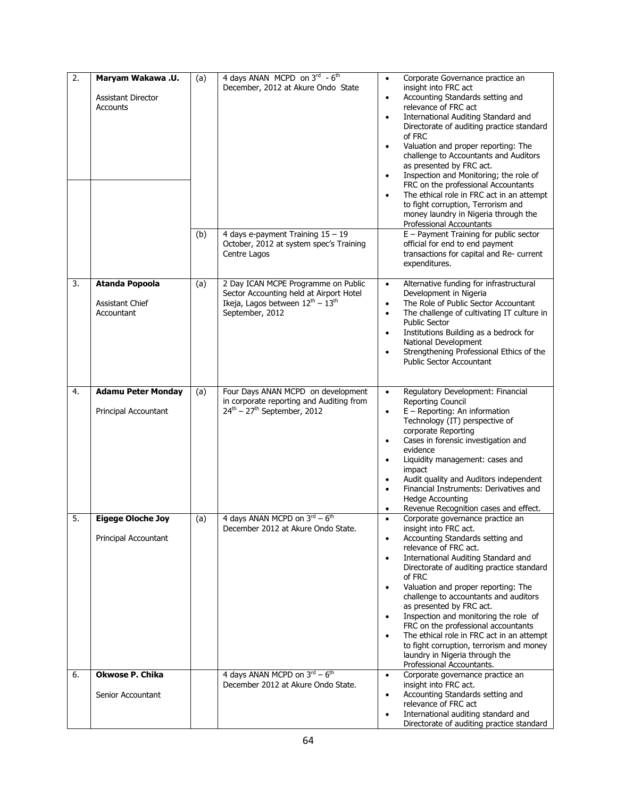| $\overline{2}$ . | Maryam Wakawa .U.<br><b>Assistant Director</b><br>Accounts          | (a)<br>(b) | 4 days ANAN MCPD on 3rd - 6th<br>December, 2012 at Akure Ondo State<br>4 days e-payment Training 15 - 19<br>October, 2012 at system spec's Training<br>Centre Lagos                    | Corporate Governance practice an<br>$\bullet$<br>insight into FRC act<br>Accounting Standards setting and<br>$\bullet$<br>relevance of FRC act<br>International Auditing Standard and<br>$\bullet$<br>Directorate of auditing practice standard<br>of FRC<br>Valuation and proper reporting: The<br>$\bullet$<br>challenge to Accountants and Auditors<br>as presented by FRC act.<br>Inspection and Monitoring; the role of<br>$\bullet$<br>FRC on the professional Accountants<br>The ethical role in FRC act in an attempt<br>$\bullet$<br>to fight corruption, Terrorism and<br>money laundry in Nigeria through the<br>Professional Accountants<br>$E$ – Payment Training for public sector<br>official for end to end payment<br>transactions for capital and Re- current<br>expenditures. |
|------------------|---------------------------------------------------------------------|------------|----------------------------------------------------------------------------------------------------------------------------------------------------------------------------------------|--------------------------------------------------------------------------------------------------------------------------------------------------------------------------------------------------------------------------------------------------------------------------------------------------------------------------------------------------------------------------------------------------------------------------------------------------------------------------------------------------------------------------------------------------------------------------------------------------------------------------------------------------------------------------------------------------------------------------------------------------------------------------------------------------|
| 3.               | <b>Atanda Popoola</b><br><b>Assistant Chief</b><br>Accountant       | (a)        | 2 Day ICAN MCPE Programme on Public<br>Sector Accounting held at Airport Hotel<br>Ikeja, Lagos between $12^{th} - 13^{th}$<br>September, 2012                                          | Alternative funding for infrastructural<br>$\bullet$<br>Development in Nigeria<br>The Role of Public Sector Accountant<br>$\bullet$<br>The challenge of cultivating IT culture in<br>$\bullet$<br><b>Public Sector</b><br>Institutions Building as a bedrock for<br>$\bullet$<br>National Development<br>Strengthening Professional Ethics of the<br>$\bullet$<br><b>Public Sector Accountant</b>                                                                                                                                                                                                                                                                                                                                                                                                |
| 4.               | <b>Adamu Peter Monday</b><br>Principal Accountant                   | (a)        | Four Days ANAN MCPD on development<br>in corporate reporting and Auditing from<br>$24th - 27th$ September, 2012                                                                        | Regulatory Development: Financial<br>$\bullet$<br>Reporting Council<br>$E - Reporting: An information$<br>$\bullet$<br>Technology (IT) perspective of<br>corporate Reporting<br>Cases in forensic investigation and<br>$\bullet$<br>evidence<br>Liquidity management: cases and<br>$\bullet$<br>impact<br>Audit quality and Auditors independent<br>$\bullet$<br>Financial Instruments: Derivatives and<br>$\bullet$<br><b>Hedge Accounting</b><br>Revenue Recognition cases and effect.                                                                                                                                                                                                                                                                                                         |
| 5.<br>6.         | <b>Eigege Oloche Joy</b><br>Principal Accountant<br>Okwose P. Chika | (a)        | 4 days ANAN MCPD on $3^{\text{rd}} - 6^{\text{th}}$<br>December 2012 at Akure Ondo State.<br>4 days ANAN MCPD on $3^{\text{rd}} - 6^{\text{th}}$<br>December 2012 at Akure Ondo State. | Corporate governance practice an<br>$\bullet$<br>insight into FRC act.<br>Accounting Standards setting and<br>$\bullet$<br>relevance of FRC act.<br>International Auditing Standard and<br>$\bullet$<br>Directorate of auditing practice standard<br>of FRC<br>Valuation and proper reporting: The<br>$\bullet$<br>challenge to accountants and auditors<br>as presented by FRC act.<br>Inspection and monitoring the role of<br>$\bullet$<br>FRC on the professional accountants<br>The ethical role in FRC act in an attempt<br>$\bullet$<br>to fight corruption, terrorism and money<br>laundry in Nigeria through the<br>Professional Accountants.<br>Corporate governance practice an<br>$\bullet$<br>insight into FRC act.                                                                 |
|                  | Senior Accountant                                                   |            |                                                                                                                                                                                        | Accounting Standards setting and<br>$\bullet$<br>relevance of FRC act<br>International auditing standard and<br>$\bullet$<br>Directorate of auditing practice standard                                                                                                                                                                                                                                                                                                                                                                                                                                                                                                                                                                                                                           |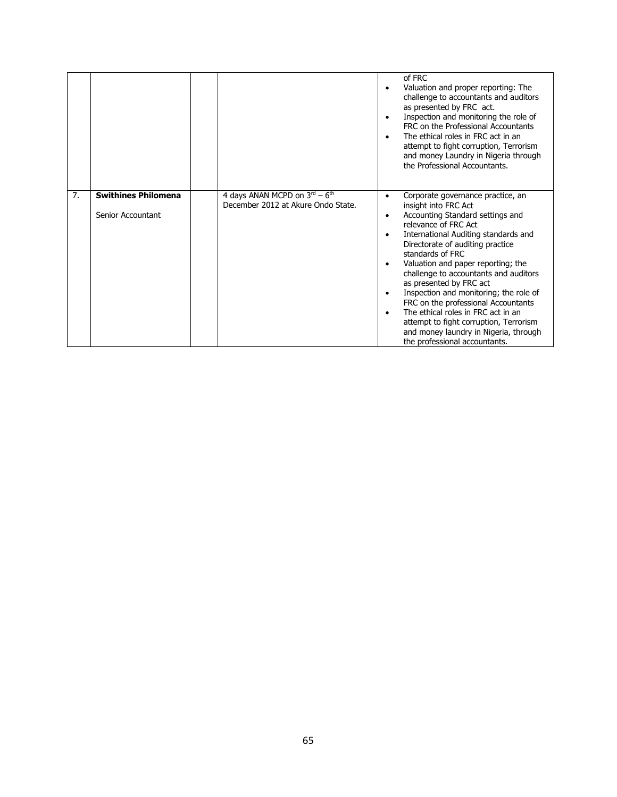|    |                                                 |                                                                                           | ٠<br>$\bullet$                                                | of FRC<br>Valuation and proper reporting: The<br>challenge to accountants and auditors<br>as presented by FRC act.<br>Inspection and monitoring the role of<br>FRC on the Professional Accountants<br>The ethical roles in FRC act in an<br>attempt to fight corruption, Terrorism<br>and money Laundry in Nigeria through<br>the Professional Accountants.                                                                                                                                                                                                                |
|----|-------------------------------------------------|-------------------------------------------------------------------------------------------|---------------------------------------------------------------|----------------------------------------------------------------------------------------------------------------------------------------------------------------------------------------------------------------------------------------------------------------------------------------------------------------------------------------------------------------------------------------------------------------------------------------------------------------------------------------------------------------------------------------------------------------------------|
| 7. | <b>Swithines Philomena</b><br>Senior Accountant | 4 days ANAN MCPD on $3^{\text{rd}} - 6^{\text{th}}$<br>December 2012 at Akure Ondo State. | $\bullet$<br>$\bullet$<br>$\bullet$<br>$\bullet$<br>$\bullet$ | Corporate governance practice, an<br>insight into FRC Act<br>Accounting Standard settings and<br>relevance of FRC Act<br>International Auditing standards and<br>Directorate of auditing practice<br>standards of FRC<br>Valuation and paper reporting; the<br>challenge to accountants and auditors<br>as presented by FRC act<br>Inspection and monitoring; the role of<br>FRC on the professional Accountants<br>The ethical roles in FRC act in an<br>attempt to fight corruption, Terrorism<br>and money laundry in Nigeria, through<br>the professional accountants. |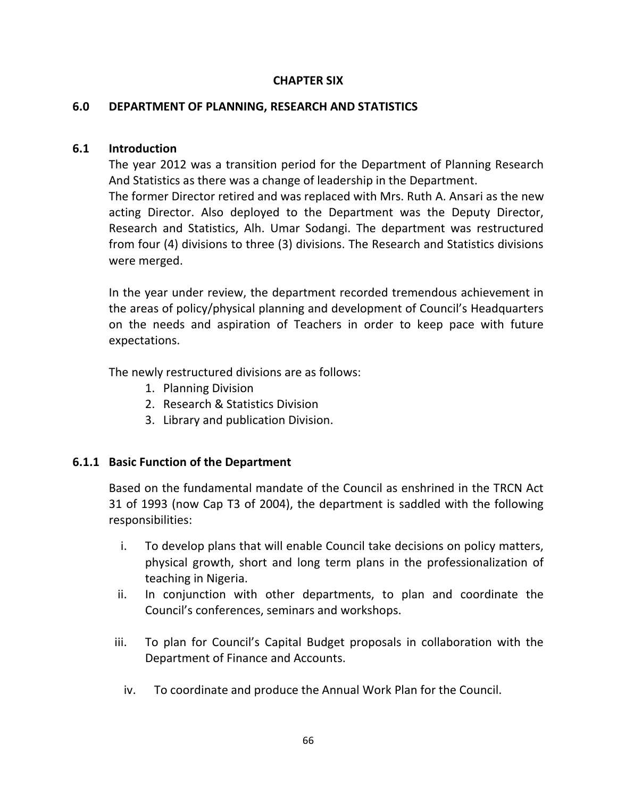### **CHAPTER SIX**

### **6.0 DEPARTMENT OF PLANNING, RESEARCH AND STATISTICS**

### **6.1 Introduction**

The year 2012 was a transition period for the Department of Planning Research And Statistics as there was a change of leadership in the Department. The former Director retired and was replaced with Mrs. Ruth A. Ansari as the new acting Director. Also deployed to the Department was the Deputy Director, Research and Statistics, Alh. Umar Sodangi. The department was restructured from four (4) divisions to three (3) divisions. The Research and Statistics divisions were merged.

In the year under review, the department recorded tremendous achievement in the areas of policy/physical planning and development of Council's Headquarters on the needs and aspiration of Teachers in order to keep pace with future expectations.

The newly restructured divisions are as follows:

- 1. Planning Division
- 2. Research & Statistics Division
- 3. Library and publication Division.

### **6.1.1 Basic Function of the Department**

Based on the fundamental mandate of the Council as enshrined in the TRCN Act 31 of 1993 (now Cap T3 of 2004), the department is saddled with the following responsibilities:

- i. To develop plans that will enable Council take decisions on policy matters, physical growth, short and long term plans in the professionalization of teaching in Nigeria.
- ii. In conjunction with other departments, to plan and coordinate the Council's conferences, seminars and workshops.
- iii. To plan for Council's Capital Budget proposals in collaboration with the Department of Finance and Accounts.
	- iv. To coordinate and produce the Annual Work Plan for the Council.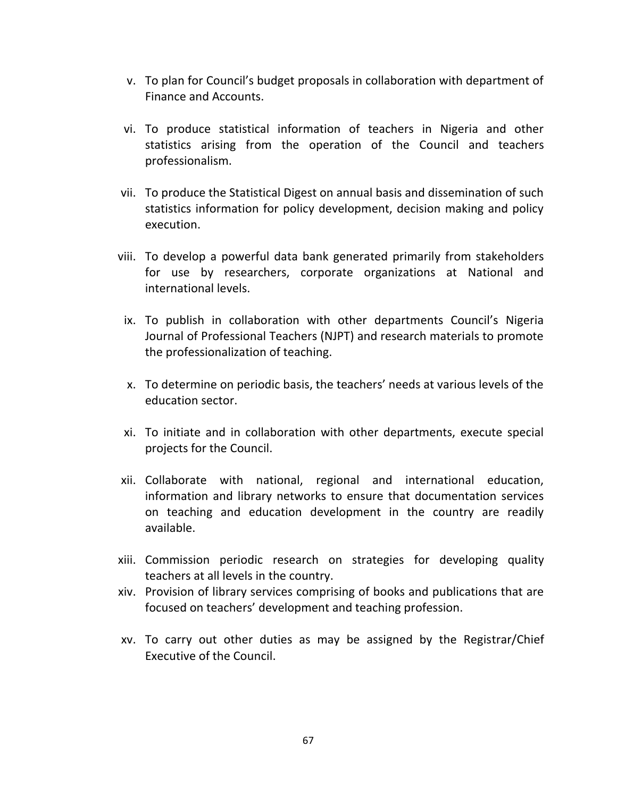- v. To plan for Council's budget proposals in collaboration with department of Finance and Accounts.
- vi. To produce statistical information of teachers in Nigeria and other statistics arising from the operation of the Council and teachers professionalism.
- vii. To produce the Statistical Digest on annual basis and dissemination of such statistics information for policy development, decision making and policy execution.
- viii. To develop a powerful data bank generated primarily from stakeholders for use by researchers, corporate organizations at National and international levels.
- ix. To publish in collaboration with other departments Council's Nigeria Journal of Professional Teachers (NJPT) and research materials to promote the professionalization of teaching.
- x. To determine on periodic basis, the teachers' needs at various levels of the education sector.
- xi. To initiate and in collaboration with other departments, execute special projects for the Council.
- xii. Collaborate with national, regional and international education, information and library networks to ensure that documentation services on teaching and education development in the country are readily available.
- xiii. Commission periodic research on strategies for developing quality teachers at all levels in the country.
- xiv. Provision of library services comprising of books and publications that are focused on teachers' development and teaching profession.
- xv. To carry out other duties as may be assigned by the Registrar/Chief Executive of the Council.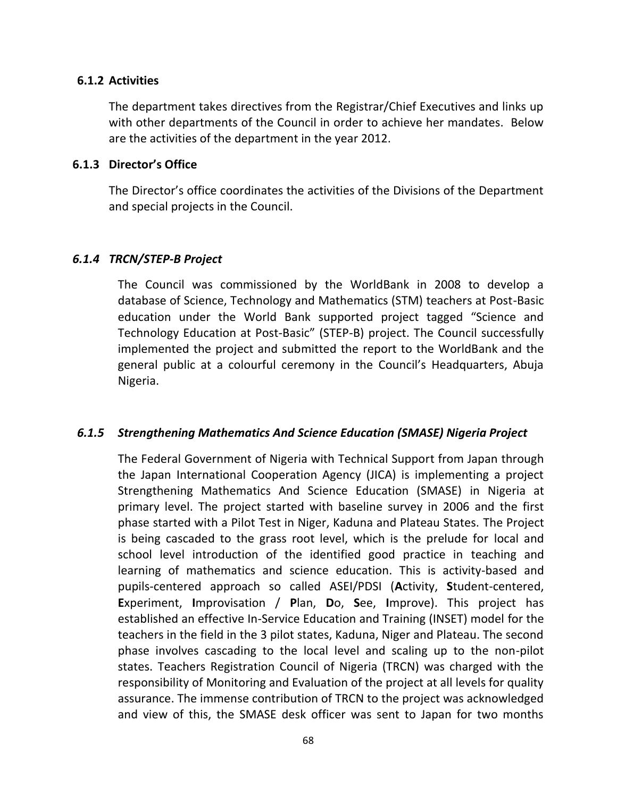#### **6.1.2 Activities**

The department takes directives from the Registrar/Chief Executives and links up with other departments of the Council in order to achieve her mandates. Below are the activities of the department in the year 2012.

#### **6.1.3 Director's Office**

The Director's office coordinates the activities of the Divisions of the Department and special projects in the Council.

### *6.1.4 TRCN/STEP-B Project*

The Council was commissioned by the WorldBank in 2008 to develop a database of Science, Technology and Mathematics (STM) teachers at Post-Basic education under the World Bank supported project tagged "Science and Technology Education at Post-Basic" (STEP-B) project. The Council successfully implemented the project and submitted the report to the WorldBank and the general public at a colourful ceremony in the Council's Headquarters, Abuja Nigeria.

### *6.1.5 Strengthening Mathematics And Science Education (SMASE) Nigeria Project*

The Federal Government of Nigeria with Technical Support from Japan through the Japan International Cooperation Agency (JICA) is implementing a project Strengthening Mathematics And Science Education (SMASE) in Nigeria at primary level. The project started with baseline survey in 2006 and the first phase started with a Pilot Test in Niger, Kaduna and Plateau States. The Project is being cascaded to the grass root level, which is the prelude for local and school level introduction of the identified good practice in teaching and learning of mathematics and science education. This is activity-based and pupils-centered approach so called ASEI/PDSI (**A**ctivity, **S**tudent-centered, **E**xperiment, **I**mprovisation / **P**lan, **D**o, **S**ee, **I**mprove). This project has established an effective In-Service Education and Training (INSET) model for the teachers in the field in the 3 pilot states, Kaduna, Niger and Plateau. The second phase involves cascading to the local level and scaling up to the non-pilot states. Teachers Registration Council of Nigeria (TRCN) was charged with the responsibility of Monitoring and Evaluation of the project at all levels for quality assurance. The immense contribution of TRCN to the project was acknowledged and view of this, the SMASE desk officer was sent to Japan for two months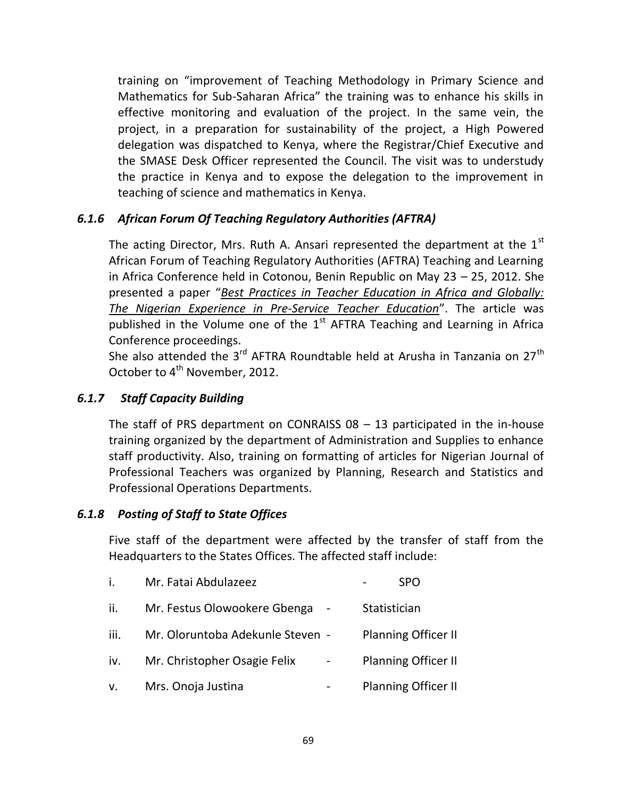training on "improvement of Teaching Methodology in Primary Science and Mathematics for Sub-Saharan Africa" the training was to enhance his skills in effective monitoring and evaluation of the project. In the same vein, the project, in a preparation for sustainability of the project, a High Powered delegation was dispatched to Kenya, where the Registrar/Chief Executive and the SMASE Desk Officer represented the Council. The visit was to understudy the practice in Kenya and to expose the delegation to the improvement in teaching of science and mathematics in Kenya.

## *6.1.6 African Forum Of Teaching Regulatory Authorities (AFTRA)*

The acting Director, Mrs. Ruth A. Ansari represented the department at the  $1<sup>st</sup>$ African Forum of Teaching Regulatory Authorities (AFTRA) Teaching and Learning in Africa Conference held in Cotonou, Benin Republic on May 23 – 25, 2012. She presented a paper "*Best Practices in Teacher Education in Africa and Globally: The Nigerian Experience in Pre-Service Teacher Education*". The article was published in the Volume one of the  $1<sup>st</sup>$  AFTRA Teaching and Learning in Africa Conference proceedings.

She also attended the  $3^{rd}$  AFTRA Roundtable held at Arusha in Tanzania on 27<sup>th</sup> October to 4<sup>th</sup> November, 2012.

### *6.1.7 Staff Capacity Building*

The staff of PRS department on CONRAISS 08 – 13 participated in the in-house training organized by the department of Administration and Supplies to enhance staff productivity. Also, training on formatting of articles for Nigerian Journal of Professional Teachers was organized by Planning, Research and Statistics and Professional Operations Departments.

## *6.1.8 Posting of Staff to State Offices*

Five staff of the department were affected by the transfer of staff from the Headquarters to the States Offices. The affected staff include:

| i.   | Mr. Fatai Abdulazeez             |              | <b>SPO</b>                 |  |
|------|----------------------------------|--------------|----------------------------|--|
| ii.  | Mr. Festus Olowookere Gbenga     | Statistician |                            |  |
| iii. | Mr. Oloruntoba Adekunle Steven - |              | <b>Planning Officer II</b> |  |
| iv.  | Mr. Christopher Osagie Felix     |              | <b>Planning Officer II</b> |  |
| V.   | Mrs. Onoja Justina               |              | <b>Planning Officer II</b> |  |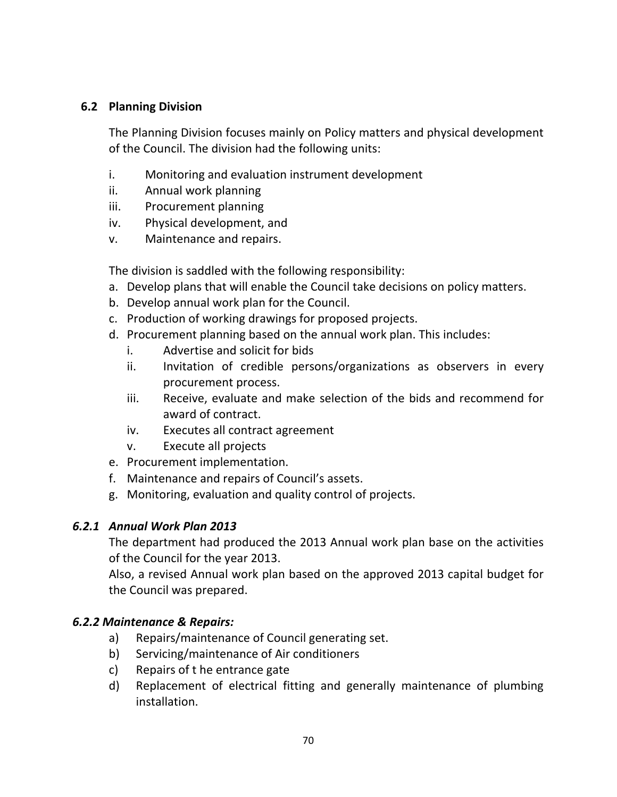### **6.2 Planning Division**

The Planning Division focuses mainly on Policy matters and physical development of the Council. The division had the following units:

- i. Monitoring and evaluation instrument development
- ii. Annual work planning
- iii. Procurement planning
- iv. Physical development, and
- v. Maintenance and repairs.

The division is saddled with the following responsibility:

- a. Develop plans that will enable the Council take decisions on policy matters.
- b. Develop annual work plan for the Council.
- c. Production of working drawings for proposed projects.
- d. Procurement planning based on the annual work plan. This includes:
	- i. Advertise and solicit for bids
	- ii. Invitation of credible persons/organizations as observers in every procurement process.
	- iii. Receive, evaluate and make selection of the bids and recommend for award of contract.
	- iv. Executes all contract agreement
	- v. Execute all projects
- e. Procurement implementation.
- f. Maintenance and repairs of Council's assets.
- g. Monitoring, evaluation and quality control of projects.

## *6.2.1 Annual Work Plan 2013*

The department had produced the 2013 Annual work plan base on the activities of the Council for the year 2013.

Also, a revised Annual work plan based on the approved 2013 capital budget for the Council was prepared.

## *6.2.2 Maintenance & Repairs:*

- a) Repairs/maintenance of Council generating set.
- b) Servicing/maintenance of Air conditioners
- c) Repairs of t he entrance gate
- d) Replacement of electrical fitting and generally maintenance of plumbing installation.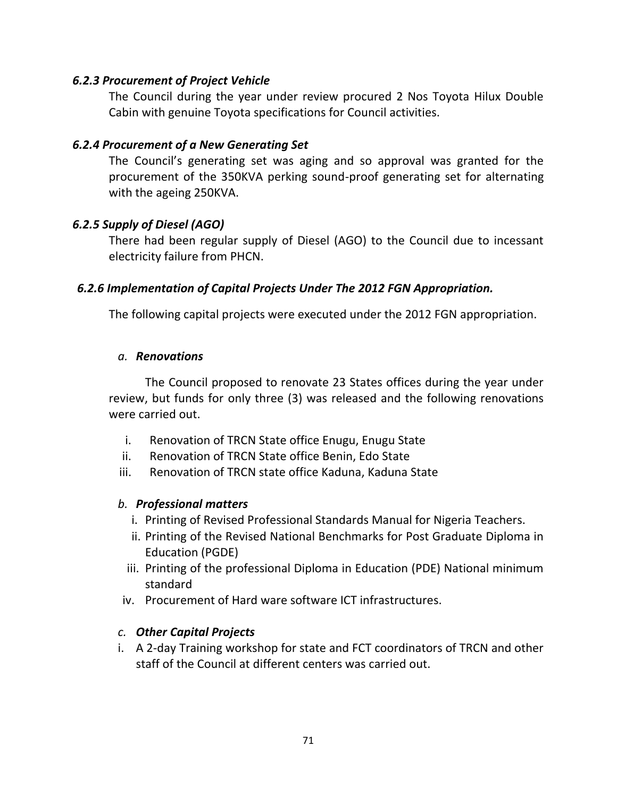### *6.2.3 Procurement of Project Vehicle*

The Council during the year under review procured 2 Nos Toyota Hilux Double Cabin with genuine Toyota specifications for Council activities.

### *6.2.4 Procurement of a New Generating Set*

The Council's generating set was aging and so approval was granted for the procurement of the 350KVA perking sound-proof generating set for alternating with the ageing 250KVA.

### *6.2.5 Supply of Diesel (AGO)*

There had been regular supply of Diesel (AGO) to the Council due to incessant electricity failure from PHCN.

### *6.2.6 Implementation of Capital Projects Under The 2012 FGN Appropriation.*

The following capital projects were executed under the 2012 FGN appropriation.

#### *a. Renovations*

The Council proposed to renovate 23 States offices during the year under review, but funds for only three (3) was released and the following renovations were carried out.

- i. Renovation of TRCN State office Enugu, Enugu State
- ii. Renovation of TRCN State office Benin, Edo State
- iii. Renovation of TRCN state office Kaduna, Kaduna State

### *b. Professional matters*

- i. Printing of Revised Professional Standards Manual for Nigeria Teachers.
- ii. Printing of the Revised National Benchmarks for Post Graduate Diploma in Education (PGDE)
- iii. Printing of the professional Diploma in Education (PDE) National minimum standard
- iv. Procurement of Hard ware software ICT infrastructures.

### *c. Other Capital Projects*

i. A 2-day Training workshop for state and FCT coordinators of TRCN and other staff of the Council at different centers was carried out.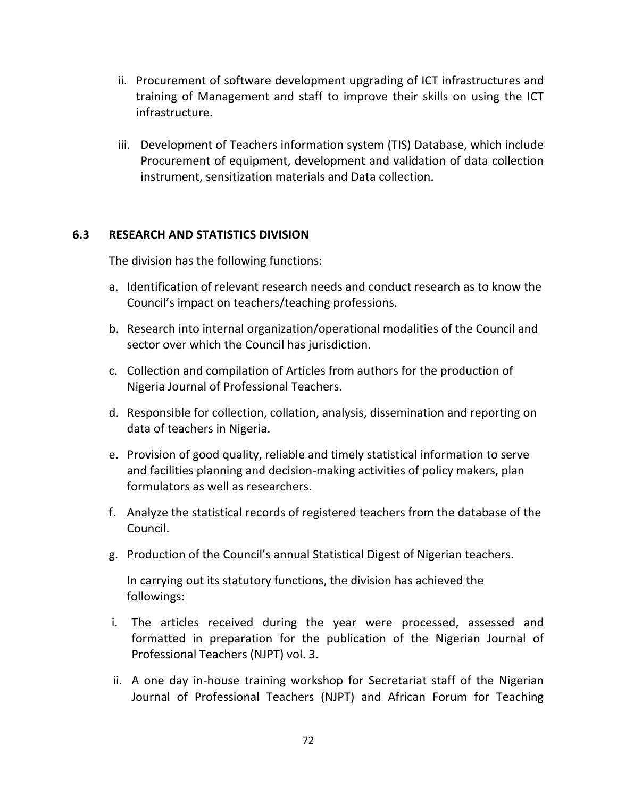- ii. Procurement of software development upgrading of ICT infrastructures and training of Management and staff to improve their skills on using the ICT infrastructure.
- iii. Development of Teachers information system (TIS) Database, which include Procurement of equipment, development and validation of data collection instrument, sensitization materials and Data collection.

### **6.3 RESEARCH AND STATISTICS DIVISION**

The division has the following functions:

- a. Identification of relevant research needs and conduct research as to know the Council's impact on teachers/teaching professions.
- b. Research into internal organization/operational modalities of the Council and sector over which the Council has jurisdiction.
- c. Collection and compilation of Articles from authors for the production of Nigeria Journal of Professional Teachers.
- d. Responsible for collection, collation, analysis, dissemination and reporting on data of teachers in Nigeria.
- e. Provision of good quality, reliable and timely statistical information to serve and facilities planning and decision-making activities of policy makers, plan formulators as well as researchers.
- f. Analyze the statistical records of registered teachers from the database of the Council.
- g. Production of the Council's annual Statistical Digest of Nigerian teachers.

In carrying out its statutory functions, the division has achieved the followings:

- i. The articles received during the year were processed, assessed and formatted in preparation for the publication of the Nigerian Journal of Professional Teachers (NJPT) vol. 3.
- ii. A one day in-house training workshop for Secretariat staff of the Nigerian Journal of Professional Teachers (NJPT) and African Forum for Teaching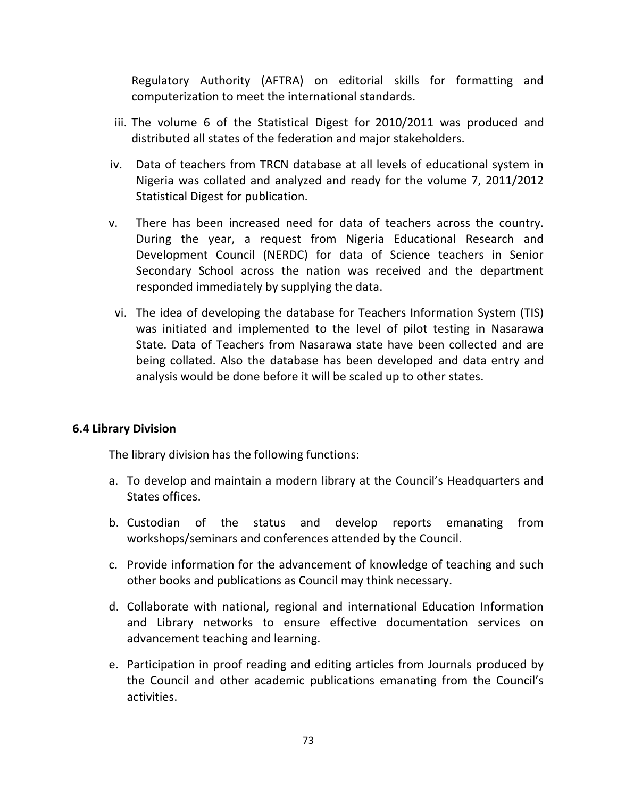Regulatory Authority (AFTRA) on editorial skills for formatting and computerization to meet the international standards.

- iii. The volume 6 of the Statistical Digest for 2010/2011 was produced and distributed all states of the federation and major stakeholders.
- iv. Data of teachers from TRCN database at all levels of educational system in Nigeria was collated and analyzed and ready for the volume 7, 2011/2012 Statistical Digest for publication.
- v. There has been increased need for data of teachers across the country. During the year, a request from Nigeria Educational Research and Development Council (NERDC) for data of Science teachers in Senior Secondary School across the nation was received and the department responded immediately by supplying the data.
- vi. The idea of developing the database for Teachers Information System (TIS) was initiated and implemented to the level of pilot testing in Nasarawa State. Data of Teachers from Nasarawa state have been collected and are being collated. Also the database has been developed and data entry and analysis would be done before it will be scaled up to other states.

### **6.4 Library Division**

The library division has the following functions:

- a. To develop and maintain a modern library at the Council's Headquarters and States offices.
- b. Custodian of the status and develop reports emanating from workshops/seminars and conferences attended by the Council.
- c. Provide information for the advancement of knowledge of teaching and such other books and publications as Council may think necessary.
- d. Collaborate with national, regional and international Education Information and Library networks to ensure effective documentation services on advancement teaching and learning.
- e. Participation in proof reading and editing articles from Journals produced by the Council and other academic publications emanating from the Council's activities.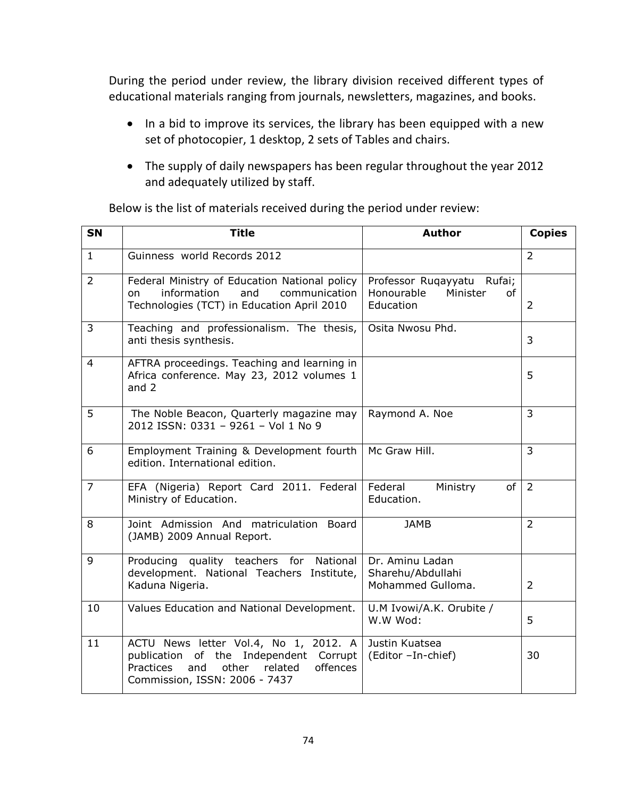During the period under review, the library division received different types of educational materials ranging from journals, newsletters, magazines, and books.

- In a bid to improve its services, the library has been equipped with a new set of photocopier, 1 desktop, 2 sets of Tables and chairs.
- The supply of daily newspapers has been regular throughout the year 2012 and adequately utilized by staff.

| <b>SN</b>      | <b>Title</b>                                                                                                                                                         | <b>Author</b>                                                           | <b>Copies</b>  |
|----------------|----------------------------------------------------------------------------------------------------------------------------------------------------------------------|-------------------------------------------------------------------------|----------------|
| $\mathbf{1}$   | Guinness world Records 2012                                                                                                                                          |                                                                         | $\overline{2}$ |
| $\overline{2}$ | Federal Ministry of Education National policy<br>and<br>information<br>communication<br>on<br>Technologies (TCT) in Education April 2010                             | Professor Ruqayyatu Rufai;<br>Honourable<br>Minister<br>of<br>Education | $\overline{2}$ |
| $\overline{3}$ | Teaching and professionalism. The thesis,<br>anti thesis synthesis.                                                                                                  | Osita Nwosu Phd.                                                        | 3              |
| $\overline{4}$ | AFTRA proceedings. Teaching and learning in<br>Africa conference. May 23, 2012 volumes 1<br>and 2                                                                    |                                                                         | 5              |
| 5              | The Noble Beacon, Quarterly magazine may<br>2012 ISSN: 0331 - 9261 - Vol 1 No 9                                                                                      | Raymond A. Noe                                                          | $\overline{3}$ |
| 6              | Employment Training & Development fourth<br>edition. International edition.                                                                                          | Mc Graw Hill.                                                           | $\overline{3}$ |
| $\overline{7}$ | EFA (Nigeria) Report Card 2011. Federal<br>Ministry of Education.                                                                                                    | Federal<br>Ministry<br>of<br>Education.                                 | $\overline{2}$ |
| 8              | Joint Admission And matriculation Board<br>(JAMB) 2009 Annual Report.                                                                                                | <b>JAMB</b>                                                             | $\overline{2}$ |
| 9              | Producing quality teachers for<br>National<br>development. National Teachers Institute,<br>Kaduna Nigeria.                                                           | Dr. Aminu Ladan<br>Sharehu/Abdullahi<br>Mohammed Gulloma.               | 2              |
| 10             | Values Education and National Development.                                                                                                                           | U.M Ivowi/A.K. Orubite /<br>W.W Wod:                                    | 5              |
| 11             | ACTU News letter Vol.4, No 1, 2012. A<br>publication of the Independent Corrupt<br>Practices<br>other<br>offences<br>and<br>related<br>Commission, ISSN: 2006 - 7437 | Justin Kuatsea<br>(Editor -In-chief)                                    | 30             |

Below is the list of materials received during the period under review: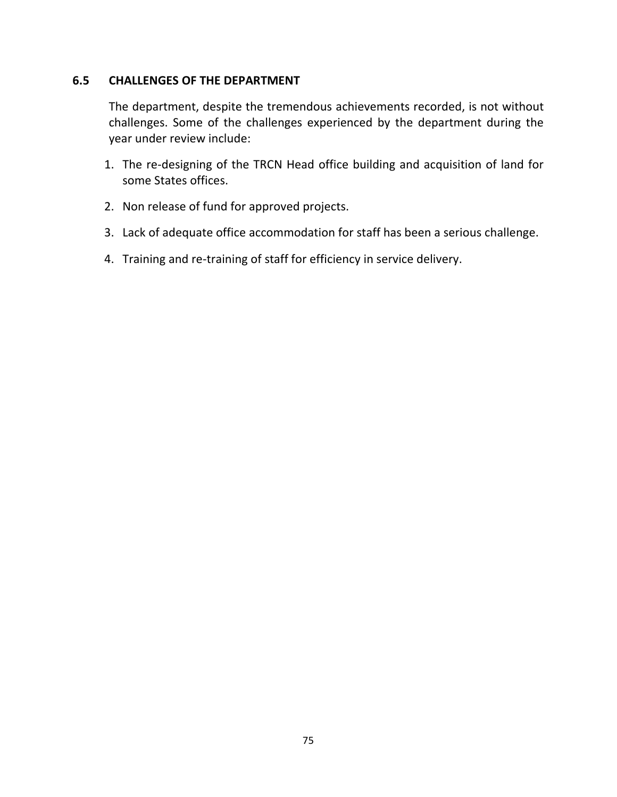#### **6.5 CHALLENGES OF THE DEPARTMENT**

The department, despite the tremendous achievements recorded, is not without challenges. Some of the challenges experienced by the department during the year under review include:

- 1. The re-designing of the TRCN Head office building and acquisition of land for some States offices.
- 2. Non release of fund for approved projects.
- 3. Lack of adequate office accommodation for staff has been a serious challenge.
- 4. Training and re-training of staff for efficiency in service delivery.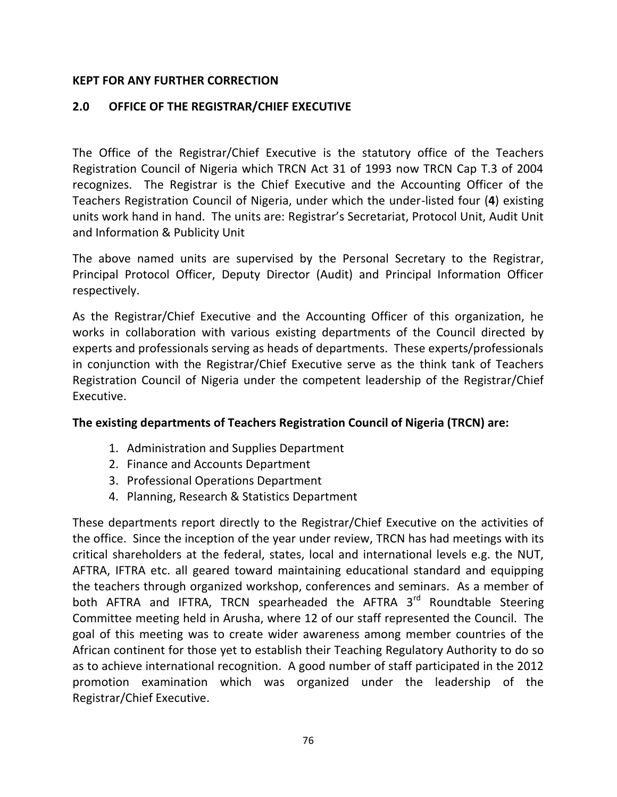### **KEPT FOR ANY FURTHER CORRECTION**

## **2.0 OFFICE OF THE REGISTRAR/CHIEF EXECUTIVE**

The Office of the Registrar/Chief Executive is the statutory office of the Teachers Registration Council of Nigeria which TRCN Act 31 of 1993 now TRCN Cap T.3 of 2004 recognizes. The Registrar is the Chief Executive and the Accounting Officer of the Teachers Registration Council of Nigeria, under which the under-listed four (**4**) existing units work hand in hand. The units are: Registrar's Secretariat, Protocol Unit, Audit Unit and Information & Publicity Unit

The above named units are supervised by the Personal Secretary to the Registrar, Principal Protocol Officer, Deputy Director (Audit) and Principal Information Officer respectively.

As the Registrar/Chief Executive and the Accounting Officer of this organization, he works in collaboration with various existing departments of the Council directed by experts and professionals serving as heads of departments. These experts/professionals in conjunction with the Registrar/Chief Executive serve as the think tank of Teachers Registration Council of Nigeria under the competent leadership of the Registrar/Chief Executive.

### **The existing departments of Teachers Registration Council of Nigeria (TRCN) are:**

- 1. Administration and Supplies Department
- 2. Finance and Accounts Department
- 3. Professional Operations Department
- 4. Planning, Research & Statistics Department

These departments report directly to the Registrar/Chief Executive on the activities of the office. Since the inception of the year under review, TRCN has had meetings with its critical shareholders at the federal, states, local and international levels e.g. the NUT, AFTRA, IFTRA etc. all geared toward maintaining educational standard and equipping the teachers through organized workshop, conferences and seminars. As a member of both AFTRA and IFTRA, TRCN spearheaded the AFTRA 3<sup>rd</sup> Roundtable Steering Committee meeting held in Arusha, where 12 of our staff represented the Council. The goal of this meeting was to create wider awareness among member countries of the African continent for those yet to establish their Teaching Regulatory Authority to do so as to achieve international recognition. A good number of staff participated in the 2012 promotion examination which was organized under the leadership of the Registrar/Chief Executive.